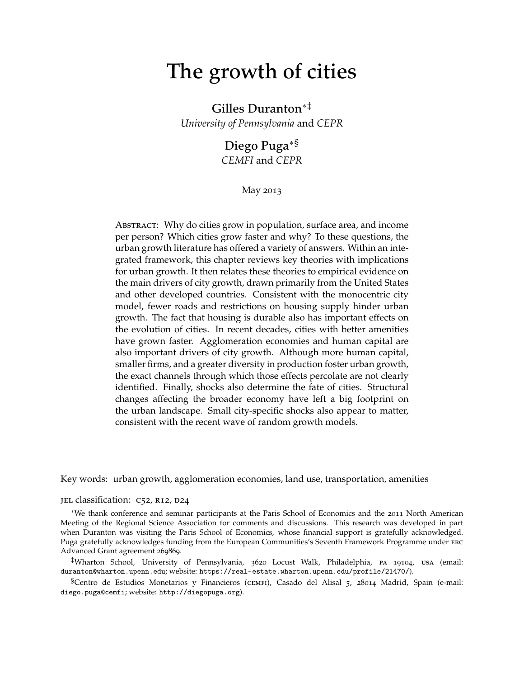# The growth of cities

Gilles Duranton[∗](#page-0-0)[‡](#page-0-1)

*University of Pennsylvania* and *CEPR*

Diego Puga∗[§](#page-0-2) *CEMFI* and *CEPR*

May 2013

ABSTRACT: Why do cities grow in population, surface area, and income per person? Which cities grow faster and why? To these questions, the urban growth literature has offered a variety of answers. Within an integrated framework, this chapter reviews key theories with implications for urban growth. It then relates these theories to empirical evidence on the main drivers of city growth, drawn primarily from the United States and other developed countries. Consistent with the monocentric city model, fewer roads and restrictions on housing supply hinder urban growth. The fact that housing is durable also has important effects on the evolution of cities. In recent decades, cities with better amenities have grown faster. Agglomeration economies and human capital are also important drivers of city growth. Although more human capital, smaller firms, and a greater diversity in production foster urban growth, the exact channels through which those effects percolate are not clearly identified. Finally, shocks also determine the fate of cities. Structural changes affecting the broader economy have left a big footprint on the urban landscape. Small city-specific shocks also appear to matter, consistent with the recent wave of random growth models.

Key words: urban growth, agglomeration economies, land use, transportation, amenities

JEL classification:  $C$ 52, R12, D24

<span id="page-0-0"></span><sup>∗</sup>We thank conference and seminar participants at the Paris School of Economics and the 2011 North American Meeting of the Regional Science Association for comments and discussions. This research was developed in part when Duranton was visiting the Paris School of Economics, whose financial support is gratefully acknowledged. Puga gratefully acknowledges funding from the European Communities's Seventh Framework Programme under erc Advanced Grant agreement 269869.

<span id="page-0-1"></span>‡Wharton School, University of Pennsylvania, 3620 Locust Walk, Philadelphia, pa 19104, usa (email: [duranton@wharton.upenn.edu](mailto:duranton@wharton.upenn.edu); website: <https://real-estate.wharton.upenn.edu/profile/21470/>).

<span id="page-0-2"></span>§Centro de Estudios Monetarios y Financieros (cemfi), Casado del Alisal 5, 28014 Madrid, Spain (e-mail: [diego.puga@cemfi](mailto:diego.puga@cemfi); website: <http://diegopuga.org>).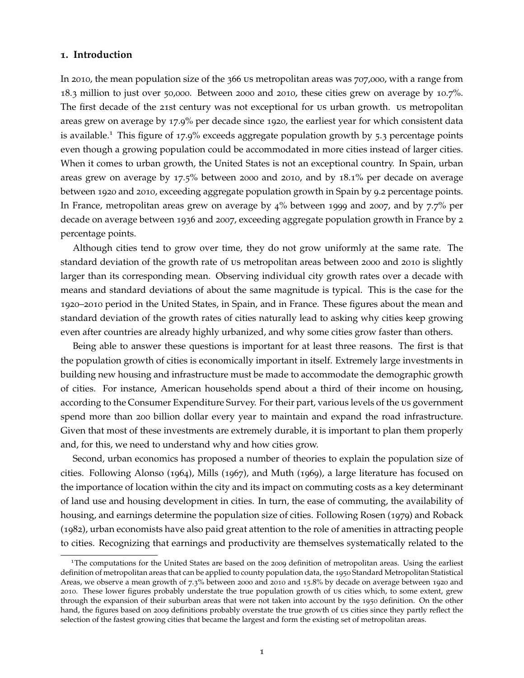# **1. Introduction**

In 2010, the mean population size of the 366 us metropolitan areas was 707,000, with a range from 18.3 million to just over 50,000. Between 2000 and 2010, these cities grew on average by 10.7%. The first decade of the 21st century was not exceptional for us urban growth. us metropolitan areas grew on average by 17.9% per decade since 1920, the earliest year for which consistent data is available.<sup>[1](#page-1-0)</sup> This figure of  $17.9\%$  exceeds aggregate population growth by 5.3 percentage points even though a growing population could be accommodated in more cities instead of larger cities. When it comes to urban growth, the United States is not an exceptional country. In Spain, urban areas grew on average by 17.5% between 2000 and 2010, and by 18.1% per decade on average between 1920 and 2010, exceeding aggregate population growth in Spain by 9.2 percentage points. In France, metropolitan areas grew on average by 4% between 1999 and 2007, and by 7.7% per decade on average between 1936 and 2007, exceeding aggregate population growth in France by 2 percentage points.

Although cities tend to grow over time, they do not grow uniformly at the same rate. The standard deviation of the growth rate of us metropolitan areas between 2000 and 2010 is slightly larger than its corresponding mean. Observing individual city growth rates over a decade with means and standard deviations of about the same magnitude is typical. This is the case for the 1920–2010 period in the United States, in Spain, and in France. These figures about the mean and standard deviation of the growth rates of cities naturally lead to asking why cities keep growing even after countries are already highly urbanized, and why some cities grow faster than others.

Being able to answer these questions is important for at least three reasons. The first is that the population growth of cities is economically important in itself. Extremely large investments in building new housing and infrastructure must be made to accommodate the demographic growth of cities. For instance, American households spend about a third of their income on housing, according to the Consumer Expenditure Survey. For their part, various levels of the us government spend more than 200 billion dollar every year to maintain and expand the road infrastructure. Given that most of these investments are extremely durable, it is important to plan them properly and, for this, we need to understand why and how cities grow.

Second, urban economics has proposed a number of theories to explain the population size of cities. Following [Alonso](#page-58-0) ([1964](#page-58-0)), [Mills](#page-65-0) ([1967](#page-65-0)), and [Muth](#page-65-1) ([1969](#page-65-1)), a large literature has focused on the importance of location within the city and its impact on commuting costs as a key determinant of land use and housing development in cities. In turn, the ease of commuting, the availability of housing, and earnings determine the population size of cities. Following [Rosen](#page-66-0) ([1979](#page-66-0)) and [Roback](#page-66-1) ([1982](#page-66-1)), urban economists have also paid great attention to the role of amenities in attracting people to cities. Recognizing that earnings and productivity are themselves systematically related to the

<span id="page-1-0"></span><sup>&</sup>lt;sup>1</sup>The computations for the United States are based on the 2009 definition of metropolitan areas. Using the earliest definition of metropolitan areas that can be applied to county population data, the 1950 Standard Metropolitan Statistical Areas, we observe a mean growth of 7.3% between 2000 and 2010 and 15.8% by decade on average between 1920 and 2010. These lower figures probably understate the true population growth of us cities which, to some extent, grew through the expansion of their suburban areas that were not taken into account by the 1950 definition. On the other hand, the figures based on 2009 definitions probably overstate the true growth of us cities since they partly reflect the selection of the fastest growing cities that became the largest and form the existing set of metropolitan areas.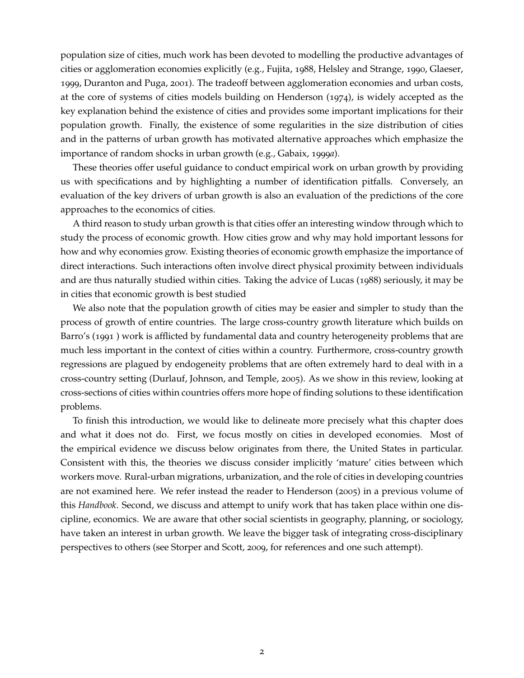population size of cities, much work has been devoted to modelling the productive advantages of cities or agglomeration economies explicitly (e.g., [Fujita,](#page-61-0) [1988](#page-61-0), [Helsley and Strange,](#page-63-0) [1990](#page-63-0), [Glaeser,](#page-62-0) [1999](#page-62-0), [Duranton and Puga,](#page-61-1) [2001](#page-61-1)). The tradeoff between agglomeration economies and urban costs, at the core of systems of cities models building on [Henderson](#page-63-1) ([1974](#page-63-1)), is widely accepted as the key explanation behind the existence of cities and provides some important implications for their population growth. Finally, the existence of some regularities in the size distribution of cities and in the patterns of urban growth has motivated alternative approaches which emphasize the importance of random shocks in urban growth (e.g., [Gabaix,](#page-62-1) [1999](#page-62-1)*a*).

These theories offer useful guidance to conduct empirical work on urban growth by providing us with specifications and by highlighting a number of identification pitfalls. Conversely, an evaluation of the key drivers of urban growth is also an evaluation of the predictions of the core approaches to the economics of cities.

A third reason to study urban growth is that cities offer an interesting window through which to study the process of economic growth. How cities grow and why may hold important lessons for how and why economies grow. Existing theories of economic growth emphasize the importance of direct interactions. Such interactions often involve direct physical proximity between individuals and are thus naturally studied within cities. Taking the advice of [Lucas](#page-65-2) ([1988](#page-65-2)) seriously, it may be in cities that economic growth is best studied

We also note that the population growth of cities may be easier and simpler to study than the process of growth of entire countries. The large cross-country growth literature which builds on [Barro'](#page-58-1)s ([1991](#page-58-1) ) work is afflicted by fundamental data and country heterogeneity problems that are much less important in the context of cities within a country. Furthermore, cross-country growth regressions are plagued by endogeneity problems that are often extremely hard to deal with in a cross-country setting [\(Durlauf, Johnson, and Temple,](#page-61-2) [2005](#page-61-2)). As we show in this review, looking at cross-sections of cities within countries offers more hope of finding solutions to these identification problems.

To finish this introduction, we would like to delineate more precisely what this chapter does and what it does not do. First, we focus mostly on cities in developed economies. Most of the empirical evidence we discuss below originates from there, the United States in particular. Consistent with this, the theories we discuss consider implicitly 'mature' cities between which workers move. Rural-urban migrations, urbanization, and the role of cities in developing countries are not examined here. We refer instead the reader to [Henderson](#page-63-2) ([2005](#page-63-2)) in a previous volume of this *Handbook*. Second, we discuss and attempt to unify work that has taken place within one discipline, economics. We are aware that other social scientists in geography, planning, or sociology, have taken an interest in urban growth. We leave the bigger task of integrating cross-disciplinary perspectives to others (see [Storper and Scott,](#page-67-0) [2009](#page-67-0), for references and one such attempt).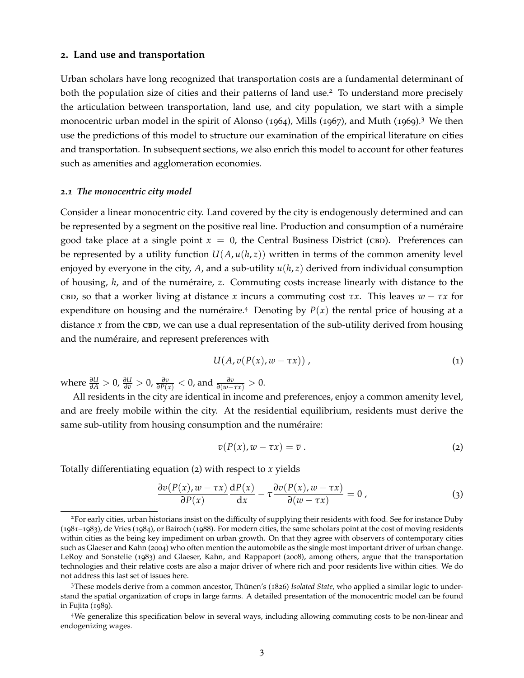## <span id="page-3-5"></span>**2. Land use and transportation**

Urban scholars have long recognized that transportation costs are a fundamental determinant of both the population size of cities and their patterns of land use.<sup>[2](#page-3-0)</sup> To understand more precisely the articulation between transportation, land use, and city population, we start with a simple monocentric urban model in the spirit of [Alonso](#page-58-0)  $(1964)$  $(1964)$  $(1964)$ , [Mills](#page-65-0)  $(1967)$  $(1967)$  $(1967)$ , and [Muth](#page-65-1)  $(1969)$  $(1969)$  $(1969)$ .<sup>[3](#page-3-1)</sup> We then use the predictions of this model to structure our examination of the empirical literature on cities and transportation. In subsequent sections, we also enrich this model to account for other features such as amenities and agglomeration economies.

#### *2.1 The monocentric city model*

Consider a linear monocentric city. Land covered by the city is endogenously determined and can be represented by a segment on the positive real line. Production and consumption of a numéraire good take place at a single point  $x = 0$ , the Central Business District (CBD). Preferences can be represented by a utility function  $U(A, u(h, z))$  written in terms of the common amenity level enjoyed by everyone in the city, A, and a sub-utility  $u(h, z)$  derived from individual consumption of housing, *h*, and of the numéraire, *z*. Commuting costs increase linearly with distance to the cBD, so that a worker living at distance *x* incurs a commuting cost  $τx$ . This leaves  $w - τx$  for expenditure on housing and the numéraire.<sup>[4](#page-3-2)</sup> Denoting by  $P(x)$  the rental price of housing at a distance  $x$  from the  $CBD$ , we can use a dual representation of the sub-utility derived from housing and the numéraire, and represent preferences with

<span id="page-3-4"></span>
$$
U(A, v(P(x), w - \tau x)) , \qquad (1)
$$

where  $\frac{\partial U}{\partial A} > 0$ ,  $\frac{\partial U}{\partial v} > 0$ ,  $\frac{\partial v}{\partial P(x)} < 0$ , and  $\frac{\partial v}{\partial (w-\tau x)} > 0$ .

All residents in the city are identical in income and preferences, enjoy a common amenity level, and are freely mobile within the city. At the residential equilibrium, residents must derive the same sub-utility from housing consumption and the numéraire:

<span id="page-3-3"></span>
$$
v(P(x), w - \tau x) = \overline{v} \ . \tag{2}
$$

Totally differentiating equation ([2](#page-3-3)) with respect to *x* yields

$$
\frac{\partial v(P(x), w - \tau x)}{\partial P(x)} \frac{dP(x)}{dx} - \tau \frac{\partial v(P(x), w - \tau x)}{\partial (w - \tau x)} = 0,
$$
\n(3)

<span id="page-3-0"></span><sup>2</sup>For early cities, urban historians insist on the difficulty of supplying their residents with food. See for instance [Duby](#page-60-0) ([1981](#page-60-0)–1983), [de Vries](#page-60-1) ([1984](#page-60-1)), or [Bairoch](#page-58-2) ([1988](#page-58-2)). For modern cities, the same scholars point at the cost of moving residents within cities as the being key impediment on urban growth. On that they agree with observers of contemporary cities such as [Glaeser and Kahn](#page-62-2) ([2004](#page-62-2)) who often mention the automobile as the single most important driver of urban change. [LeRoy and Sonstelie](#page-64-0) ([1983](#page-64-0)) and [Glaeser, Kahn, and Rappaport](#page-62-3) ([2008](#page-62-3)), among others, argue that the transportation technologies and their relative costs are also a major driver of where rich and poor residents live within cities. We do not address this last set of issues here.

<span id="page-3-1"></span><sup>3</sup>These models derive from a common ancestor, [Thünen'](#page-67-1)s ([1826](#page-67-1)) *Isolated State*, who applied a similar logic to understand the spatial organization of crops in large farms. A detailed presentation of the monocentric model can be found in [Fujita](#page-61-3) ([1989](#page-61-3)).

<span id="page-3-2"></span><sup>4</sup>We generalize this specification below in several ways, including allowing commuting costs to be non-linear and endogenizing wages.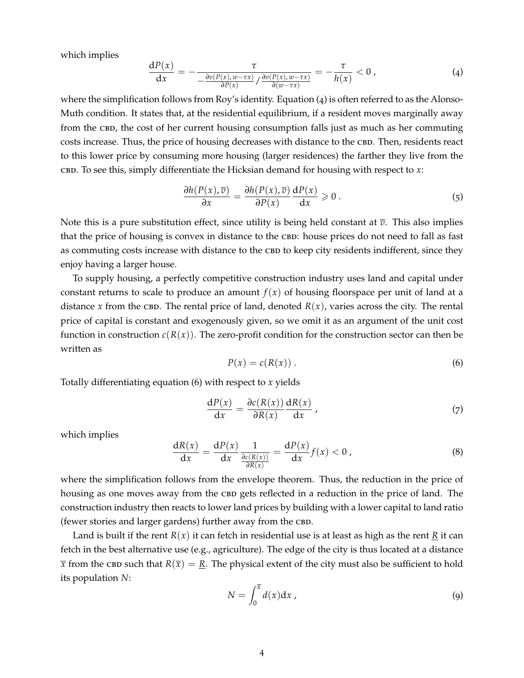which implies

<span id="page-4-0"></span>
$$
\frac{dP(x)}{dx} = -\frac{\tau}{-\frac{\partial v(P(x), w - \tau x)}{\partial P(x)} / \frac{\partial v(P(x), w - \tau x)}{\partial (w - \tau x)}} = -\frac{\tau}{h(x)} < 0,
$$
\n(4)

where the simplification follows from Roy's identity. Equation  $(4)$  $(4)$  $(4)$  is often referred to as the Alonso-Muth condition. It states that, at the residential equilibrium, if a resident moves marginally away from the CBD, the cost of her current housing consumption falls just as much as her commuting costs increase. Thus, the price of housing decreases with distance to the CBD. Then, residents react to this lower price by consuming more housing (larger residences) the farther they live from the CBD. To see this, simply differentiate the Hicksian demand for housing with respect to  $x$ :

$$
\frac{\partial h(P(x),\overline{v})}{\partial x} = \frac{\partial h(P(x),\overline{v})}{\partial P(x)} \frac{dP(x)}{dx} \ge 0.
$$
\n(5)

Note this is a pure substitution effect, since utility is being held constant at  $\bar{v}$ . This also implies that the price of housing is convex in distance to the CBD: house prices do not need to fall as fast as commuting costs increase with distance to the CBD to keep city residents indifferent, since they enjoy having a larger house.

To supply housing, a perfectly competitive construction industry uses land and capital under constant returns to scale to produce an amount  $f(x)$  of housing floorspace per unit of land at a distance *x* from the CBD. The rental price of land, denoted  $R(x)$ , varies across the city. The rental price of capital is constant and exogenously given, so we omit it as an argument of the unit cost function in construction  $c(R(x))$ . The zero-profit condition for the construction sector can then be written as

<span id="page-4-1"></span>
$$
P(x) = c(R(x)) \tag{6}
$$

Totally differentiating equation ([6](#page-4-1)) with respect to *x* yields

$$
\frac{dP(x)}{dx} = \frac{\partial c(R(x))}{\partial R(x)} \frac{dR(x)}{dx},
$$
\n(7)

which implies

<span id="page-4-2"></span>
$$
\frac{dR(x)}{dx} = \frac{dP(x)}{dx} \frac{1}{\frac{\partial c(R(x))}{\partial R(x)}} = \frac{dP(x)}{dx} f(x) < 0,
$$
\n(8)

where the simplification follows from the envelope theorem. Thus, the reduction in the price of housing as one moves away from the CBD gets reflected in a reduction in the price of land. The construction industry then reacts to lower land prices by building with a lower capital to land ratio (fewer stories and larger gardens) further away from the CBD.

Land is built if the rent  $R(x)$  it can fetch in residential use is at least as high as the rent  $R$  it can fetch in the best alternative use (e.g., agriculture). The edge of the city is thus located at a distance  $\bar{x}$  from the cBD such that  $R(\bar{x}) = R$ . The physical extent of the city must also be sufficient to hold its population *N*:

<span id="page-4-3"></span>
$$
N = \int_0^{\overline{x}} d(x) \mathrm{d}x \,, \tag{9}
$$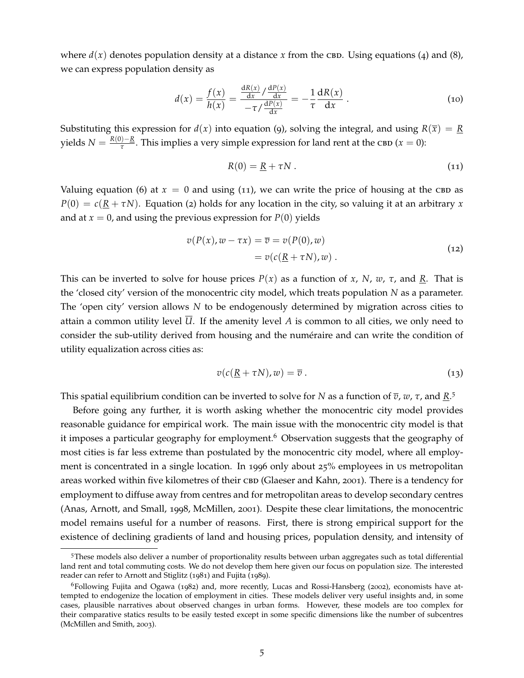where  $d(x)$  denotes population density at a distance x from the CBD. Using equations ([4](#page-4-0)) and ([8](#page-4-2)), we can express population density as

<span id="page-5-4"></span>
$$
d(x) = \frac{f(x)}{h(x)} = \frac{\frac{dR(x)}{dx} / \frac{dP(x)}{dx}}{-\tau / \frac{dP(x)}{dx}} = -\frac{1}{\tau} \frac{dR(x)}{dx} .
$$
 (10)

Substituting this expression for  $d(x)$  into equation ([9](#page-4-3)), solving the integral, and using  $R(\bar{x}) = R$ yields  $N = \frac{R(0) - R}{\tau}$ . This implies a very simple expression for land rent at the cBD (*x* = 0):

<span id="page-5-0"></span>
$$
R(0) = \underline{R} + \tau N \tag{11}
$$

Valuing equation ([6](#page-4-1)) at  $x = 0$  and using ([11](#page-5-0)), we can write the price of housing at the CBD as  $P(0) = c(R + \tau N)$ . Equation ([2](#page-3-3)) holds for any location in the city, so valuing it at an arbitrary *x* and at  $x = 0$ , and using the previous expression for  $P(0)$  yields

$$
v(P(x), w - \tau x) = \overline{v} = v(P(0), w)
$$
  
= 
$$
v(c(\underline{R} + \tau N), w).
$$
 (12)

<span id="page-5-5"></span>This can be inverted to solve for house prices  $P(x)$  as a function of *x*, *N*, *w*, *τ*, and *R*. That is the 'closed city' version of the monocentric city model, which treats population *N* as a parameter. The 'open city' version allows *N* to be endogenously determined by migration across cities to attain a common utility level  $\overline{U}$ . If the amenity level A is common to all cities, we only need to consider the sub-utility derived from housing and the numéraire and can write the condition of utility equalization across cities as:

<span id="page-5-3"></span>
$$
v(c(\underline{R} + \tau N), w) = \overline{v} \,.
$$

This spatial equilibrium condition can be inverted to solve for *N* as a function of  $\overline{v}$ ,  $w$ ,  $\tau$ , and <u>R</u>.<sup>[5](#page-5-1)</sup>

Before going any further, it is worth asking whether the monocentric city model provides reasonable guidance for empirical work. The main issue with the monocentric city model is that it imposes a particular geography for employment.<sup>[6](#page-5-2)</sup> Observation suggests that the geography of most cities is far less extreme than postulated by the monocentric city model, where all employment is concentrated in a single location. In 1996 only about 25% employees in us metropolitan areas worked within five kilometres of their CBD [\(Glaeser and Kahn,](#page-62-4) [2001](#page-62-4)). There is a tendency for employment to diffuse away from centres and for metropolitan areas to develop secondary centres [\(Anas, Arnott, and Small,](#page-58-3) [1998](#page-58-3), [McMillen,](#page-65-3) [2001](#page-65-3)). Despite these clear limitations, the monocentric model remains useful for a number of reasons. First, there is strong empirical support for the existence of declining gradients of land and housing prices, population density, and intensity of

<span id="page-5-1"></span><sup>5</sup>These models also deliver a number of proportionality results between urban aggregates such as total differential land rent and total commuting costs. We do not develop them here given our focus on population size. The interested reader can refer to [Arnott and Stiglitz](#page-58-4) ([1981](#page-58-4)) and [Fujita](#page-61-3) ([1989](#page-61-3)).

<span id="page-5-2"></span> $6$ Following [Fujita and Ogawa](#page-62-5) ([1982](#page-62-5)) and, more recently, [Lucas and Rossi-Hansberg](#page-65-4) ([2002](#page-65-4)), economists have attempted to endogenize the location of employment in cities. These models deliver very useful insights and, in some cases, plausible narratives about observed changes in urban forms. However, these models are too complex for their comparative statics results to be easily tested except in some specific dimensions like the number of subcentres [\(McMillen and Smith,](#page-65-5) [2003](#page-65-5)).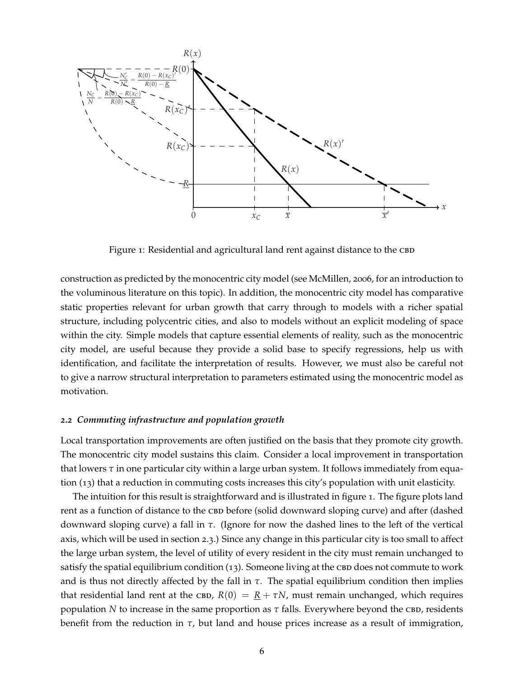

<span id="page-6-0"></span>Figure 1: Residential and agricultural land rent against distance to the CBD

construction as predicted by the monocentric city model (see [McMillen,](#page-65-6) [2006](#page-65-6), for an introduction to the voluminous literature on this topic). In addition, the monocentric city model has comparative static properties relevant for urban growth that carry through to models with a richer spatial structure, including polycentric cities, and also to models without an explicit modeling of space within the city. Simple models that capture essential elements of reality, such as the monocentric city model, are useful because they provide a solid base to specify regressions, help us with identification, and facilitate the interpretation of results. However, we must also be careful not to give a narrow structural interpretation to parameters estimated using the monocentric model as motivation.

# *2.2 Commuting infrastructure and population growth*

Local transportation improvements are often justified on the basis that they promote city growth. The monocentric city model sustains this claim. Consider a local improvement in transportation that lowers *τ* in one particular city within a large urban system. It follows immediately from equation ([13](#page-5-3)) that a reduction in commuting costs increases this city's population with unit elasticity.

The intuition for this result is straightforward and is illustrated in figure [1](#page-6-0). The figure plots land rent as a function of distance to the CBD before (solid downward sloping curve) and after (dashed downward sloping curve) a fall in *τ*. (Ignore for now the dashed lines to the left of the vertical axis, which will be used in section [2](#page-10-0).3.) Since any change in this particular city is too small to affect the large urban system, the level of utility of every resident in the city must remain unchanged to satisfy the spatial equilibrium condition  $(13)$  $(13)$  $(13)$ . Someone living at the CBD does not commute to work and is thus not directly affected by the fall in  $\tau$ . The spatial equilibrium condition then implies that residential land rent at the CBD,  $R(0) = R + \tau N$ , must remain unchanged, which requires population *N* to increase in the same proportion as  $τ$  falls. Everywhere beyond the CBD, residents benefit from the reduction in *τ*, but land and house prices increase as a result of immigration,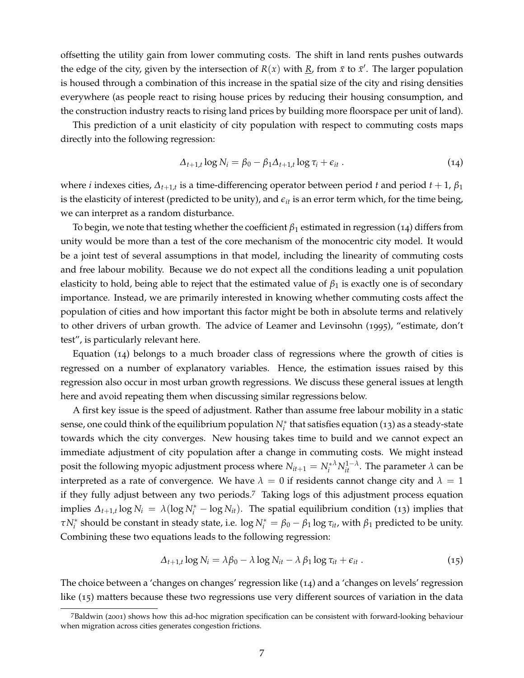offsetting the utility gain from lower commuting costs. The shift in land rents pushes outwards the edge of the city, given by the intersection of  $R(x)$  with <u>R</u>, from  $\bar{x}$  to  $\bar{x}'$ . The larger population is housed through a combination of this increase in the spatial size of the city and rising densities everywhere (as people react to rising house prices by reducing their housing consumption, and the construction industry reacts to rising land prices by building more floorspace per unit of land).

This prediction of a unit elasticity of city population with respect to commuting costs maps directly into the following regression:

<span id="page-7-0"></span>
$$
\Delta_{t+1,t} \log N_i = \beta_0 - \beta_1 \Delta_{t+1,t} \log \tau_i + \epsilon_{it} \ . \tag{14}
$$

where *i* indexes cities, *∆t*+1,*<sup>t</sup>* is a time-differencing operator between period *t* and period *t* + 1, *β*<sup>1</sup> is the elasticity of interest (predicted to be unity), and  $\epsilon_{it}$  is an error term which, for the time being, we can interpret as a random disturbance.

To begin, we note that testing whether the coefficient  $\beta_1$  estimated in regression ([14](#page-7-0)) differs from unity would be more than a test of the core mechanism of the monocentric city model. It would be a joint test of several assumptions in that model, including the linearity of commuting costs and free labour mobility. Because we do not expect all the conditions leading a unit population elasticity to hold, being able to reject that the estimated value of  $\beta_1$  is exactly one is of secondary importance. Instead, we are primarily interested in knowing whether commuting costs affect the population of cities and how important this factor might be both in absolute terms and relatively to other drivers of urban growth. The advice of [Leamer and Levinsohn](#page-64-1) ([1995](#page-64-1)), "estimate, don't test", is particularly relevant here.

Equation ([14](#page-7-0)) belongs to a much broader class of regressions where the growth of cities is regressed on a number of explanatory variables. Hence, the estimation issues raised by this regression also occur in most urban growth regressions. We discuss these general issues at length here and avoid repeating them when discussing similar regressions below.

A first key issue is the speed of adjustment. Rather than assume free labour mobility in a static sense, one could think of the equilibrium population  $N_i^*$  that satisfies equation ([13](#page-5-3)) as a steady-state towards which the city converges. New housing takes time to build and we cannot expect an immediate adjustment of city population after a change in commuting costs. We might instead posit the following myopic adjustment process where  $N_{it+1} = N_i^* {^{\lambda}N_{it}^{1-\lambda}}$ . The parameter  $\lambda$  can be interpreted as a rate of convergence. We have  $\lambda = 0$  if residents cannot change city and  $\lambda = 1$ if they fully adjust between any two periods.[7](#page-7-1) Taking logs of this adjustment process equation implies  $\Delta_{t+1,t} \log N_i = \lambda (\log N_i^* - \log N_{it})$ . The spatial equilibrium condition ([13](#page-5-3)) implies that *τ N*<sup>\*</sup> should be constant in steady state, i.e.  $\log N_i^* = \beta_0 - \beta_1 \log \tau_i$ , with  $\beta_1$  predicted to be unity. Combining these two equations leads to the following regression:

<span id="page-7-2"></span>
$$
\Delta_{t+1,t} \log N_i = \lambda \beta_0 - \lambda \log N_{it} - \lambda \beta_1 \log \tau_{it} + \epsilon_{it} \,. \tag{15}
$$

The choice between a 'changes on changes' regression like ([14](#page-7-0)) and a 'changes on levels' regression like ([15](#page-7-2)) matters because these two regressions use very different sources of variation in the data

<span id="page-7-1"></span><sup>7</sup>[Baldwin](#page-58-5) ([2001](#page-58-5)) shows how this ad-hoc migration specification can be consistent with forward-looking behaviour when migration across cities generates congestion frictions.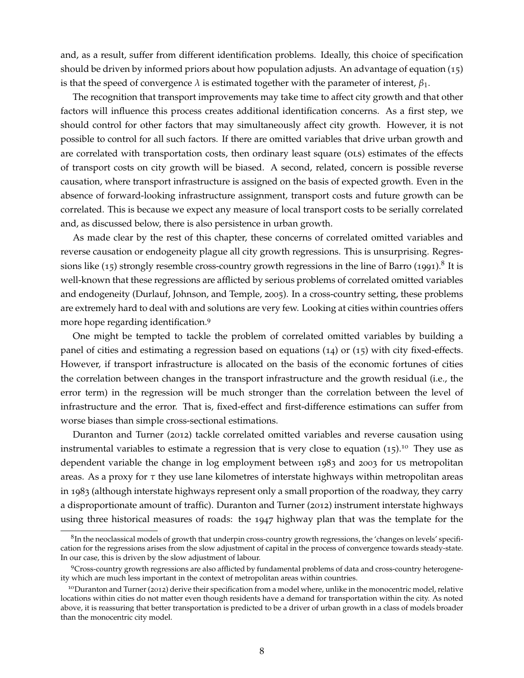and, as a result, suffer from different identification problems. Ideally, this choice of specification should be driven by informed priors about how population adjusts. An advantage of equation ([15](#page-7-2)) is that the speed of convergence  $\lambda$  is estimated together with the parameter of interest,  $\beta_1$ .

The recognition that transport improvements may take time to affect city growth and that other factors will influence this process creates additional identification concerns. As a first step, we should control for other factors that may simultaneously affect city growth. However, it is not possible to control for all such factors. If there are omitted variables that drive urban growth and are correlated with transportation costs, then ordinary least square (OLS) estimates of the effects of transport costs on city growth will be biased. A second, related, concern is possible reverse causation, where transport infrastructure is assigned on the basis of expected growth. Even in the absence of forward-looking infrastructure assignment, transport costs and future growth can be correlated. This is because we expect any measure of local transport costs to be serially correlated and, as discussed below, there is also persistence in urban growth.

As made clear by the rest of this chapter, these concerns of correlated omitted variables and reverse causation or endogeneity plague all city growth regressions. This is unsurprising. Regres-sions like ([15](#page-7-2)) strongly resemble cross-country growth regressions in the line of [Barro](#page-58-1) ([1991](#page-58-1)).<sup>[8](#page-8-0)</sup> It is well-known that these regressions are afflicted by serious problems of correlated omitted variables and endogeneity [\(Durlauf, Johnson, and Temple,](#page-61-2) [2005](#page-61-2)). In a cross-country setting, these problems are extremely hard to deal with and solutions are very few. Looking at cities within countries offers more hope regarding identification.[9](#page-8-1)

One might be tempted to tackle the problem of correlated omitted variables by building a panel of cities and estimating a regression based on equations  $(14)$  $(14)$  $(14)$  or  $(15)$  $(15)$  $(15)$  with city fixed-effects. However, if transport infrastructure is allocated on the basis of the economic fortunes of cities the correlation between changes in the transport infrastructure and the growth residual (i.e., the error term) in the regression will be much stronger than the correlation between the level of infrastructure and the error. That is, fixed-effect and first-difference estimations can suffer from worse biases than simple cross-sectional estimations.

[Duranton and Turner](#page-61-4) ([2012](#page-61-4)) tackle correlated omitted variables and reverse causation using instrumental variables to estimate a regression that is very close to equation  $(15)$  $(15)$  $(15)$ .<sup>[10](#page-8-2)</sup> They use as dependent variable the change in log employment between 1983 and 2003 for us metropolitan areas. As a proxy for *τ* they use lane kilometres of interstate highways within metropolitan areas in 1983 (although interstate highways represent only a small proportion of the roadway, they carry a disproportionate amount of traffic). [Duranton and Turner](#page-61-4) ([2012](#page-61-4)) instrument interstate highways using three historical measures of roads: the 1947 highway plan that was the template for the

<span id="page-8-0"></span> ${}^{8}$ In the neoclassical models of growth that underpin cross-country growth regressions, the 'changes on levels' specification for the regressions arises from the slow adjustment of capital in the process of convergence towards steady-state. In our case, this is driven by the slow adjustment of labour.

<span id="page-8-1"></span><sup>9</sup>Cross-country growth regressions are also afflicted by fundamental problems of data and cross-country heterogeneity which are much less important in the context of metropolitan areas within countries.

<span id="page-8-2"></span> $10$ [Duranton and Turner](#page-61-4) ([2012](#page-61-4)) derive their specification from a model where, unlike in the monocentric model, relative locations within cities do not matter even though residents have a demand for transportation within the city. As noted above, it is reassuring that better transportation is predicted to be a driver of urban growth in a class of models broader than the monocentric city model.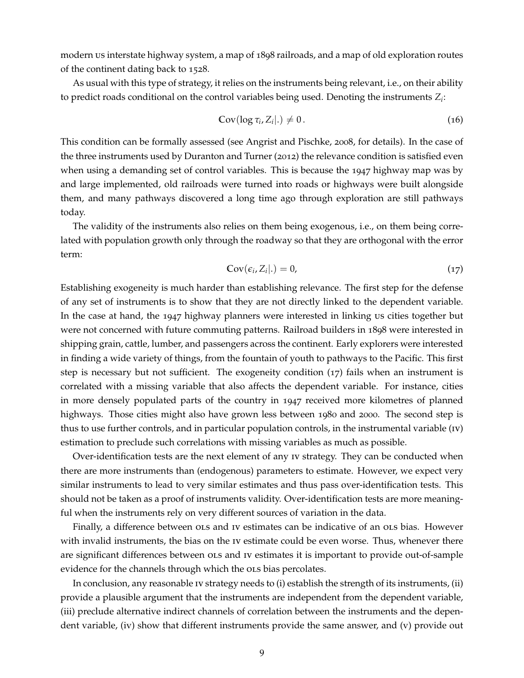modern us interstate highway system, a map of 1898 railroads, and a map of old exploration routes of the continent dating back to 1528.

As usual with this type of strategy, it relies on the instruments being relevant, i.e., on their ability to predict roads conditional on the control variables being used. Denoting the instruments *Z<sup>i</sup>* :

$$
Cov(\log \tau_i, Z_i |.) \neq 0. \tag{16}
$$

This condition can be formally assessed (see [Angrist and Pischke,](#page-58-6) [2008](#page-58-6), for details). In the case of the three instruments used by [Duranton and Turner](#page-61-4) ([2012](#page-61-4)) the relevance condition is satisfied even when using a demanding set of control variables. This is because the 1947 highway map was by and large implemented, old railroads were turned into roads or highways were built alongside them, and many pathways discovered a long time ago through exploration are still pathways today.

The validity of the instruments also relies on them being exogenous, i.e., on them being correlated with population growth only through the roadway so that they are orthogonal with the error term:

<span id="page-9-0"></span>
$$
Cov(\epsilon_i, Z_i|.) = 0,\t\t(17)
$$

Establishing exogeneity is much harder than establishing relevance. The first step for the defense of any set of instruments is to show that they are not directly linked to the dependent variable. In the case at hand, the 1947 highway planners were interested in linking us cities together but were not concerned with future commuting patterns. Railroad builders in 1898 were interested in shipping grain, cattle, lumber, and passengers across the continent. Early explorers were interested in finding a wide variety of things, from the fountain of youth to pathways to the Pacific. This first step is necessary but not sufficient. The exogeneity condition ([17](#page-9-0)) fails when an instrument is correlated with a missing variable that also affects the dependent variable. For instance, cities in more densely populated parts of the country in 1947 received more kilometres of planned highways. Those cities might also have grown less between 1980 and 2000. The second step is thus to use further controls, and in particular population controls, in the instrumental variable (iv) estimation to preclude such correlations with missing variables as much as possible.

Over-identification tests are the next element of any iv strategy. They can be conducted when there are more instruments than (endogenous) parameters to estimate. However, we expect very similar instruments to lead to very similar estimates and thus pass over-identification tests. This should not be taken as a proof of instruments validity. Over-identification tests are more meaningful when the instruments rely on very different sources of variation in the data.

Finally, a difference between ols and iv estimates can be indicative of an ols bias. However with invalid instruments, the bias on the iv estimate could be even worse. Thus, whenever there are significant differences between ols and Iv estimates it is important to provide out-of-sample evidence for the channels through which the OLS bias percolates.

In conclusion, any reasonable iv strategy needs to (i) establish the strength of its instruments, (ii) provide a plausible argument that the instruments are independent from the dependent variable, (iii) preclude alternative indirect channels of correlation between the instruments and the dependent variable, (iv) show that different instruments provide the same answer, and (v) provide out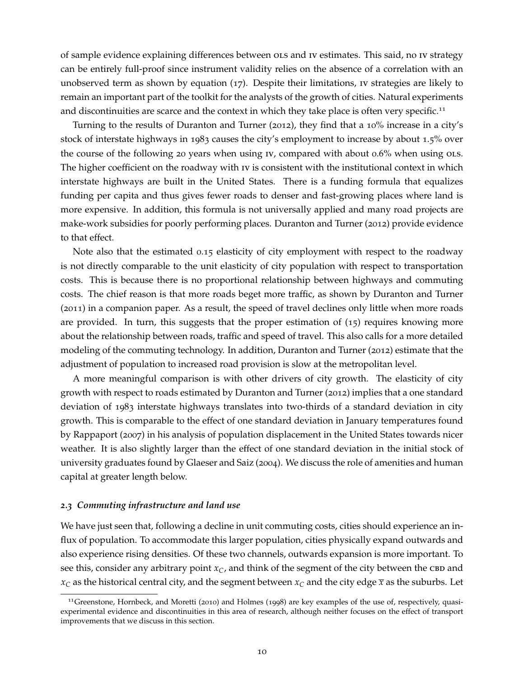of sample evidence explaining differences between ols and iv estimates. This said, no iv strategy can be entirely full-proof since instrument validity relies on the absence of a correlation with an unobserved term as shown by equation ([17](#page-9-0)). Despite their limitations, iv strategies are likely to remain an important part of the toolkit for the analysts of the growth of cities. Natural experiments and discontinuities are scarce and the context in which they take place is often very specific.<sup>[11](#page-10-1)</sup>

Turning to the results of [Duranton and Turner](#page-61-4) ([2012](#page-61-4)), they find that a 10% increase in a city's stock of interstate highways in 1983 causes the city's employment to increase by about 1.5% over the course of the following 20 years when using *IV*, compared with about 0.6% when using oLs. The higher coefficient on the roadway with IV is consistent with the institutional context in which interstate highways are built in the United States. There is a funding formula that equalizes funding per capita and thus gives fewer roads to denser and fast-growing places where land is more expensive. In addition, this formula is not universally applied and many road projects are make-work subsidies for poorly performing places. [Duranton and Turner](#page-61-4) ([2012](#page-61-4)) provide evidence to that effect.

Note also that the estimated 0.15 elasticity of city employment with respect to the roadway is not directly comparable to the unit elasticity of city population with respect to transportation costs. This is because there is no proportional relationship between highways and commuting costs. The chief reason is that more roads beget more traffic, as shown by [Duranton and Turner](#page-61-5) ([2011](#page-61-5)) in a companion paper. As a result, the speed of travel declines only little when more roads are provided. In turn, this suggests that the proper estimation of ([15](#page-7-2)) requires knowing more about the relationship between roads, traffic and speed of travel. This also calls for a more detailed modeling of the commuting technology. In addition, [Duranton and Turner](#page-61-4) ([2012](#page-61-4)) estimate that the adjustment of population to increased road provision is slow at the metropolitan level.

A more meaningful comparison is with other drivers of city growth. The elasticity of city growth with respect to roads estimated by [Duranton and Turner](#page-61-4) ([2012](#page-61-4)) implies that a one standard deviation of 1983 interstate highways translates into two-thirds of a standard deviation in city growth. This is comparable to the effect of one standard deviation in January temperatures found by [Rappaport](#page-65-7) ([2007](#page-65-7)) in his analysis of population displacement in the United States towards nicer weather. It is also slightly larger than the effect of one standard deviation in the initial stock of university graduates found by [Glaeser and Saiz](#page-63-3) ([2004](#page-63-3)). We discuss the role of amenities and human capital at greater length below.

#### <span id="page-10-0"></span>*2.3 Commuting infrastructure and land use*

We have just seen that, following a decline in unit commuting costs, cities should experience an influx of population. To accommodate this larger population, cities physically expand outwards and also experience rising densities. Of these two channels, outwards expansion is more important. To see this, consider any arbitrary point  $x_C$ , and think of the segment of the city between the  $\texttt{CBD}$  and  $x_C$  as the historical central city, and the segment between  $x_C$  and the city edge  $\bar{x}$  as the suburbs. Let

<span id="page-10-1"></span><sup>&</sup>lt;sup>11</sup>[Greenstone, Hornbeck, and Moretti](#page-63-4) ([2010](#page-63-4)) and [Holmes](#page-64-2) ([1998](#page-64-2)) are key examples of the use of, respectively, quasiexperimental evidence and discontinuities in this area of research, although neither focuses on the effect of transport improvements that we discuss in this section.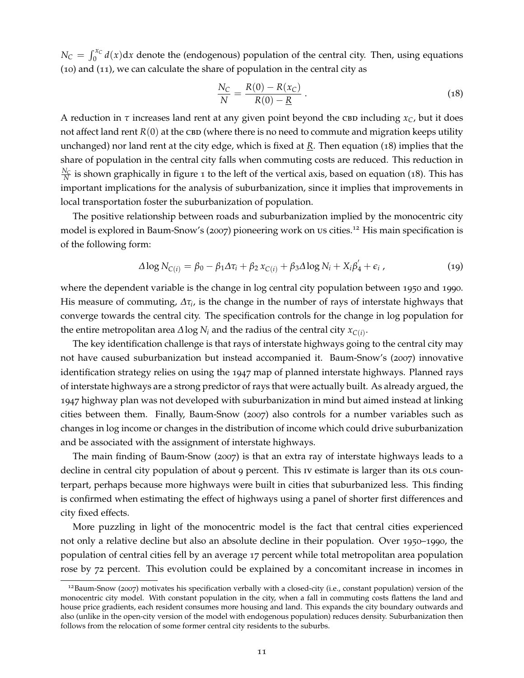$N_C = \int_0^{x_C} d(x) dx$  denote the (endogenous) population of the central city. Then, using equations ([10](#page-5-4)) and ([11](#page-5-0)), we can calculate the share of population in the central city as

<span id="page-11-0"></span>
$$
\frac{N_C}{N} = \frac{R(0) - R(x_C)}{R(0) - \underline{R}} \,. \tag{18}
$$

A reduction in  $\tau$  increases land rent at any given point beyond the CBD including  $x_C$ , but it does not affect land rent  $R(0)$  at the CBD (where there is no need to commute and migration keeps utility unchanged) nor land rent at the city edge, which is fixed at *R*. Then equation ([18](#page-11-0)) implies that the share of population in the central city falls when commuting costs are reduced. This reduction in  $\frac{N_C}{N}$  is shown graphically in figure [1](#page-6-0) to the left of the vertical axis, based on equation ([18](#page-11-0)). This has important implications for the analysis of suburbanization, since it implies that improvements in local transportation foster the suburbanization of population.

The positive relationship between roads and suburbanization implied by the monocentric city model is explored in [Baum-Snow'](#page-58-7)s ([2007](#page-58-7)) pioneering work on us cities.<sup>[12](#page-11-1)</sup> His main specification is of the following form:

$$
\Delta \log N_{C(i)} = \beta_0 - \beta_1 \Delta \tau_i + \beta_2 x_{C(i)} + \beta_3 \Delta \log N_i + X_i \beta'_4 + \epsilon_i , \qquad (19)
$$

where the dependent variable is the change in log central city population between 1950 and 1990. His measure of commuting, *∆τ<sup>i</sup>* , is the change in the number of rays of interstate highways that converge towards the central city. The specification controls for the change in log population for the entire metropolitan area  $\Delta \log N_i$  and the radius of the central city  $x_{C(i)}$ .

The key identification challenge is that rays of interstate highways going to the central city may not have caused suburbanization but instead accompanied it. [Baum-Snow'](#page-58-7)s ([2007](#page-58-7)) innovative identification strategy relies on using the 1947 map of planned interstate highways. Planned rays of interstate highways are a strong predictor of rays that were actually built. As already argued, the 1947 highway plan was not developed with suburbanization in mind but aimed instead at linking cities between them. Finally, [Baum-Snow](#page-58-7) ([2007](#page-58-7)) also controls for a number variables such as changes in log income or changes in the distribution of income which could drive suburbanization and be associated with the assignment of interstate highways.

The main finding of [Baum-Snow](#page-58-7) ([2007](#page-58-7)) is that an extra ray of interstate highways leads to a decline in central city population of about 9 percent. This iv estimate is larger than its ols counterpart, perhaps because more highways were built in cities that suburbanized less. This finding is confirmed when estimating the effect of highways using a panel of shorter first differences and city fixed effects.

More puzzling in light of the monocentric model is the fact that central cities experienced not only a relative decline but also an absolute decline in their population. Over 1950–1990, the population of central cities fell by an average 17 percent while total metropolitan area population rose by 72 percent. This evolution could be explained by a concomitant increase in incomes in

<span id="page-11-1"></span><sup>12</sup>[Baum-Snow](#page-58-7) ([2007](#page-58-7)) motivates his specification verbally with a closed-city (i.e., constant population) version of the monocentric city model. With constant population in the city, when a fall in commuting costs flattens the land and house price gradients, each resident consumes more housing and land. This expands the city boundary outwards and also (unlike in the open-city version of the model with endogenous population) reduces density. Suburbanization then follows from the relocation of some former central city residents to the suburbs.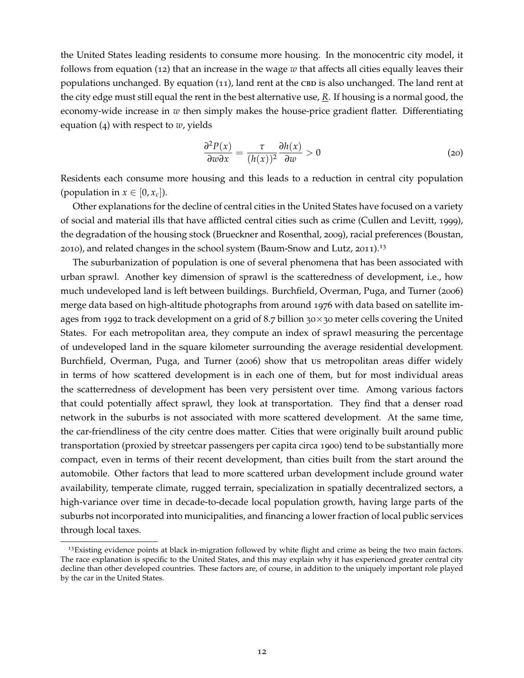the United States leading residents to consume more housing. In the monocentric city model, it follows from equation ([12](#page-5-5)) that an increase in the wage *w* that affects all cities equally leaves their populations unchanged. By equation  $(11)$  $(11)$  $(11)$ , land rent at the CBD is also unchanged. The land rent at the city edge must still equal the rent in the best alternative use, *R*. If housing is a normal good, the economy-wide increase in *w* then simply makes the house-price gradient flatter. Differentiating equation ([4](#page-4-0)) with respect to *w*, yields

$$
\frac{\partial^2 P(x)}{\partial w \partial x} = \frac{\tau}{(h(x))^2} \frac{\partial h(x)}{\partial w} > 0
$$
 (20)

Residents each consume more housing and this leads to a reduction in central city population (population in  $x \in [0, x_c]$ ).

Other explanations for the decline of central cities in the United States have focused on a variety of social and material ills that have afflicted central cities such as crime [\(Cullen and Levitt,](#page-60-2) [1999](#page-60-2)), the degradation of the housing stock [\(Brueckner and Rosenthal,](#page-59-0) [2009](#page-59-0)), racial preferences [\(Boustan,](#page-59-1) [2010](#page-59-1)), and related changes in the school system [\(Baum-Snow and Lutz,](#page-59-2) [2011](#page-59-2)).[13](#page-12-0)

The suburbanization of population is one of several phenomena that has been associated with urban sprawl. Another key dimension of sprawl is the scatteredness of development, i.e., how much undeveloped land is left between buildings. [Burchfield, Overman, Puga, and Turner](#page-59-3) ([2006](#page-59-3)) merge data based on high-altitude photographs from around 1976 with data based on satellite images from 1992 to track development on a grid of 8.7 billion  $30 \times 30$  meter cells covering the United States. For each metropolitan area, they compute an index of sprawl measuring the percentage of undeveloped land in the square kilometer surrounding the average residential development. [Burchfield, Overman, Puga, and Turner](#page-59-3) ([2006](#page-59-3)) show that us metropolitan areas differ widely in terms of how scattered development is in each one of them, but for most individual areas the scatterredness of development has been very persistent over time. Among various factors that could potentially affect sprawl, they look at transportation. They find that a denser road network in the suburbs is not associated with more scattered development. At the same time, the car-friendliness of the city centre does matter. Cities that were originally built around public transportation (proxied by streetcar passengers per capita circa 1900) tend to be substantially more compact, even in terms of their recent development, than cities built from the start around the automobile. Other factors that lead to more scattered urban development include ground water availability, temperate climate, rugged terrain, specialization in spatially decentralized sectors, a high-variance over time in decade-to-decade local population growth, having large parts of the suburbs not incorporated into municipalities, and financing a lower fraction of local public services through local taxes.

<span id="page-12-0"></span><sup>&</sup>lt;sup>13</sup>Existing evidence points at black in-migration followed by white flight and crime as being the two main factors. The race explanation is specific to the United States, and this may explain why it has experienced greater central city decline than other developed countries. These factors are, of course, in addition to the uniquely important role played by the car in the United States.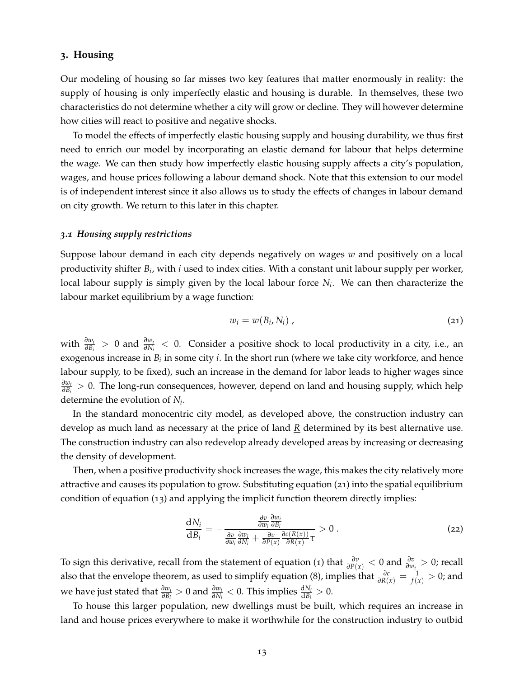# **3. Housing**

Our modeling of housing so far misses two key features that matter enormously in reality: the supply of housing is only imperfectly elastic and housing is durable. In themselves, these two characteristics do not determine whether a city will grow or decline. They will however determine how cities will react to positive and negative shocks.

To model the effects of imperfectly elastic housing supply and housing durability, we thus first need to enrich our model by incorporating an elastic demand for labour that helps determine the wage. We can then study how imperfectly elastic housing supply affects a city's population, wages, and house prices following a labour demand shock. Note that this extension to our model is of independent interest since it also allows us to study the effects of changes in labour demand on city growth. We return to this later in this chapter.

#### <span id="page-13-2"></span>*3.1 Housing supply restrictions*

Suppose labour demand in each city depends negatively on wages *w* and positively on a local productivity shifter *B<sup>i</sup>* , with *i* used to index cities. With a constant unit labour supply per worker, local labour supply is simply given by the local labour force *N<sup>i</sup>* . We can then characterize the labour market equilibrium by a wage function:

<span id="page-13-0"></span>
$$
w_i = w(B_i, N_i) \t{,} \t(21)
$$

with *<sup>∂</sup>w<sup>i</sup> ∂B<sup>i</sup>* > 0 and *<sup>∂</sup>w<sup>i</sup> ∂N<sup>i</sup>* < 0. Consider a positive shock to local productivity in a city, i.e., an exogenous increase in  $B_i$  in some city *i*. In the short run (where we take city workforce, and hence labour supply, to be fixed), such an increase in the demand for labor leads to higher wages since *∂w<sup>i</sup> ∂*<sup>*av<sub>i</sub>*</sup> > 0. The long-run consequences, however, depend on land and housing supply, which help determine the evolution of *N<sup>i</sup>* .

In the standard monocentric city model, as developed above, the construction industry can develop as much land as necessary at the price of land *R* determined by its best alternative use. The construction industry can also redevelop already developed areas by increasing or decreasing the density of development.

Then, when a positive productivity shock increases the wage, this makes the city relatively more attractive and causes its population to grow. Substituting equation ([21](#page-13-0)) into the spatial equilibrium condition of equation ([13](#page-5-3)) and applying the implicit function theorem directly implies:

<span id="page-13-1"></span>
$$
\frac{\mathrm{d}N_i}{\mathrm{d}B_i} = -\frac{\frac{\partial v}{\partial w_i} \frac{\partial w_i}{\partial B_i}}{\frac{\partial v}{\partial w_i} \frac{\partial w_i}{\partial N_i} + \frac{\partial v}{\partial P(x)} \frac{\partial c(R(x))}{\partial R(x)} \tau} > 0.
$$
\n(22)

To sign this derivative, recall from the statement of equation ([1](#page-3-4)) that  $\frac{\partial v}{\partial P(x)} < 0$  and  $\frac{\partial v}{\partial w_i} > 0$ ; recall also that the envelope theorem, as used to simplify equation ([8](#page-4-2)), implies that  $\frac{\partial c}{\partial R(x)} = \frac{1}{f(x)} > 0$ ; and we have just stated that  $\frac{\partial w_i}{\partial B_i} > 0$  and  $\frac{\partial w_i}{\partial N_i} < 0$ . This implies  $\frac{dN_i}{dB_i} > 0$ .

To house this larger population, new dwellings must be built, which requires an increase in land and house prices everywhere to make it worthwhile for the construction industry to outbid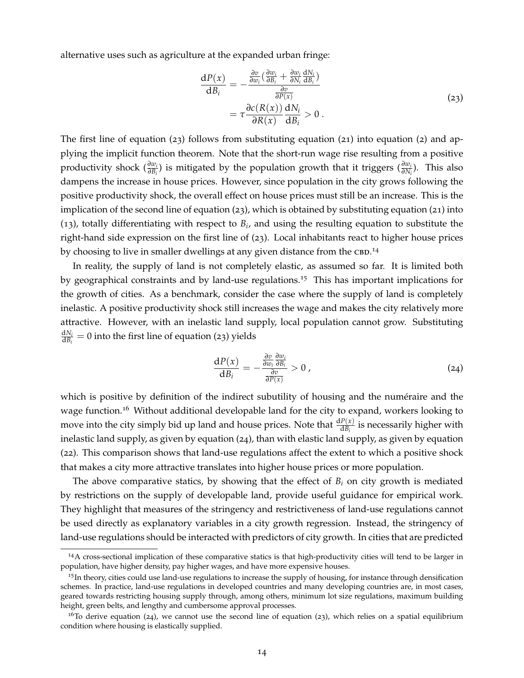<span id="page-14-0"></span>alternative uses such as agriculture at the expanded urban fringe:

$$
\frac{dP(x)}{dB_i} = -\frac{\frac{\partial v}{\partial w_i}(\frac{\partial w_i}{\partial B_i} + \frac{\partial w_i}{\partial N_i} \frac{dN_i}{dB_i})}{\frac{\partial v}{\partial P(x)}}\n= \tau \frac{\partial c(R(x))}{\partial R(x)} \frac{dN_i}{dB_i} > 0.
$$
\n(23)

The first line of equation ([23](#page-14-0)) follows from substituting equation ([21](#page-13-0)) into equation ([2](#page-3-3)) and applying the implicit function theorem. Note that the short-run wage rise resulting from a positive productivity shock ( *<sup>∂</sup>w<sup>i</sup> ∂B<sup>i</sup>* ) is mitigated by the population growth that it triggers ( *<sup>∂</sup>w<sup>i</sup> ∂N<sup>i</sup>* ). This also dampens the increase in house prices. However, since population in the city grows following the positive productivity shock, the overall effect on house prices must still be an increase. This is the implication of the second line of equation ([23](#page-14-0)), which is obtained by substituting equation ([21](#page-13-0)) into  $(13)$  $(13)$  $(13)$ , totally differentiating with respect to  $B_i$ , and using the resulting equation to substitute the right-hand side expression on the first line of ([23](#page-14-0)). Local inhabitants react to higher house prices by choosing to live in smaller dwellings at any given distance from the CBD.<sup>[14](#page-14-1)</sup>

In reality, the supply of land is not completely elastic, as assumed so far. It is limited both by geographical constraints and by land-use regulations.<sup>[15](#page-14-2)</sup> This has important implications for the growth of cities. As a benchmark, consider the case where the supply of land is completely inelastic. A positive productivity shock still increases the wage and makes the city relatively more attractive. However, with an inelastic land supply, local population cannot grow. Substituting d*N<sup>i</sup>*  $\frac{dN_i}{dB_i} = 0$  into the first line of equation ([23](#page-14-0)) yields

<span id="page-14-4"></span>
$$
\frac{\mathrm{d}P(x)}{\mathrm{d}B_i} = -\frac{\frac{\partial v}{\partial w_i}\frac{\partial w_i}{\partial B_i}}{\frac{\partial v}{\partial P(x)}} > 0 \,,\tag{24}
$$

which is positive by definition of the indirect subutility of housing and the numéraire and the wage function.<sup>[16](#page-14-3)</sup> Without additional developable land for the city to expand, workers looking to move into the city simply bid up land and house prices. Note that  $\frac{dP(x)}{dB_i}$  is necessarily higher with inelastic land supply, as given by equation ([24](#page-14-4)), than with elastic land supply, as given by equation ([22](#page-13-1)). This comparison shows that land-use regulations affect the extent to which a positive shock that makes a city more attractive translates into higher house prices or more population.

The above comparative statics, by showing that the effect of  $B_i$  on city growth is mediated by restrictions on the supply of developable land, provide useful guidance for empirical work. They highlight that measures of the stringency and restrictiveness of land-use regulations cannot be used directly as explanatory variables in a city growth regression. Instead, the stringency of land-use regulations should be interacted with predictors of city growth. In cities that are predicted

<span id="page-14-1"></span><sup>14</sup>A cross-sectional implication of these comparative statics is that high-productivity cities will tend to be larger in population, have higher density, pay higher wages, and have more expensive houses.

<span id="page-14-2"></span> $15$ In theory, cities could use land-use regulations to increase the supply of housing, for instance through densification schemes. In practice, land-use regulations in developed countries and many developing countries are, in most cases, geared towards restricting housing supply through, among others, minimum lot size regulations, maximum building height, green belts, and lengthy and cumbersome approval processes.

<span id="page-14-3"></span><sup>&</sup>lt;sup>16</sup>To derive equation ([24](#page-14-4)), we cannot use the second line of equation ([23](#page-14-0)), which relies on a spatial equilibrium condition where housing is elastically supplied.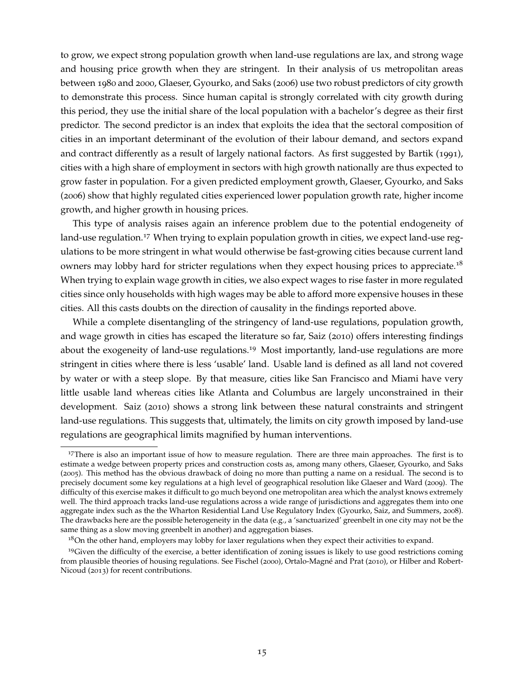to grow, we expect strong population growth when land-use regulations are lax, and strong wage and housing price growth when they are stringent. In their analysis of us metropolitan areas between 1980 and 2000, [Glaeser, Gyourko, and Saks](#page-62-6) ([2006](#page-62-6)) use two robust predictors of city growth to demonstrate this process. Since human capital is strongly correlated with city growth during this period, they use the initial share of the local population with a bachelor's degree as their first predictor. The second predictor is an index that exploits the idea that the sectoral composition of cities in an important determinant of the evolution of their labour demand, and sectors expand and contract differently as a result of largely national factors. As first suggested by [Bartik](#page-58-8) ([1991](#page-58-8)), cities with a high share of employment in sectors with high growth nationally are thus expected to grow faster in population. For a given predicted employment growth, [Glaeser, Gyourko, and Saks](#page-62-6) ([2006](#page-62-6)) show that highly regulated cities experienced lower population growth rate, higher income growth, and higher growth in housing prices.

This type of analysis raises again an inference problem due to the potential endogeneity of land-use regulation.<sup>[17](#page-15-0)</sup> When trying to explain population growth in cities, we expect land-use regulations to be more stringent in what would otherwise be fast-growing cities because current land owners may lobby hard for stricter regulations when they expect housing prices to appreciate.<sup>[18](#page-15-1)</sup> When trying to explain wage growth in cities, we also expect wages to rise faster in more regulated cities since only households with high wages may be able to afford more expensive houses in these cities. All this casts doubts on the direction of causality in the findings reported above.

While a complete disentangling of the stringency of land-use regulations, population growth, and wage growth in cities has escaped the literature so far, [Saiz](#page-66-2) ([2010](#page-66-2)) offers interesting findings about the exogeneity of land-use regulations.<sup>[19](#page-15-2)</sup> Most importantly, land-use regulations are more stringent in cities where there is less 'usable' land. Usable land is defined as all land not covered by water or with a steep slope. By that measure, cities like San Francisco and Miami have very little usable land whereas cities like Atlanta and Columbus are largely unconstrained in their development. [Saiz](#page-66-2) ([2010](#page-66-2)) shows a strong link between these natural constraints and stringent land-use regulations. This suggests that, ultimately, the limits on city growth imposed by land-use regulations are geographical limits magnified by human interventions.

<span id="page-15-0"></span><sup>&</sup>lt;sup>17</sup>There is also an important issue of how to measure regulation. There are three main approaches. The first is to estimate a wedge between property prices and construction costs as, among many others, [Glaeser, Gyourko, and Saks](#page-62-7) ([2005](#page-62-7)). This method has the obvious drawback of doing no more than putting a name on a residual. The second is to precisely document some key regulations at a high level of geographical resolution like [Glaeser and Ward](#page-63-5) ([2009](#page-63-5)). The difficulty of this exercise makes it difficult to go much beyond one metropolitan area which the analyst knows extremely well. The third approach tracks land-use regulations across a wide range of jurisdictions and aggregates them into one aggregate index such as the the Wharton Residential Land Use Regulatory Index [\(Gyourko, Saiz, and Summers,](#page-63-6) [2008](#page-63-6)). The drawbacks here are the possible heterogeneity in the data (e.g., a 'sanctuarized' greenbelt in one city may not be the same thing as a slow moving greenbelt in another) and aggregation biases.

<span id="page-15-2"></span><span id="page-15-1"></span> $18$ On the other hand, employers may lobby for laxer regulations when they expect their activities to expand.

 $<sup>19</sup>$ Given the difficulty of the exercise, a better identification of zoning issues is likely to use good restrictions coming</sup> from plausible theories of housing regulations. See [Fischel](#page-61-6) ([2000](#page-61-6)), [Ortalo-Magné and Prat](#page-65-8) ([2010](#page-65-8)), or [Hilber and Robert-](#page-64-3)[Nicoud](#page-64-3) ([2013](#page-64-3)) for recent contributions.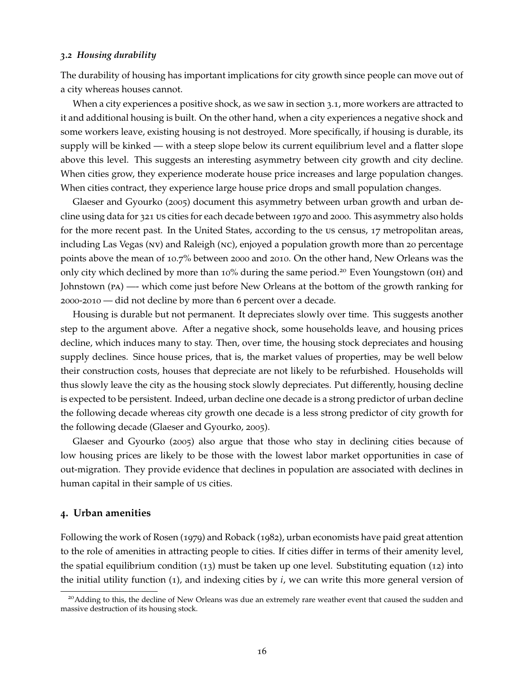## *3.2 Housing durability*

The durability of housing has important implications for city growth since people can move out of a city whereas houses cannot.

When a city experiences a positive shock, as we saw in section [3](#page-13-2).1, more workers are attracted to it and additional housing is built. On the other hand, when a city experiences a negative shock and some workers leave, existing housing is not destroyed. More specifically, if housing is durable, its supply will be kinked — with a steep slope below its current equilibrium level and a flatter slope above this level. This suggests an interesting asymmetry between city growth and city decline. When cities grow, they experience moderate house price increases and large population changes. When cities contract, they experience large house price drops and small population changes.

[Glaeser and Gyourko](#page-62-8) ([2005](#page-62-8)) document this asymmetry between urban growth and urban decline using data for 321 us cities for each decade between 1970 and 2000. This asymmetry also holds for the more recent past. In the United States, according to the us census, 17 metropolitan areas, including Las Vegas (nv) and Raleigh (nc), enjoyed a population growth more than 20 percentage points above the mean of 10.7% between 2000 and 2010. On the other hand, New Orleans was the only city which declined by more than 10% during the same period.<sup>[20](#page-16-0)</sup> Even Youngstown (OH) and Johnstown (pa) —- which come just before New Orleans at the bottom of the growth ranking for 2000-2010 — did not decline by more than 6 percent over a decade.

Housing is durable but not permanent. It depreciates slowly over time. This suggests another step to the argument above. After a negative shock, some households leave, and housing prices decline, which induces many to stay. Then, over time, the housing stock depreciates and housing supply declines. Since house prices, that is, the market values of properties, may be well below their construction costs, houses that depreciate are not likely to be refurbished. Households will thus slowly leave the city as the housing stock slowly depreciates. Put differently, housing decline is expected to be persistent. Indeed, urban decline one decade is a strong predictor of urban decline the following decade whereas city growth one decade is a less strong predictor of city growth for the following decade [\(Glaeser and Gyourko,](#page-62-8) [2005](#page-62-8)).

[Glaeser and Gyourko](#page-62-8) ([2005](#page-62-8)) also argue that those who stay in declining cities because of low housing prices are likely to be those with the lowest labor market opportunities in case of out-migration. They provide evidence that declines in population are associated with declines in human capital in their sample of us cities.

# **4. Urban amenities**

Following the work of [Rosen](#page-66-0) ([1979](#page-66-0)) and [Roback](#page-66-1) ([1982](#page-66-1)), urban economists have paid great attention to the role of amenities in attracting people to cities. If cities differ in terms of their amenity level, the spatial equilibrium condition  $(13)$  $(13)$  $(13)$  must be taken up one level. Substituting equation  $(12)$  $(12)$  $(12)$  into the initial utility function ([1](#page-3-4)), and indexing cities by *i*, we can write this more general version of

<span id="page-16-0"></span><sup>&</sup>lt;sup>20</sup>Adding to this, the decline of New Orleans was due an extremely rare weather event that caused the sudden and massive destruction of its housing stock.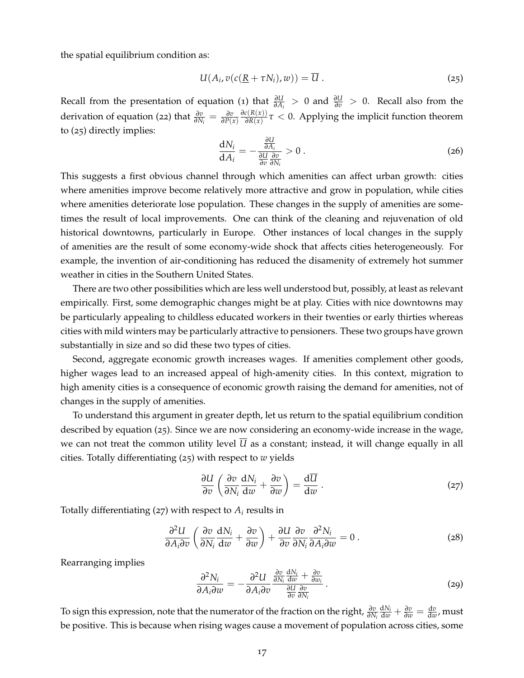the spatial equilibrium condition as:

<span id="page-17-0"></span>
$$
U(A_i, v(c(\underline{R} + \tau N_i), w)) = \overline{U}.
$$
\n(25)

Recall from the presentation of equation ([1](#page-3-4)) that  $\frac{\partial U}{\partial A_i} > 0$  and  $\frac{\partial U}{\partial v} > 0$ . Recall also from the *∂A<sup>i</sup>* derivation of equation ([22](#page-13-1)) that  $\frac{\partial v}{\partial N_i} = \frac{\partial v}{\partial P(x)}$ *∂c*(*R*(*x*))  $\frac{f(X(X|X))}{\partial R(x)}$ τ < 0. Applying the implicit function theorem to ([25](#page-17-0)) directly implies:

<span id="page-17-3"></span>
$$
\frac{\mathrm{d}N_i}{\mathrm{d}A_i} = -\frac{\frac{\partial U}{\partial A_i}}{\frac{\partial U}{\partial v}\frac{\partial v}{\partial N_i}} > 0 \,. \tag{26}
$$

This suggests a first obvious channel through which amenities can affect urban growth: cities where amenities improve become relatively more attractive and grow in population, while cities where amenities deteriorate lose population. These changes in the supply of amenities are sometimes the result of local improvements. One can think of the cleaning and rejuvenation of old historical downtowns, particularly in Europe. Other instances of local changes in the supply of amenities are the result of some economy-wide shock that affects cities heterogeneously. For example, the invention of air-conditioning has reduced the disamenity of extremely hot summer weather in cities in the Southern United States.

There are two other possibilities which are less well understood but, possibly, at least as relevant empirically. First, some demographic changes might be at play. Cities with nice downtowns may be particularly appealing to childless educated workers in their twenties or early thirties whereas cities with mild winters may be particularly attractive to pensioners. These two groups have grown substantially in size and so did these two types of cities.

Second, aggregate economic growth increases wages. If amenities complement other goods, higher wages lead to an increased appeal of high-amenity cities. In this context, migration to high amenity cities is a consequence of economic growth raising the demand for amenities, not of changes in the supply of amenities.

To understand this argument in greater depth, let us return to the spatial equilibrium condition described by equation ([25](#page-17-0)). Since we are now considering an economy-wide increase in the wage, we can not treat the common utility level  $\overline{U}$  as a constant; instead, it will change equally in all cities. Totally differentiating ([25](#page-17-0)) with respect to *w* yields

<span id="page-17-1"></span>
$$
\frac{\partial U}{\partial v} \left( \frac{\partial v}{\partial N_i} \frac{dN_i}{dw} + \frac{\partial v}{\partial w} \right) = \frac{d\overline{U}}{dw} . \tag{27}
$$

Totally differentiating ([27](#page-17-1)) with respect to *A<sup>i</sup>* results in

<span id="page-17-2"></span>
$$
\frac{\partial^2 U}{\partial A_i \partial v} \left( \frac{\partial v}{\partial N_i} \frac{dN_i}{dw} + \frac{\partial v}{\partial w} \right) + \frac{\partial U}{\partial v} \frac{\partial v}{\partial N_i} \frac{\partial^2 N_i}{\partial A_i \partial w} = 0.
$$
 (28)

Rearranging implies

<span id="page-17-4"></span>
$$
\frac{\partial^2 N_i}{\partial A_i \partial w} = -\frac{\partial^2 U}{\partial A_i \partial v} \frac{\frac{\partial v}{\partial N_i} \frac{dN_i}{dw} + \frac{\partial v}{\partial w_i}}{\frac{\partial U}{\partial v} \frac{\partial v}{\partial N_i}}.
$$
(29)

To sign this expression, note that the numerator of the fraction on the right, *<sup>∂</sup><sup>v</sup> ∂N<sup>i</sup>*  $\frac{dN_i}{dw} + \frac{\partial v}{\partial w} = \frac{dv}{dw}$ , must be positive. This is because when rising wages cause a movement of population across cities, some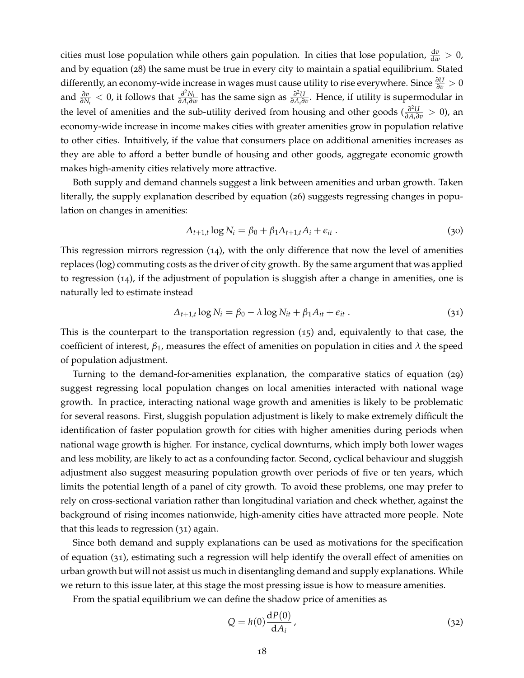cities must lose population while others gain population. In cities that lose population,  $\frac{dv}{dw} > 0$ , and by equation ([28](#page-17-2)) the same must be true in every city to maintain a spatial equilibrium. Stated differently, an economy-wide increase in wages must cause utility to rise everywhere. Since  $\frac{\partial U}{\partial v} > 0$ and  $\frac{\partial v}{\partial N_i} < 0$ , it follows that  $\frac{\partial^2 N_i}{\partial A_i \partial i}$ *∂<sup>2</sup>N<sub>i</sub>*</sub> has the same sign as  $\frac{\partial^2 U}{\partial A_i \partial v}$ *∂Ai∂v* . Hence, if utility is supermodular in the level of amenities and the sub-utility derived from housing and other goods ( $\frac{\partial^2 U}{\partial A_i \partial v} > 0$ ), an economy-wide increase in income makes cities with greater amenities grow in population relative to other cities. Intuitively, if the value that consumers place on additional amenities increases as they are able to afford a better bundle of housing and other goods, aggregate economic growth makes high-amenity cities relatively more attractive.

Both supply and demand channels suggest a link between amenities and urban growth. Taken literally, the supply explanation described by equation ([26](#page-17-3)) suggests regressing changes in population on changes in amenities:

$$
\Delta_{t+1,t} \log N_i = \beta_0 + \beta_1 \Delta_{t+1,t} A_i + \epsilon_{it} \tag{30}
$$

This regression mirrors regression ([14](#page-7-0)), with the only difference that now the level of amenities replaces (log) commuting costs as the driver of city growth. By the same argument that was applied to regression ([14](#page-7-0)), if the adjustment of population is sluggish after a change in amenities, one is naturally led to estimate instead

<span id="page-18-0"></span>
$$
\Delta_{t+1,t} \log N_i = \beta_0 - \lambda \log N_{it} + \beta_1 A_{it} + \epsilon_{it} \tag{31}
$$

This is the counterpart to the transportation regression ([15](#page-7-2)) and, equivalently to that case, the coefficient of interest, *β*1, measures the effect of amenities on population in cities and *λ* the speed of population adjustment.

Turning to the demand-for-amenities explanation, the comparative statics of equation ([29](#page-17-4)) suggest regressing local population changes on local amenities interacted with national wage growth. In practice, interacting national wage growth and amenities is likely to be problematic for several reasons. First, sluggish population adjustment is likely to make extremely difficult the identification of faster population growth for cities with higher amenities during periods when national wage growth is higher. For instance, cyclical downturns, which imply both lower wages and less mobility, are likely to act as a confounding factor. Second, cyclical behaviour and sluggish adjustment also suggest measuring population growth over periods of five or ten years, which limits the potential length of a panel of city growth. To avoid these problems, one may prefer to rely on cross-sectional variation rather than longitudinal variation and check whether, against the background of rising incomes nationwide, high-amenity cities have attracted more people. Note that this leads to regression ([31](#page-18-0)) again.

Since both demand and supply explanations can be used as motivations for the specification of equation ([31](#page-18-0)), estimating such a regression will help identify the overall effect of amenities on urban growth but will not assist us much in disentangling demand and supply explanations. While we return to this issue later, at this stage the most pressing issue is how to measure amenities.

From the spatial equilibrium we can define the shadow price of amenities as

<span id="page-18-1"></span>
$$
Q = h(0) \frac{\mathrm{d}P(0)}{\mathrm{d}A_i},\tag{32}
$$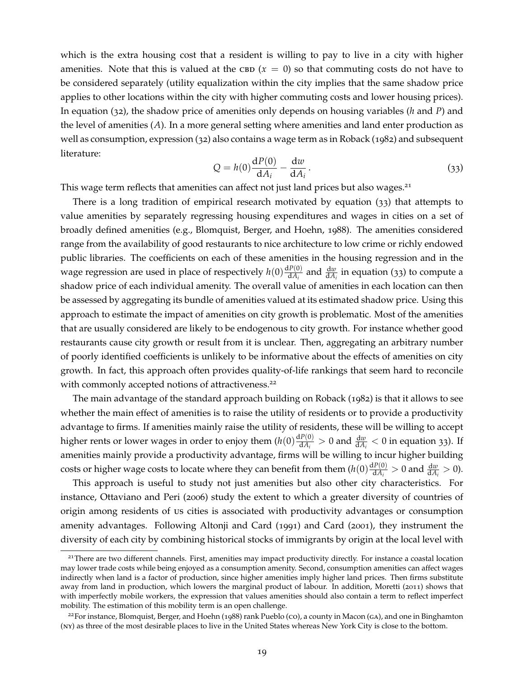which is the extra housing cost that a resident is willing to pay to live in a city with higher amenities. Note that this is valued at the CBD  $(x = 0)$  so that commuting costs do not have to be considered separately (utility equalization within the city implies that the same shadow price applies to other locations within the city with higher commuting costs and lower housing prices). In equation ([32](#page-18-1)), the shadow price of amenities only depends on housing variables (*h* and *P*) and the level of amenities (*A*). In a more general setting where amenities and land enter production as well as consumption, expression ([32](#page-18-1)) also contains a wage term as in [Roback](#page-66-1) ([1982](#page-66-1)) and subsequent literature:

<span id="page-19-1"></span>
$$
Q = h(0)\frac{dP(0)}{dA_i} - \frac{dw}{dA_i}.
$$
\n(33)

This wage term reflects that amenities can affect not just land prices but also wages.<sup>[21](#page-19-0)</sup>

There is a long tradition of empirical research motivated by equation ([33](#page-19-1)) that attempts to value amenities by separately regressing housing expenditures and wages in cities on a set of broadly defined amenities (e.g., [Blomquist, Berger, and Hoehn,](#page-59-4) [1988](#page-59-4)). The amenities considered range from the availability of good restaurants to nice architecture to low crime or richly endowed public libraries. The coefficients on each of these amenities in the housing regression and in the wage regression are used in place of respectively  $h(0) \frac{dP(0)}{dA}$  $\frac{dP(0)}{dA_i}$  and  $\frac{dw}{dA_i}$  in equation ([33](#page-19-1)) to compute a shadow price of each individual amenity. The overall value of amenities in each location can then be assessed by aggregating its bundle of amenities valued at its estimated shadow price. Using this approach to estimate the impact of amenities on city growth is problematic. Most of the amenities that are usually considered are likely to be endogenous to city growth. For instance whether good restaurants cause city growth or result from it is unclear. Then, aggregating an arbitrary number of poorly identified coefficients is unlikely to be informative about the effects of amenities on city growth. In fact, this approach often provides quality-of-life rankings that seem hard to reconcile with commonly accepted notions of attractiveness.<sup>[22](#page-19-2)</sup>

The main advantage of the standard approach building on [Roback](#page-66-1) ([1982](#page-66-1)) is that it allows to see whether the main effect of amenities is to raise the utility of residents or to provide a productivity advantage to firms. If amenities mainly raise the utility of residents, these will be willing to accept higher rents or lower wages in order to enjoy them  $(h(0) \frac{dP(0)}{dA})$  $\frac{dP(0)}{dA_i} > 0$  and  $\frac{dw}{dA_i} < 0$  in equation [33](#page-19-1)). If amenities mainly provide a productivity advantage, firms will be willing to incur higher building costs or higher wage costs to locate where they can benefit from them  $(h(0) \frac{dP(0)}{dA})$  $\frac{dP(0)}{dA_i} > 0$  and  $\frac{dw}{dA_i} > 0$ ).

This approach is useful to study not just amenities but also other city characteristics. For instance, [Ottaviano and Peri](#page-65-9) ([2006](#page-65-9)) study the extent to which a greater diversity of countries of origin among residents of us cities is associated with productivity advantages or consumption amenity advantages. Following [Altonji and Card](#page-58-9) ([1991](#page-58-9)) and [Card](#page-59-5) ([2001](#page-59-5)), they instrument the diversity of each city by combining historical stocks of immigrants by origin at the local level with

<span id="page-19-0"></span><sup>&</sup>lt;sup>21</sup>There are two different channels. First, amenities may impact productivity directly. For instance a coastal location may lower trade costs while being enjoyed as a consumption amenity. Second, consumption amenities can affect wages indirectly when land is a factor of production, since higher amenities imply higher land prices. Then firms substitute away from land in production, which lowers the marginal product of labour. In addition, [Moretti](#page-65-10) ([2011](#page-65-10)) shows that with imperfectly mobile workers, the expression that values amenities should also contain a term to reflect imperfect mobility. The estimation of this mobility term is an open challenge.

<span id="page-19-2"></span> $22$ For instance, [Blomquist, Berger, and Hoehn](#page-59-4) ([1988](#page-59-4)) rank Pueblo (co), a county in Macon (GA), and one in Binghamton (ny) as three of the most desirable places to live in the United States whereas New York City is close to the bottom.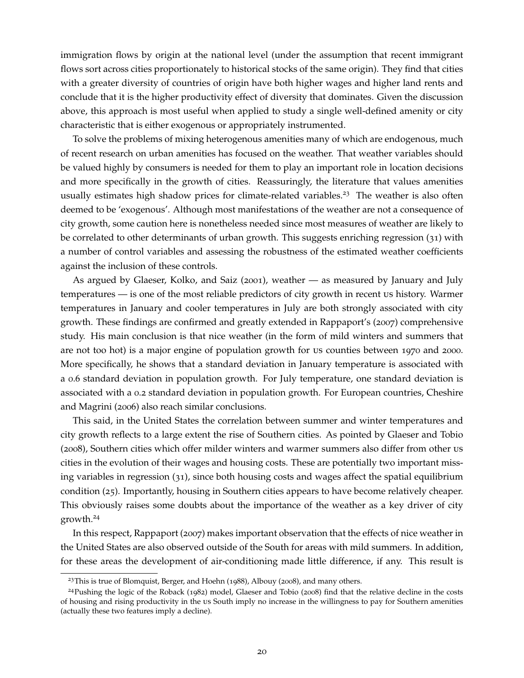immigration flows by origin at the national level (under the assumption that recent immigrant flows sort across cities proportionately to historical stocks of the same origin). They find that cities with a greater diversity of countries of origin have both higher wages and higher land rents and conclude that it is the higher productivity effect of diversity that dominates. Given the discussion above, this approach is most useful when applied to study a single well-defined amenity or city characteristic that is either exogenous or appropriately instrumented.

To solve the problems of mixing heterogenous amenities many of which are endogenous, much of recent research on urban amenities has focused on the weather. That weather variables should be valued highly by consumers is needed for them to play an important role in location decisions and more specifically in the growth of cities. Reassuringly, the literature that values amenities usually estimates high shadow prices for climate-related variables.<sup>[23](#page-20-0)</sup> The weather is also often deemed to be 'exogenous'. Although most manifestations of the weather are not a consequence of city growth, some caution here is nonetheless needed since most measures of weather are likely to be correlated to other determinants of urban growth. This suggests enriching regression ([31](#page-18-0)) with a number of control variables and assessing the robustness of the estimated weather coefficients against the inclusion of these controls.

As argued by [Glaeser, Kolko, and Saiz](#page-63-7) ([2001](#page-63-7)), weather — as measured by January and July temperatures — is one of the most reliable predictors of city growth in recent us history. Warmer temperatures in January and cooler temperatures in July are both strongly associated with city growth. These findings are confirmed and greatly extended in [Rappaport'](#page-65-7)s ([2007](#page-65-7)) comprehensive study. His main conclusion is that nice weather (in the form of mild winters and summers that are not too hot) is a major engine of population growth for us counties between 1970 and 2000. More specifically, he shows that a standard deviation in January temperature is associated with a 0.6 standard deviation in population growth. For July temperature, one standard deviation is associated with a 0.2 standard deviation in population growth. For European countries, [Cheshire](#page-59-6) [and Magrini](#page-59-6) ([2006](#page-59-6)) also reach similar conclusions.

This said, in the United States the correlation between summer and winter temperatures and city growth reflects to a large extent the rise of Southern cities. As pointed by [Glaeser and Tobio](#page-63-8) ([2008](#page-63-8)), Southern cities which offer milder winters and warmer summers also differ from other us cities in the evolution of their wages and housing costs. These are potentially two important missing variables in regression ([31](#page-18-0)), since both housing costs and wages affect the spatial equilibrium condition ([25](#page-17-0)). Importantly, housing in Southern cities appears to have become relatively cheaper. This obviously raises some doubts about the importance of the weather as a key driver of city growth.[24](#page-20-1)

In this respect, [Rappaport](#page-65-7) ([2007](#page-65-7)) makes important observation that the effects of nice weather in the United States are also observed outside of the South for areas with mild summers. In addition, for these areas the development of air-conditioning made little difference, if any. This result is

<span id="page-20-1"></span><span id="page-20-0"></span><sup>&</sup>lt;sup>23</sup>This is true of [Blomquist, Berger, and Hoehn](#page-59-4) ([1988](#page-59-4)), [Albouy](#page-58-10) ([2008](#page-58-10)), and many others.

 $24$ Pushing the logic of the [Roback](#page-66-1) ([1982](#page-66-1)) model, [Glaeser and Tobio](#page-63-8) ([2008](#page-63-8)) find that the relative decline in the costs of housing and rising productivity in the us South imply no increase in the willingness to pay for Southern amenities (actually these two features imply a decline).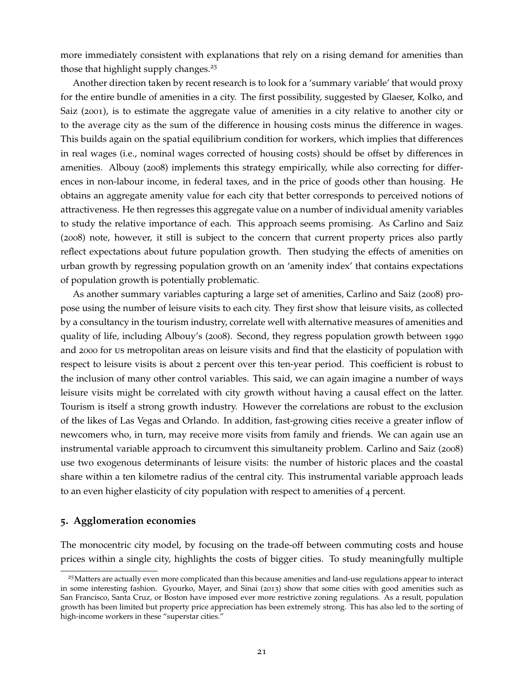more immediately consistent with explanations that rely on a rising demand for amenities than those that highlight supply changes.<sup>[25](#page-21-0)</sup>

Another direction taken by recent research is to look for a 'summary variable' that would proxy for the entire bundle of amenities in a city. The first possibility, suggested by [Glaeser, Kolko, and](#page-63-7) [Saiz](#page-63-7) ([2001](#page-63-7)), is to estimate the aggregate value of amenities in a city relative to another city or to the average city as the sum of the difference in housing costs minus the difference in wages. This builds again on the spatial equilibrium condition for workers, which implies that differences in real wages (i.e., nominal wages corrected of housing costs) should be offset by differences in amenities. [Albouy](#page-58-10) ([2008](#page-58-10)) implements this strategy empirically, while also correcting for differences in non-labour income, in federal taxes, and in the price of goods other than housing. He obtains an aggregate amenity value for each city that better corresponds to perceived notions of attractiveness. He then regresses this aggregate value on a number of individual amenity variables to study the relative importance of each. This approach seems promising. As [Carlino and Saiz](#page-59-7) ([2008](#page-59-7)) note, however, it still is subject to the concern that current property prices also partly reflect expectations about future population growth. Then studying the effects of amenities on urban growth by regressing population growth on an 'amenity index' that contains expectations of population growth is potentially problematic.

As another summary variables capturing a large set of amenities, [Carlino and Saiz](#page-59-7) ([2008](#page-59-7)) propose using the number of leisure visits to each city. They first show that leisure visits, as collected by a consultancy in the tourism industry, correlate well with alternative measures of amenities and quality of life, including [Albouy'](#page-58-10)s (2008). Second, they regress population growth between 1990 and 2000 for us metropolitan areas on leisure visits and find that the elasticity of population with respect to leisure visits is about 2 percent over this ten-year period. This coefficient is robust to the inclusion of many other control variables. This said, we can again imagine a number of ways leisure visits might be correlated with city growth without having a causal effect on the latter. Tourism is itself a strong growth industry. However the correlations are robust to the exclusion of the likes of Las Vegas and Orlando. In addition, fast-growing cities receive a greater inflow of newcomers who, in turn, may receive more visits from family and friends. We can again use an instrumental variable approach to circumvent this simultaneity problem. [Carlino and Saiz](#page-59-7) ([2008](#page-59-7)) use two exogenous determinants of leisure visits: the number of historic places and the coastal share within a ten kilometre radius of the central city. This instrumental variable approach leads to an even higher elasticity of city population with respect to amenities of 4 percent.

# <span id="page-21-1"></span>**5. Agglomeration economies**

The monocentric city model, by focusing on the trade-off between commuting costs and house prices within a single city, highlights the costs of bigger cities. To study meaningfully multiple

<span id="page-21-0"></span><sup>&</sup>lt;sup>25</sup>Matters are actually even more complicated than this because amenities and land-use regulations appear to interact in some interesting fashion. [Gyourko, Mayer, and Sinai](#page-63-9) ([2013](#page-63-9)) show that some cities with good amenities such as San Francisco, Santa Cruz, or Boston have imposed ever more restrictive zoning regulations. As a result, population growth has been limited but property price appreciation has been extremely strong. This has also led to the sorting of high-income workers in these "superstar cities."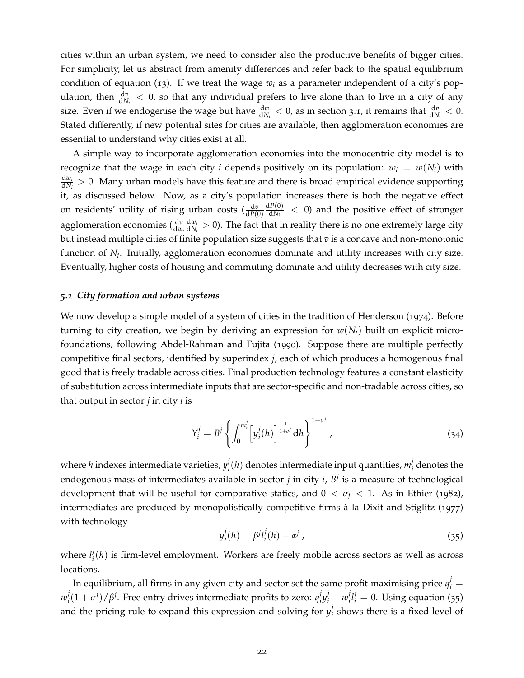cities within an urban system, we need to consider also the productive benefits of bigger cities. For simplicity, let us abstract from amenity differences and refer back to the spatial equilibrium condition of equation ([13](#page-5-3)). If we treat the wage  $w_i$  as a parameter independent of a city's population, then  $\frac{dv}{dN_i} < 0$ , so that any individual prefers to live alone than to live in a city of any size. Even if we endogenise the wage but have  $\frac{dw}{dN_i} < 0$ , as in section [3](#page-13-2).1, it remains that  $\frac{dv}{dN_i} < 0$ . Stated differently, if new potential sites for cities are available, then agglomeration economies are essential to understand why cities exist at all.

A simple way to incorporate agglomeration economies into the monocentric city model is to recognize that the wage in each city *i* depends positively on its population:  $w_i = w(N_i)$  with d*w<sup>i</sup>*  $\frac{dw_i}{dN_i}>0$ . Many urban models have this feature and there is broad empirical evidence supporting it, as discussed below. Now, as a city's population increases there is both the negative effect on residents' utility of rising urban costs  $\left(\frac{dv}{dP(0)}\right)$ d*P*(0)  $\frac{dP(0)}{dN_i}$  < 0) and the positive effect of stronger agglomeration economies ( <sup>d</sup>*<sup>v</sup>* d*w<sup>i</sup>* d*w<sup>i</sup>*  $\frac{dw_i}{dN_i}>0$ ). The fact that in reality there is no one extremely large city but instead multiple cities of finite population size suggests that *v* is a concave and non-monotonic function of  $N_i$ . Initially, agglomeration economies dominate and utility increases with city size. Eventually, higher costs of housing and commuting dominate and utility decreases with city size.

# <span id="page-22-2"></span>*5.1 City formation and urban systems*

We now develop a simple model of a system of cities in the tradition of [Henderson](#page-63-1) ([1974](#page-63-1)). Before turning to city creation, we begin by deriving an expression for  $w(N_i)$  built on explicit microfoundations, following [Abdel-Rahman and Fujita](#page-58-11) ([1990](#page-58-11)). Suppose there are multiple perfectly competitive final sectors, identified by superindex *j*, each of which produces a homogenous final good that is freely tradable across cities. Final production technology features a constant elasticity of substitution across intermediate inputs that are sector-specific and non-tradable across cities, so that output in sector *j* in city *i* is

<span id="page-22-1"></span>
$$
Y_i^j = B^j \left\{ \int_0^{m_i^j} \left[ y_i^j(h) \right]^{\frac{1}{1+\sigma^j}} dh \right\}^{1+\sigma^j},\tag{34}
$$

where *h* indexes intermediate varieties,  $y_i^j$  $j_l^j(h)$  denotes intermediate input quantities,  $m_l^j$  $\frac{1}{i}$  denotes the endogenous mass of intermediates available in sector  $j$  in city  $i$ ,  $B<sup>j</sup>$  is a measure of technological development that will be useful for comparative statics, and  $0 < \sigma_j < 1$ . As in [Ethier](#page-61-7) ([1982](#page-61-7)), intermediates are produced by monopolistically competitive firms à la [Dixit and Stiglitz](#page-60-3) ([1977](#page-60-3)) with technology

<span id="page-22-0"></span>
$$
y_i^j(h) = \beta^j l_i^j(h) - \alpha^j \tag{35}
$$

where  $l_i^j$  $\mathcal{U}_i^{\prime}(h)$  is firm-level employment. Workers are freely mobile across sectors as well as across locations.

In equilibrium, all firms in any given city and sector set the same profit-maximising price  $q_i^j =$ *w j*  $g_i^j(1+\sigma^j)/β^j$ . Free entry drives intermediate profits to zero:  $q_i^j$  $i$ <sup>*y*</sup> $i$ </sub> − *w*<sup>*j*</sup> $i$  $j_l^j l_i^j = 0$ . Using equation ([35](#page-22-0)) and the pricing rule to expand this expression and solving for  $y_i^j$  $\frac{1}{i}$  shows there is a fixed level of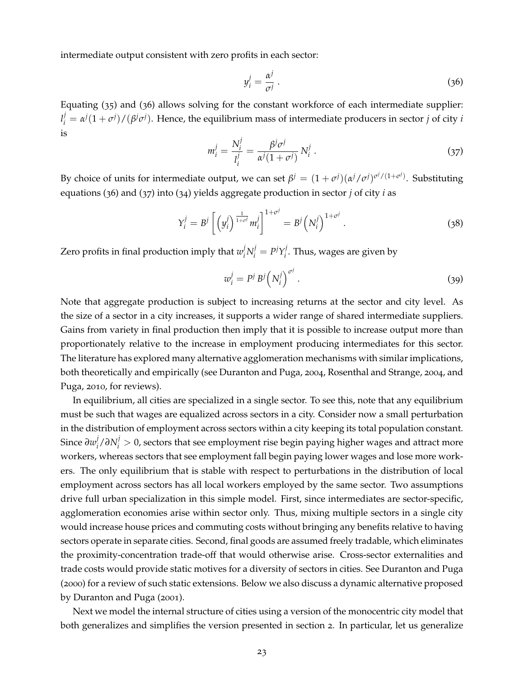intermediate output consistent with zero profits in each sector:

<span id="page-23-0"></span>
$$
y_i^j = \frac{\alpha^j}{\sigma^j} \,. \tag{36}
$$

Equating ([35](#page-22-0)) and ([36](#page-23-0)) allows solving for the constant workforce of each intermediate supplier:  $l_i^j = \alpha^j(1+\sigma^j)/(\beta^j\sigma^j)$ . Hence, the equilibrium mass of intermediate producers in sector *j* of city *i* is

<span id="page-23-1"></span>
$$
m_i^j = \frac{N_i^j}{l_i^j} = \frac{\beta^j \sigma^j}{\alpha^j (1 + \sigma^j)} N_i^j.
$$
\n(37)

By choice of units for intermediate output, we can set  $\beta^j = (1+\sigma^j)(\alpha^j/\sigma^j)^{\sigma^j/(1+\sigma^j)}$ . Substituting equations ([36](#page-23-0)) and ([37](#page-23-1)) into ([34](#page-22-1)) yields aggregate production in sector *j* of city *i* as

<span id="page-23-3"></span>
$$
Y_i^j = B^j \left[ \left( y_i^j \right)^{\frac{1}{1+\sigma^j}} m_i^j \right]^{1+\sigma^j} = B^j \left( N_i^j \right)^{1+\sigma^j} . \tag{38}
$$

Zero profits in final production imply that  $w_i^j N_i^j = P^j Y_i^j$ *i* . Thus, wages are given by

<span id="page-23-2"></span>
$$
w_i^j = P^j B^j \left( N_i^j \right)^{\sigma^j} . \tag{39}
$$

Note that aggregate production is subject to increasing returns at the sector and city level. As the size of a sector in a city increases, it supports a wider range of shared intermediate suppliers. Gains from variety in final production then imply that it is possible to increase output more than proportionately relative to the increase in employment producing intermediates for this sector. The literature has explored many alternative agglomeration mechanisms with similar implications, both theoretically and empirically (see [Duranton and Puga,](#page-61-8) [2004](#page-61-8), [Rosenthal and Strange,](#page-66-3) [2004](#page-66-3), and [Puga,](#page-65-11) [2010](#page-65-11), for reviews).

In equilibrium, all cities are specialized in a single sector. To see this, note that any equilibrium must be such that wages are equalized across sectors in a city. Consider now a small perturbation in the distribution of employment across sectors within a city keeping its total population constant. Since *∂w j i*/∂N<sup>*i*</sup> > 0, sectors that see employment rise begin paying higher wages and attract more workers, whereas sectors that see employment fall begin paying lower wages and lose more workers. The only equilibrium that is stable with respect to perturbations in the distribution of local employment across sectors has all local workers employed by the same sector. Two assumptions drive full urban specialization in this simple model. First, since intermediates are sector-specific, agglomeration economies arise within sector only. Thus, mixing multiple sectors in a single city would increase house prices and commuting costs without bringing any benefits relative to having sectors operate in separate cities. Second, final goods are assumed freely tradable, which eliminates the proximity-concentration trade-off that would otherwise arise. Cross-sector externalities and trade costs would provide static motives for a diversity of sectors in cities. See [Duranton and Puga](#page-61-9) ([2000](#page-61-9)) for a review of such static extensions. Below we also discuss a dynamic alternative proposed by [Duranton and Puga](#page-61-1) ([2001](#page-61-1)).

Next we model the internal structure of cities using a version of the monocentric city model that both generalizes and simplifies the version presented in section [2](#page-3-5). In particular, let us generalize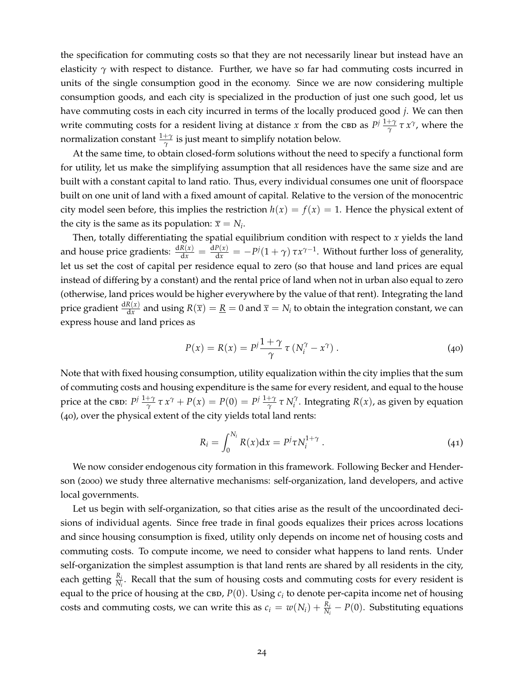the specification for commuting costs so that they are not necessarily linear but instead have an elasticity  $\gamma$  with respect to distance. Further, we have so far had commuting costs incurred in units of the single consumption good in the economy. Since we are now considering multiple consumption goods, and each city is specialized in the production of just one such good, let us have commuting costs in each city incurred in terms of the locally produced good *j*. We can then write commuting costs for a resident living at distance *x* from the CBD as  $P^j \frac{1+\gamma}{\gamma}$  $\frac{1}{\gamma}$  *τ x*<sup>γ</sup>, where the normalization constant  $\frac{1+\gamma}{\gamma}$  is just meant to simplify notation below.

At the same time, to obtain closed-form solutions without the need to specify a functional form for utility, let us make the simplifying assumption that all residences have the same size and are built with a constant capital to land ratio. Thus, every individual consumes one unit of floorspace built on one unit of land with a fixed amount of capital. Relative to the version of the monocentric city model seen before, this implies the restriction  $h(x) = f(x) = 1$ . Hence the physical extent of the city is the same as its population:  $\bar{x} = N_i$ .

Then, totally differentiating the spatial equilibrium condition with respect to *x* yields the land and house price gradients:  $\frac{dR(x)}{dx} = \frac{dP(x)}{dx} = -P^j(1+\gamma)\tau x^{\gamma-1}$ . Without further loss of generality, let us set the cost of capital per residence equal to zero (so that house and land prices are equal instead of differing by a constant) and the rental price of land when not in urban also equal to zero (otherwise, land prices would be higher everywhere by the value of that rent). Integrating the land price gradient  $\frac{dR(x)}{dx}$  and using  $R(\overline{x}) = \underline{R} = 0$  and  $\overline{x} = N_i$  to obtain the integration constant, we can express house and land prices as

<span id="page-24-0"></span>
$$
P(x) = R(x) = P^j \frac{1+\gamma}{\gamma} \tau (N_i^{\gamma} - x^{\gamma}). \tag{40}
$$

Note that with fixed housing consumption, utility equalization within the city implies that the sum of commuting costs and housing expenditure is the same for every resident, and equal to the house **price at the cbD:**  $P^j \frac{1+\gamma}{\gamma}$ *+*γ  $\tau x^{\gamma} + P(x) = P(0) = P^{j} \frac{1+\gamma}{\gamma}$  $\frac{1}{\gamma}$  *τ*  $N_i^{\gamma}$  $\int_i^{\gamma}$ . Integrating  $R(x)$ , as given by equation ([40](#page-24-0)), over the physical extent of the city yields total land rents:

<span id="page-24-1"></span>
$$
R_i = \int_0^{N_i} R(x) dx = P^j \tau N_i^{1+\gamma} . \tag{41}
$$

We now consider endogenous city formation in this framework. Following [Becker and Hender](#page-59-8)[son](#page-59-8) ([2000](#page-59-8)) we study three alternative mechanisms: self-organization, land developers, and active local governments.

Let us begin with self-organization, so that cities arise as the result of the uncoordinated decisions of individual agents. Since free trade in final goods equalizes their prices across locations and since housing consumption is fixed, utility only depends on income net of housing costs and commuting costs. To compute income, we need to consider what happens to land rents. Under self-organization the simplest assumption is that land rents are shared by all residents in the city, each getting  $\frac{R_i}{N_i}$ . Recall that the sum of housing costs and commuting costs for every resident is equal to the price of housing at the CBD,  $P(0)$ . Using  $c_i$  to denote per-capita income net of housing costs and commuting costs, we can write this as  $c_i = w(N_i) + \frac{R_i}{N_i} - P(0)$ . Substituting equations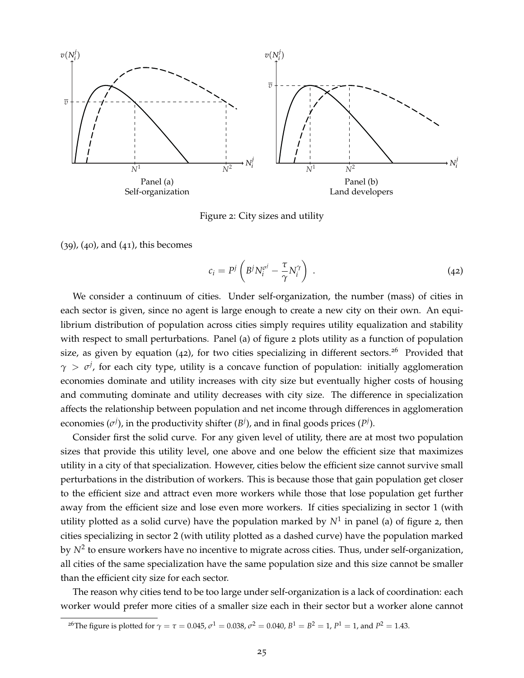

<span id="page-25-0"></span>Figure 2: City sizes and utility

([39](#page-23-2)), ([40](#page-24-0)), and ([41](#page-24-1)), this becomes

<span id="page-25-1"></span>
$$
c_i = P^j \left( B^j N_i^{\sigma^j} - \frac{\tau}{\gamma} N_i^{\gamma} \right) \tag{42}
$$

We consider a continuum of cities. Under self-organization, the number (mass) of cities in each sector is given, since no agent is large enough to create a new city on their own. An equilibrium distribution of population across cities simply requires utility equalization and stability with respect to small perturbations. Panel (a) of figure [2](#page-25-0) plots utility as a function of population size, as given by equation ([42](#page-25-1)), for two cities specializing in different sectors.<sup>[26](#page-25-2)</sup> Provided that *γ* > *σ<sup>j</sup>*, for each city type, utility is a concave function of population: initially agglomeration economies dominate and utility increases with city size but eventually higher costs of housing and commuting dominate and utility decreases with city size. The difference in specialization affects the relationship between population and net income through differences in agglomeration economies  $(\sigma^j)$ , in the productivity shifter  $(B^j)$ , and in final goods prices  $(P^j)$ .

Consider first the solid curve. For any given level of utility, there are at most two population sizes that provide this utility level, one above and one below the efficient size that maximizes utility in a city of that specialization. However, cities below the efficient size cannot survive small perturbations in the distribution of workers. This is because those that gain population get closer to the efficient size and attract even more workers while those that lose population get further away from the efficient size and lose even more workers. If cities specializing in sector 1 (with utility plotted as a solid curve) have the population marked by  $N^1$  in panel (a) of figure [2](#page-25-0), then cities specializing in sector 2 (with utility plotted as a dashed curve) have the population marked by *N*<sup>2</sup> to ensure workers have no incentive to migrate across cities. Thus, under self-organization, all cities of the same specialization have the same population size and this size cannot be smaller than the efficient city size for each sector.

The reason why cities tend to be too large under self-organization is a lack of coordination: each worker would prefer more cities of a smaller size each in their sector but a worker alone cannot

<span id="page-25-2"></span><sup>&</sup>lt;sup>26</sup>The figure is plotted for  $\gamma = \tau = 0.045$ ,  $\sigma^1 = 0.038$ ,  $\sigma^2 = 0.040$ ,  $B^1 = B^2 = 1$ ,  $P^1 = 1$ , and  $P^2 = 1.43$ .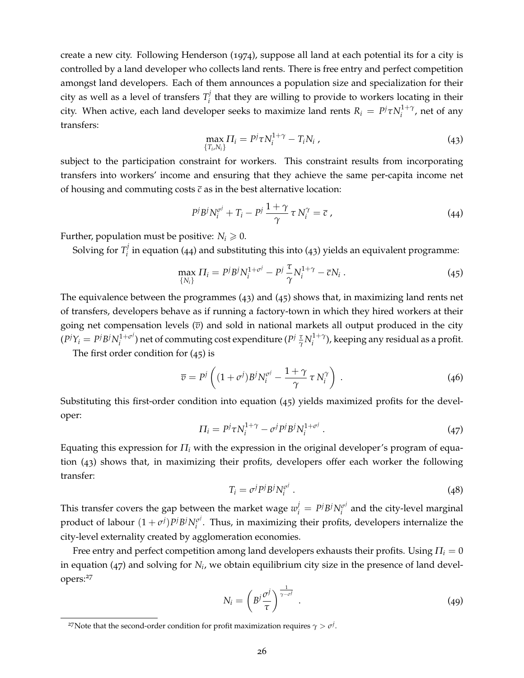create a new city. Following [Henderson](#page-63-1) ([1974](#page-63-1)), suppose all land at each potential its for a city is controlled by a land developer who collects land rents. There is free entry and perfect competition amongst land developers. Each of them announces a population size and specialization for their city as well as a level of transfers  $T_i^j$ *i* that they are willing to provide to workers locating in their city. When active, each land developer seeks to maximize land rents  $R_i\,=\,P^j\tau N_i^{1+\gamma}$  $i^{1+\gamma}$ , net of any transfers:

<span id="page-26-1"></span>
$$
\max_{\{T_i, N_i\}} \Pi_i = P^j \tau N_i^{1+\gamma} - T_i N_i \,, \tag{43}
$$

subject to the participation constraint for workers. This constraint results from incorporating transfers into workers' income and ensuring that they achieve the same per-capita income net of housing and commuting costs  $\bar{c}$  as in the best alternative location:

<span id="page-26-0"></span>
$$
P^j B^j N_i^{\sigma^j} + T_i - P^j \frac{1+\gamma}{\gamma} \tau N_i^{\gamma} = \overline{c} \tag{44}
$$

Further, population must be positive:  $N_i \geq 0$ .

Solving for *T j*  $\mathbf{v}_i^j$  in equation ([44](#page-26-0)) and substituting this into ([43](#page-26-1)) yields an equivalent programme:

<span id="page-26-2"></span>
$$
\max_{\{N_i\}} \Pi_i = P^j B^j N_i^{1+\sigma^j} - P^j \frac{\tau}{\gamma} N_i^{1+\gamma} - \overline{c} N_i \,. \tag{45}
$$

The equivalence between the programmes  $(43)$  $(43)$  $(43)$  and  $(45)$  $(45)$  $(45)$  shows that, in maximizing land rents net of transfers, developers behave as if running a factory-town in which they hired workers at their going net compensation levels  $(\bar{v})$  and sold in national markets all output produced in the city  $(P^{j}Y_{i} = P^{j}B^{j}N_{i}^{1+\sigma^{j}})$  $\frac{1}{i}$ <sup>1+ $\sigma$ </sup>) net of commuting cost expenditure ( $P^j \frac{\tau}{\gamma} N_i^{1+\gamma}$  $\binom{1+\gamma}{i}$ , keeping any residual as a profit.

The first order condition for  $(45)$  $(45)$  $(45)$  is

$$
\overline{v} = P^j \left( (1 + \sigma^j) B^j N_i^{\sigma^j} - \frac{1 + \gamma}{\gamma} \tau N_i^{\gamma} \right) \,. \tag{46}
$$

Substituting this first-order condition into equation ([45](#page-26-2)) yields maximized profits for the developer:

<span id="page-26-3"></span>
$$
\Pi_i = P^j \tau N_i^{1+\gamma} - \sigma^j P^j B^j N_i^{1+\sigma^j} \,. \tag{47}
$$

Equating this expression for  $\Pi_i$  with the expression in the original developer's program of equation ([43](#page-26-1)) shows that, in maximizing their profits, developers offer each worker the following transfer:

<span id="page-26-6"></span>
$$
T_i = \sigma^j P^j B^j N_i^{\sigma^j} \tag{48}
$$

This transfer covers the gap between the market wage  $w_i^j = P^j B^j N_i^{\sigma^j}$  $\sigma_i^{\sigma}$  and the city-level marginal product of labour  $(1 + \sigma^j)P^jB^jN_i^{\sigma^j}$  $\mathbf{r}^{\sigma}$ . Thus, in maximizing their profits, developers internalize the city-level externality created by agglomeration economies.

Free entry and perfect competition among land developers exhausts their profits. Using *Π<sup>i</sup>* = 0 in equation ([47](#page-26-3)) and solving for  $N_i$ , we obtain equilibrium city size in the presence of land devel-opers:<sup>[27](#page-26-4)</sup>

<span id="page-26-5"></span>
$$
N_i = \left(B^j \frac{\sigma^j}{\tau}\right)^{\frac{1}{\gamma - \sigma^j}}.\tag{49}
$$

<span id="page-26-4"></span><sup>&</sup>lt;sup>27</sup>Note that the second-order condition for profit maximization requires  $\gamma > \sigma^j$ .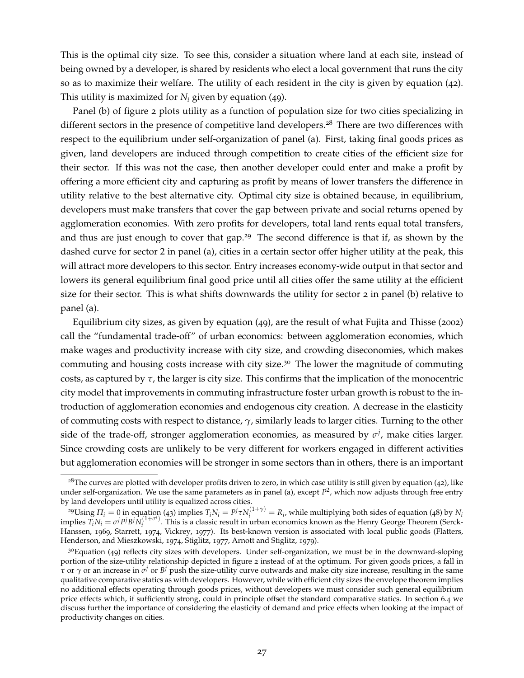This is the optimal city size. To see this, consider a situation where land at each site, instead of being owned by a developer, is shared by residents who elect a local government that runs the city so as to maximize their welfare. The utility of each resident in the city is given by equation ([42](#page-25-1)). This utility is maximized for *N<sup>i</sup>* given by equation ([49](#page-26-5)).

Panel (b) of figure [2](#page-25-0) plots utility as a function of population size for two cities specializing in different sectors in the presence of competitive land developers.<sup>[28](#page-27-0)</sup> There are two differences with respect to the equilibrium under self-organization of panel (a). First, taking final goods prices as given, land developers are induced through competition to create cities of the efficient size for their sector. If this was not the case, then another developer could enter and make a profit by offering a more efficient city and capturing as profit by means of lower transfers the difference in utility relative to the best alternative city. Optimal city size is obtained because, in equilibrium, developers must make transfers that cover the gap between private and social returns opened by agglomeration economies. With zero profits for developers, total land rents equal total transfers, and thus are just enough to cover that gap.<sup>[29](#page-27-1)</sup> The second difference is that if, as shown by the dashed curve for sector 2 in panel (a), cities in a certain sector offer higher utility at the peak, this will attract more developers to this sector. Entry increases economy-wide output in that sector and lowers its general equilibrium final good price until all cities offer the same utility at the efficient size for their sector. This is what shifts downwards the utility for sector 2 in panel (b) relative to panel (a).

Equilibrium city sizes, as given by equation ([49](#page-26-5)), are the result of what [Fujita and Thisse](#page-62-9) ([2002](#page-62-9)) call the "fundamental trade-off" of urban economics: between agglomeration economies, which make wages and productivity increase with city size, and crowding diseconomies, which makes commuting and housing costs increase with city size.<sup>[30](#page-27-2)</sup> The lower the magnitude of commuting costs, as captured by *τ*, the larger is city size. This confirms that the implication of the monocentric city model that improvements in commuting infrastructure foster urban growth is robust to the introduction of agglomeration economies and endogenous city creation. A decrease in the elasticity of commuting costs with respect to distance, *γ*, similarly leads to larger cities. Turning to the other side of the trade-off, stronger agglomeration economies, as measured by  $\sigma^j$ , make cities larger. Since crowding costs are unlikely to be very different for workers engaged in different activities but agglomeration economies will be stronger in some sectors than in others, there is an important

<span id="page-27-0"></span><sup>&</sup>lt;sup>28</sup>The curves are plotted with developer profits driven to zero, in which case utility is still given by equation  $(42)$  $(42)$  $(42)$ , like under self-organization. We use the same parameters as in panel (a), except  $P^2$ , which now adjusts through free entry by land developers until utility is equalized across cities.

<span id="page-27-1"></span><sup>&</sup>lt;sup>29</sup>Using  $\Pi_i = 0$  in equation ([43](#page-26-1)) implies  $T_i N_i = P^j \tau N_i^{(1+\gamma)} = R_i$ , while multiplying both sides of equation ([48](#page-26-6)) by  $N_i$  $\frac{\partial}{\partial t} \text{Tr} \left( \frac{\partial}{\partial t} \mathbf{F} \mathbf{F} \mathbf{F} \mathbf{F} \mathbf{F} \mathbf{F} \mathbf{F} \mathbf{F} \mathbf{F} \mathbf{F} \mathbf{F} \mathbf{F} \mathbf{F} \mathbf{F} \mathbf{F} \mathbf{F} \mathbf{F} \mathbf{F} \mathbf{F} \mathbf{F} \mathbf{F} \mathbf{F} \mathbf{F} \mathbf{F} \mathbf{F} \mathbf{F} \mathbf{F} \mathbf{F} \mathbf{F} \mathbf{F} \mathbf{F} \mathbf{F} \math$  $\hat{a}^{(1+\nu)}$ ). This is a classic result in urban economics known as the Henry George Theorem [\(Serck-](#page-66-4)[Hanssen,](#page-66-4) [1969](#page-66-4), [Starrett,](#page-67-2) [1974](#page-67-2), [Vickrey,](#page-67-3) [1977](#page-67-3)). Its best-known version is associated with local public goods [\(Flatters,](#page-61-10) [Henderson, and Mieszkowski,](#page-61-10) [1974](#page-61-10), [Stiglitz,](#page-67-4) [1977](#page-67-4), [Arnott and Stiglitz,](#page-58-12) [1979](#page-58-12)).

<span id="page-27-2"></span> $30E$ guation ([49](#page-26-5)) reflects city sizes with developers. Under self-organization, we must be in the downward-sloping portion of the size-utility relationship depicted in figure [2](#page-25-0) instead of at the optimum. For given goods prices, a fall in *τ* or *γ* or an increase in *σ<sup>j</sup>* or *B<sup>j</sup>* push the size-utility curve outwards and make city size increase, resulting in the same qualitative comparative statics as with developers. However, while with efficient city sizes the envelope theorem implies no additional effects operating through goods prices, without developers we must consider such general equilibrium price effects which, if sufficiently strong, could in principle offset the standard comparative statics. In section [6](#page-42-0).4 we discuss further the importance of considering the elasticity of demand and price effects when looking at the impact of productivity changes on cities.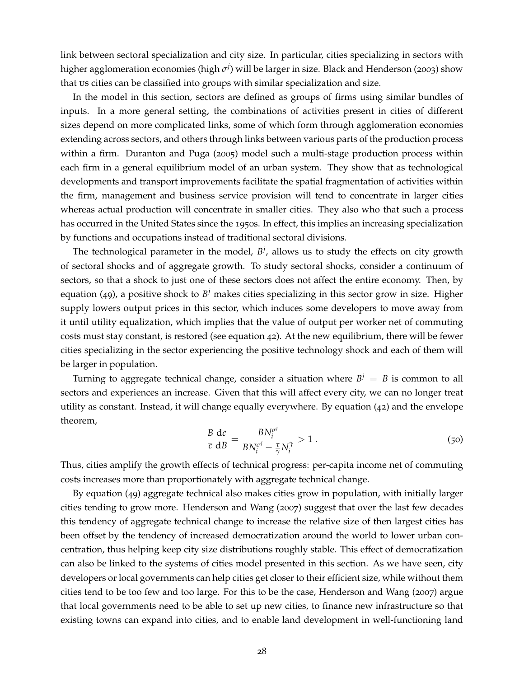link between sectoral specialization and city size. In particular, cities specializing in sectors with higher agglomeration economies (high *σ j* ) will be larger in size. [Black and Henderson](#page-59-9) ([2003](#page-59-9)) show that us cities can be classified into groups with similar specialization and size.

In the model in this section, sectors are defined as groups of firms using similar bundles of inputs. In a more general setting, the combinations of activities present in cities of different sizes depend on more complicated links, some of which form through agglomeration economies extending across sectors, and others through links between various parts of the production process within a firm. [Duranton and Puga](#page-61-11) ([2005](#page-61-11)) model such a multi-stage production process within each firm in a general equilibrium model of an urban system. They show that as technological developments and transport improvements facilitate the spatial fragmentation of activities within the firm, management and business service provision will tend to concentrate in larger cities whereas actual production will concentrate in smaller cities. They also who that such a process has occurred in the United States since the 1950s. In effect, this implies an increasing specialization by functions and occupations instead of traditional sectoral divisions.

The technological parameter in the model,  $B<sup>j</sup>$ , allows us to study the effects on city growth of sectoral shocks and of aggregate growth. To study sectoral shocks, consider a continuum of sectors, so that a shock to just one of these sectors does not affect the entire economy. Then, by equation ([49](#page-26-5)), a positive shock to  $B^j$  makes cities specializing in this sector grow in size. Higher supply lowers output prices in this sector, which induces some developers to move away from it until utility equalization, which implies that the value of output per worker net of commuting costs must stay constant, is restored (see equation [42](#page-25-1)). At the new equilibrium, there will be fewer cities specializing in the sector experiencing the positive technology shock and each of them will be larger in population.

Turning to aggregate technical change, consider a situation where  $B^j = B$  is common to all sectors and experiences an increase. Given that this will affect every city, we can no longer treat utility as constant. Instead, it will change equally everywhere. By equation ([42](#page-25-1)) and the envelope theorem,

$$
\frac{B}{\bar{c}}\frac{d\bar{c}}{dB} = \frac{BN_i^{\sigma^j}}{BN_i^{\sigma^j} - \frac{\tau}{\gamma}N_i^{\gamma}} > 1.
$$
\n(50)

Thus, cities amplify the growth effects of technical progress: per-capita income net of commuting costs increases more than proportionately with aggregate technical change.

By equation ([49](#page-26-5)) aggregate technical also makes cities grow in population, with initially larger cities tending to grow more. [Henderson and Wang](#page-64-4) ([2007](#page-64-4)) suggest that over the last few decades this tendency of aggregate technical change to increase the relative size of then largest cities has been offset by the tendency of increased democratization around the world to lower urban concentration, thus helping keep city size distributions roughly stable. This effect of democratization can also be linked to the systems of cities model presented in this section. As we have seen, city developers or local governments can help cities get closer to their efficient size, while without them cities tend to be too few and too large. For this to be the case, [Henderson and Wang](#page-64-4) ([2007](#page-64-4)) argue that local governments need to be able to set up new cities, to finance new infrastructure so that existing towns can expand into cities, and to enable land development in well-functioning land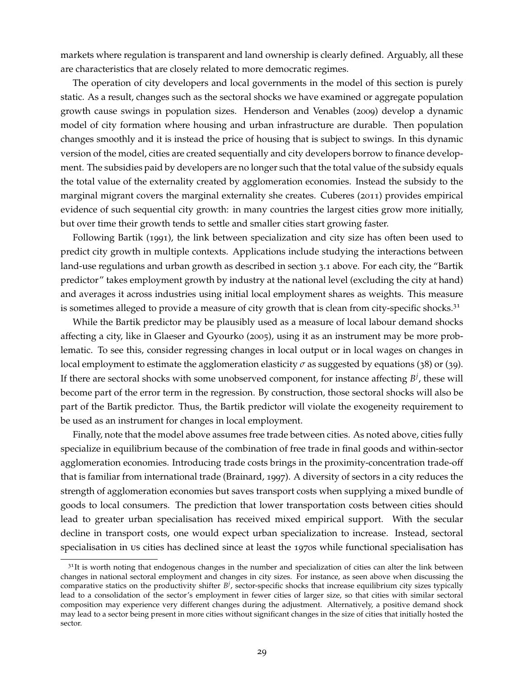markets where regulation is transparent and land ownership is clearly defined. Arguably, all these are characteristics that are closely related to more democratic regimes.

The operation of city developers and local governments in the model of this section is purely static. As a result, changes such as the sectoral shocks we have examined or aggregate population growth cause swings in population sizes. [Henderson and Venables](#page-64-5) ([2009](#page-64-5)) develop a dynamic model of city formation where housing and urban infrastructure are durable. Then population changes smoothly and it is instead the price of housing that is subject to swings. In this dynamic version of the model, cities are created sequentially and city developers borrow to finance development. The subsidies paid by developers are no longer such that the total value of the subsidy equals the total value of the externality created by agglomeration economies. Instead the subsidy to the marginal migrant covers the marginal externality she creates. [Cuberes](#page-60-4) ([2011](#page-60-4)) provides empirical evidence of such sequential city growth: in many countries the largest cities grow more initially, but over time their growth tends to settle and smaller cities start growing faster.

Following [Bartik](#page-58-8) ([1991](#page-58-8)), the link between specialization and city size has often been used to predict city growth in multiple contexts. Applications include studying the interactions between land-use regulations and urban growth as described in section [3](#page-13-2).1 above. For each city, the "Bartik predictor" takes employment growth by industry at the national level (excluding the city at hand) and averages it across industries using initial local employment shares as weights. This measure is sometimes alleged to provide a measure of city growth that is clean from city-specific shocks.<sup>[31](#page-29-0)</sup>

While the Bartik predictor may be plausibly used as a measure of local labour demand shocks affecting a city, like in [Glaeser and Gyourko](#page-62-8) ([2005](#page-62-8)), using it as an instrument may be more problematic. To see this, consider regressing changes in local output or in local wages on changes in local employment to estimate the agglomeration elasticity  $\sigma$  as suggested by equations ([38](#page-23-3)) or ([39](#page-23-2)). If there are sectoral shocks with some unobserved component, for instance affecting  $B^j$ , these will become part of the error term in the regression. By construction, those sectoral shocks will also be part of the Bartik predictor. Thus, the Bartik predictor will violate the exogeneity requirement to be used as an instrument for changes in local employment.

Finally, note that the model above assumes free trade between cities. As noted above, cities fully specialize in equilibrium because of the combination of free trade in final goods and within-sector agglomeration economies. Introducing trade costs brings in the proximity-concentration trade-off that is familiar from international trade [\(Brainard,](#page-59-10) [1997](#page-59-10)). A diversity of sectors in a city reduces the strength of agglomeration economies but saves transport costs when supplying a mixed bundle of goods to local consumers. The prediction that lower transportation costs between cities should lead to greater urban specialisation has received mixed empirical support. With the secular decline in transport costs, one would expect urban specialization to increase. Instead, sectoral specialisation in us cities has declined since at least the 1970s while functional specialisation has

<span id="page-29-0"></span> $3<sup>1</sup>$ It is worth noting that endogenous changes in the number and specialization of cities can alter the link between changes in national sectoral employment and changes in city sizes. For instance, as seen above when discussing the comparative statics on the productivity shifter  $B^j$ , sector-specific shocks that increase equilibrium city sizes typically lead to a consolidation of the sector's employment in fewer cities of larger size, so that cities with similar sectoral composition may experience very different changes during the adjustment. Alternatively, a positive demand shock may lead to a sector being present in more cities without significant changes in the size of cities that initially hosted the sector.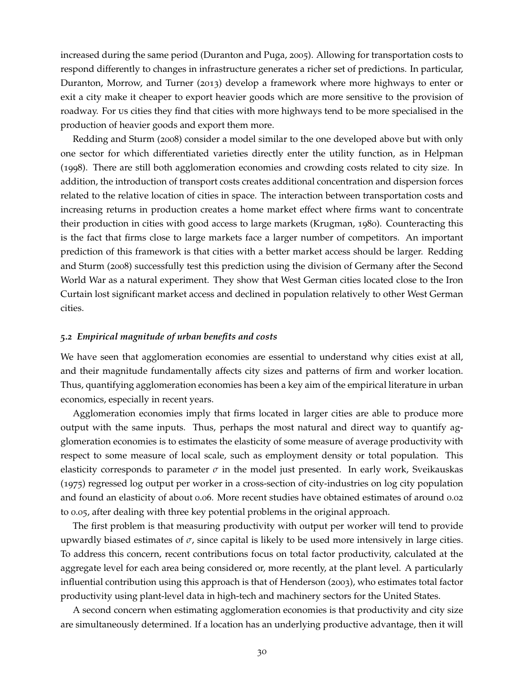increased during the same period [\(Duranton and Puga,](#page-61-11) [2005](#page-61-11)). Allowing for transportation costs to respond differently to changes in infrastructure generates a richer set of predictions. In particular, [Duranton, Morrow, and Turner](#page-61-12) ([2013](#page-61-12)) develop a framework where more highways to enter or exit a city make it cheaper to export heavier goods which are more sensitive to the provision of roadway. For us cities they find that cities with more highways tend to be more specialised in the production of heavier goods and export them more.

[Redding and Sturm](#page-66-5) ([2008](#page-66-5)) consider a model similar to the one developed above but with only one sector for which differentiated varieties directly enter the utility function, as in [Helpman](#page-63-10) ([1998](#page-63-10)). There are still both agglomeration economies and crowding costs related to city size. In addition, the introduction of transport costs creates additional concentration and dispersion forces related to the relative location of cities in space. The interaction between transportation costs and increasing returns in production creates a home market effect where firms want to concentrate their production in cities with good access to large markets [\(Krugman,](#page-64-6) [1980](#page-64-6)). Counteracting this is the fact that firms close to large markets face a larger number of competitors. An important prediction of this framework is that cities with a better market access should be larger. [Redding](#page-66-5) [and Sturm](#page-66-5) ([2008](#page-66-5)) successfully test this prediction using the division of Germany after the Second World War as a natural experiment. They show that West German cities located close to the Iron Curtain lost significant market access and declined in population relatively to other West German cities.

# <span id="page-30-0"></span>*5.2 Empirical magnitude of urban benefits and costs*

We have seen that agglomeration economies are essential to understand why cities exist at all, and their magnitude fundamentally affects city sizes and patterns of firm and worker location. Thus, quantifying agglomeration economies has been a key aim of the empirical literature in urban economics, especially in recent years.

Agglomeration economies imply that firms located in larger cities are able to produce more output with the same inputs. Thus, perhaps the most natural and direct way to quantify agglomeration economies is to estimates the elasticity of some measure of average productivity with respect to some measure of local scale, such as employment density or total population. This elasticity corresponds to parameter  $\sigma$  in the model just presented. In early work, [Sveikauskas](#page-67-5) ([1975](#page-67-5)) regressed log output per worker in a cross-section of city-industries on log city population and found an elasticity of about 0.06. More recent studies have obtained estimates of around 0.02 to 0.05, after dealing with three key potential problems in the original approach.

The first problem is that measuring productivity with output per worker will tend to provide upwardly biased estimates of  $\sigma$ , since capital is likely to be used more intensively in large cities. To address this concern, recent contributions focus on total factor productivity, calculated at the aggregate level for each area being considered or, more recently, at the plant level. A particularly influential contribution using this approach is that of [Henderson](#page-63-11) ([2003](#page-63-11)), who estimates total factor productivity using plant-level data in high-tech and machinery sectors for the United States.

A second concern when estimating agglomeration economies is that productivity and city size are simultaneously determined. If a location has an underlying productive advantage, then it will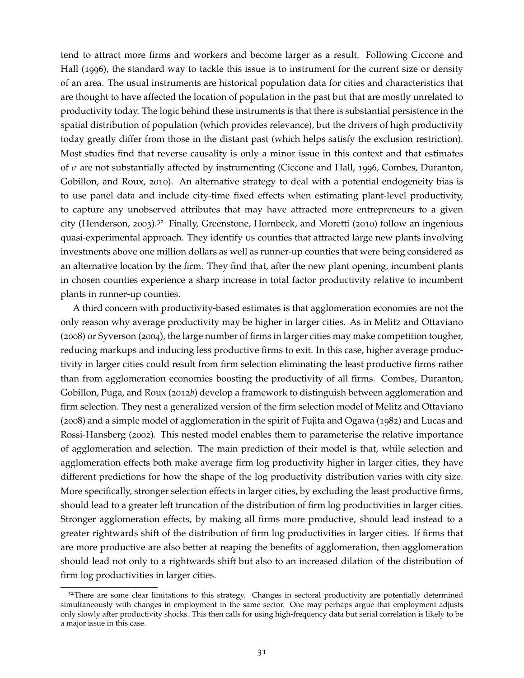tend to attract more firms and workers and become larger as a result. Following [Ciccone and](#page-59-11) [Hall](#page-59-11) ([1996](#page-59-11)), the standard way to tackle this issue is to instrument for the current size or density of an area. The usual instruments are historical population data for cities and characteristics that are thought to have affected the location of population in the past but that are mostly unrelated to productivity today. The logic behind these instruments is that there is substantial persistence in the spatial distribution of population (which provides relevance), but the drivers of high productivity today greatly differ from those in the distant past (which helps satisfy the exclusion restriction). Most studies find that reverse causality is only a minor issue in this context and that estimates of *σ* are not substantially affected by instrumenting [\(Ciccone and Hall,](#page-59-11) [1996](#page-59-11), [Combes, Duranton,](#page-60-5) [Gobillon, and Roux,](#page-60-5) [2010](#page-60-5)). An alternative strategy to deal with a potential endogeneity bias is to use panel data and include city-time fixed effects when estimating plant-level productivity, to capture any unobserved attributes that may have attracted more entrepreneurs to a given city [\(Henderson,](#page-63-11) [2003](#page-63-11)).<sup>[32](#page-31-0)</sup> Finally, [Greenstone, Hornbeck, and Moretti](#page-63-4) ([2010](#page-63-4)) follow an ingenious quasi-experimental approach. They identify us counties that attracted large new plants involving investments above one million dollars as well as runner-up counties that were being considered as an alternative location by the firm. They find that, after the new plant opening, incumbent plants in chosen counties experience a sharp increase in total factor productivity relative to incumbent plants in runner-up counties.

A third concern with productivity-based estimates is that agglomeration economies are not the only reason why average productivity may be higher in larger cities. As in [Melitz and Ottaviano](#page-65-12) ([2008](#page-65-12)) or [Syverson](#page-67-6) ([2004](#page-67-6)), the large number of firms in larger cities may make competition tougher, reducing markups and inducing less productive firms to exit. In this case, higher average productivity in larger cities could result from firm selection eliminating the least productive firms rather than from agglomeration economies boosting the productivity of all firms. [Combes, Duranton,](#page-60-6) [Gobillon, Puga, and Roux](#page-60-6) ([2012](#page-60-6)*b*) develop a framework to distinguish between agglomeration and firm selection. They nest a generalized version of the firm selection model of [Melitz and Ottaviano](#page-65-12) ([2008](#page-65-12)) and a simple model of agglomeration in the spirit of [Fujita and Ogawa](#page-62-5) ([1982](#page-62-5)) and [Lucas and](#page-65-4) [Rossi-Hansberg](#page-65-4) ([2002](#page-65-4)). This nested model enables them to parameterise the relative importance of agglomeration and selection. The main prediction of their model is that, while selection and agglomeration effects both make average firm log productivity higher in larger cities, they have different predictions for how the shape of the log productivity distribution varies with city size. More specifically, stronger selection effects in larger cities, by excluding the least productive firms, should lead to a greater left truncation of the distribution of firm log productivities in larger cities. Stronger agglomeration effects, by making all firms more productive, should lead instead to a greater rightwards shift of the distribution of firm log productivities in larger cities. If firms that are more productive are also better at reaping the benefits of agglomeration, then agglomeration should lead not only to a rightwards shift but also to an increased dilation of the distribution of firm log productivities in larger cities.

<span id="page-31-0"></span> $32$ There are some clear limitations to this strategy. Changes in sectoral productivity are potentially determined simultaneously with changes in employment in the same sector. One may perhaps argue that employment adjusts only slowly after productivity shocks. This then calls for using high-frequency data but serial correlation is likely to be a major issue in this case.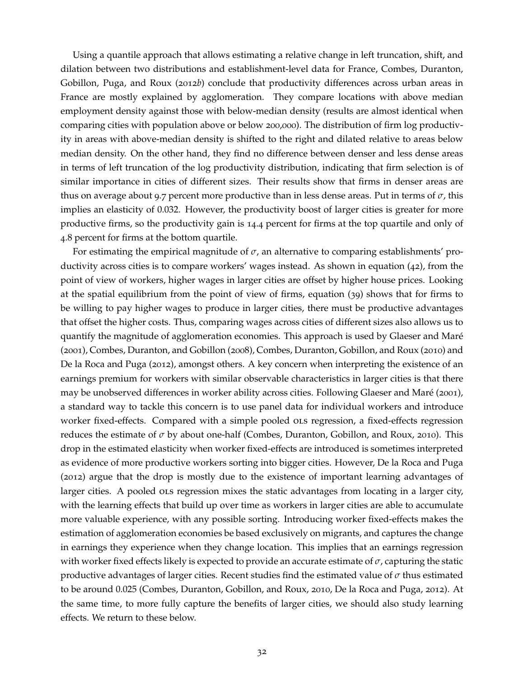Using a quantile approach that allows estimating a relative change in left truncation, shift, and dilation between two distributions and establishment-level data for France, [Combes, Duranton,](#page-60-6) [Gobillon, Puga, and Roux](#page-60-6) ([2012](#page-60-6)*b*) conclude that productivity differences across urban areas in France are mostly explained by agglomeration. They compare locations with above median employment density against those with below-median density (results are almost identical when comparing cities with population above or below 200,000). The distribution of firm log productivity in areas with above-median density is shifted to the right and dilated relative to areas below median density. On the other hand, they find no difference between denser and less dense areas in terms of left truncation of the log productivity distribution, indicating that firm selection is of similar importance in cities of different sizes. Their results show that firms in denser areas are thus on average about 9.7 percent more productive than in less dense areas. Put in terms of  $\sigma$ , this implies an elasticity of 0.032. However, the productivity boost of larger cities is greater for more productive firms, so the productivity gain is 14.4 percent for firms at the top quartile and only of 4.8 percent for firms at the bottom quartile.

For estimating the empirical magnitude of  $\sigma$ , an alternative to comparing establishments' productivity across cities is to compare workers' wages instead. As shown in equation ([42](#page-25-1)), from the point of view of workers, higher wages in larger cities are offset by higher house prices. Looking at the spatial equilibrium from the point of view of firms, equation ([39](#page-23-2)) shows that for firms to be willing to pay higher wages to produce in larger cities, there must be productive advantages that offset the higher costs. Thus, comparing wages across cities of different sizes also allows us to quantify the magnitude of agglomeration economies. This approach is used by [Glaeser and Maré](#page-63-12) ([2001](#page-63-12)), [Combes, Duranton, and Gobillon](#page-60-7) ([2008](#page-60-7)), [Combes, Duranton, Gobillon, and Roux](#page-60-5) ([2010](#page-60-5)) and [De la Roca and Puga](#page-60-8) ([2012](#page-60-8)), amongst others. A key concern when interpreting the existence of an earnings premium for workers with similar observable characteristics in larger cities is that there may be unobserved differences in worker ability across cities. Following [Glaeser and Maré](#page-63-12) ([2001](#page-63-12)), a standard way to tackle this concern is to use panel data for individual workers and introduce worker fixed-effects. Compared with a simple pooled ols regression, a fixed-effects regression reduces the estimate of *σ* by about one-half [\(Combes, Duranton, Gobillon, and Roux,](#page-60-5) [2010](#page-60-5)). This drop in the estimated elasticity when worker fixed-effects are introduced is sometimes interpreted as evidence of more productive workers sorting into bigger cities. However, [De la Roca and Puga](#page-60-8) ([2012](#page-60-8)) argue that the drop is mostly due to the existence of important learning advantages of larger cities. A pooled ols regression mixes the static advantages from locating in a larger city, with the learning effects that build up over time as workers in larger cities are able to accumulate more valuable experience, with any possible sorting. Introducing worker fixed-effects makes the estimation of agglomeration economies be based exclusively on migrants, and captures the change in earnings they experience when they change location. This implies that an earnings regression with worker fixed effects likely is expected to provide an accurate estimate of  $\sigma$ , capturing the static productive advantages of larger cities. Recent studies find the estimated value of  $\sigma$  thus estimated to be around 0.025 [\(Combes, Duranton, Gobillon, and Roux,](#page-60-5) [2010](#page-60-5), [De la Roca and Puga,](#page-60-8) [2012](#page-60-8)). At the same time, to more fully capture the benefits of larger cities, we should also study learning effects. We return to these below.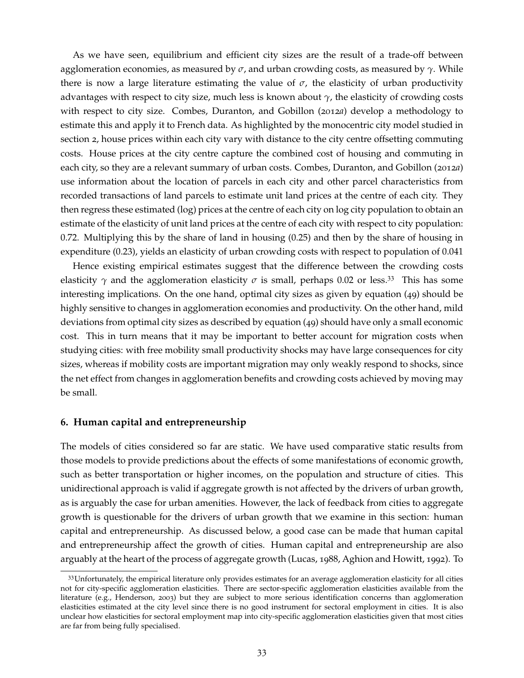As we have seen, equilibrium and efficient city sizes are the result of a trade-off between agglomeration economies, as measured by *σ*, and urban crowding costs, as measured by *γ*. While there is now a large literature estimating the value of  $\sigma$ , the elasticity of urban productivity advantages with respect to city size, much less is known about  $\gamma$ , the elasticity of crowding costs with respect to city size. [Combes, Duranton, and Gobillon](#page-60-9) ([2012](#page-60-9)*a*) develop a methodology to estimate this and apply it to French data. As highlighted by the monocentric city model studied in section [2](#page-3-5), house prices within each city vary with distance to the city centre offsetting commuting costs. House prices at the city centre capture the combined cost of housing and commuting in each city, so they are a relevant summary of urban costs. [Combes, Duranton, and Gobillon](#page-60-9) ([2012](#page-60-9)*a*) use information about the location of parcels in each city and other parcel characteristics from recorded transactions of land parcels to estimate unit land prices at the centre of each city. They then regress these estimated (log) prices at the centre of each city on log city population to obtain an estimate of the elasticity of unit land prices at the centre of each city with respect to city population: 0.72. Multiplying this by the share of land in housing (0.25) and then by the share of housing in expenditure (0.23), yields an elasticity of urban crowding costs with respect to population of 0.041

Hence existing empirical estimates suggest that the difference between the crowding costs elasticity  $\gamma$  and the agglomeration elasticity  $\sigma$  is small, perhaps 0.02 or less.<sup>[33](#page-33-0)</sup> This has some interesting implications. On the one hand, optimal city sizes as given by equation ([49](#page-26-5)) should be highly sensitive to changes in agglomeration economies and productivity. On the other hand, mild deviations from optimal city sizes as described by equation ([49](#page-26-5)) should have only a small economic cost. This in turn means that it may be important to better account for migration costs when studying cities: with free mobility small productivity shocks may have large consequences for city sizes, whereas if mobility costs are important migration may only weakly respond to shocks, since the net effect from changes in agglomeration benefits and crowding costs achieved by moving may be small.

# <span id="page-33-1"></span>**6. Human capital and entrepreneurship**

The models of cities considered so far are static. We have used comparative static results from those models to provide predictions about the effects of some manifestations of economic growth, such as better transportation or higher incomes, on the population and structure of cities. This unidirectional approach is valid if aggregate growth is not affected by the drivers of urban growth, as is arguably the case for urban amenities. However, the lack of feedback from cities to aggregate growth is questionable for the drivers of urban growth that we examine in this section: human capital and entrepreneurship. As discussed below, a good case can be made that human capital and entrepreneurship affect the growth of cities. Human capital and entrepreneurship are also arguably at the heart of the process of aggregate growth [\(Lucas,](#page-65-2) [1988](#page-65-2), [Aghion and Howitt,](#page-58-13) [1992](#page-58-13)). To

<span id="page-33-0"></span><sup>33</sup>Unfortunately, the empirical literature only provides estimates for an average agglomeration elasticity for all cities not for city-specific agglomeration elasticities. There are sector-specific agglomeration elasticities available from the literature (e.g., [Henderson,](#page-63-11) [2003](#page-63-11)) but they are subject to more serious identification concerns than agglomeration elasticities estimated at the city level since there is no good instrument for sectoral employment in cities. It is also unclear how elasticities for sectoral employment map into city-specific agglomeration elasticities given that most cities are far from being fully specialised.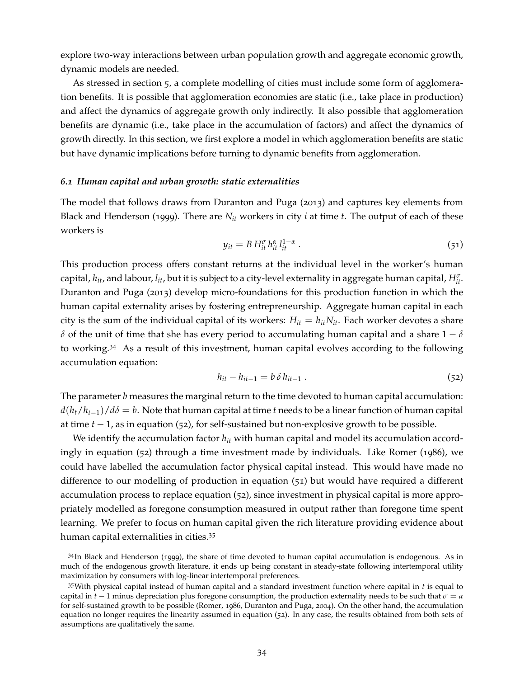explore two-way interactions between urban population growth and aggregate economic growth, dynamic models are needed.

As stressed in section [5](#page-21-1), a complete modelling of cities must include some form of agglomeration benefits. It is possible that agglomeration economies are static (i.e., take place in production) and affect the dynamics of aggregate growth only indirectly. It also possible that agglomeration benefits are dynamic (i.e., take place in the accumulation of factors) and affect the dynamics of growth directly. In this section, we first explore a model in which agglomeration benefits are static but have dynamic implications before turning to dynamic benefits from agglomeration.

#### <span id="page-34-4"></span>*6.1 Human capital and urban growth: static externalities*

The model that follows draws from [Duranton and Puga](#page-61-13) ([2013](#page-61-13)) and captures key elements from [Black and Henderson](#page-59-12) ([1999](#page-59-12)). There are *Nit* workers in city *i* at time *t*. The output of each of these workers is

<span id="page-34-2"></span>
$$
y_{it} = B H_{it}^{\sigma} h_{it}^{\alpha} l_{it}^{1-\alpha} . \tag{51}
$$

This production process offers constant returns at the individual level in the worker's human capital*, h<sub>it</sub>,* and labour, *l<sub>it</sub>,* but it is subject to a city-level externality in aggregate human capital,  $H_{it}^\sigma$ . [Duranton and Puga](#page-61-13) ([2013](#page-61-13)) develop micro-foundations for this production function in which the human capital externality arises by fostering entrepreneurship. Aggregate human capital in each city is the sum of the individual capital of its workers:  $H_{it} = h_{it} N_{it}$ . Each worker devotes a share *δ* of the unit of time that she has every period to accumulating human capital and a share 1 − *δ* to working.[34](#page-34-0) As a result of this investment, human capital evolves according to the following accumulation equation:

<span id="page-34-1"></span>
$$
h_{it} - h_{it-1} = b \, \delta \, h_{it-1} \,. \tag{52}
$$

The parameter *b* measures the marginal return to the time devoted to human capital accumulation:  $d(h_t/h_{t-1})/d\delta = b$ . Note that human capital at time *t* needs to be a linear function of human capital at time *<sup>t</sup>* <sup>−</sup> 1, as in equation ([52](#page-34-1)), for self-sustained but non-explosive growth to be possible.

We identify the accumulation factor  $h_{it}$  with human capital and model its accumulation accordingly in equation ([52](#page-34-1)) through a time investment made by individuals. Like [Romer](#page-66-6) ([1986](#page-66-6)), we could have labelled the accumulation factor physical capital instead. This would have made no difference to our modelling of production in equation ([51](#page-34-2)) but would have required a different accumulation process to replace equation ([52](#page-34-1)), since investment in physical capital is more appropriately modelled as foregone consumption measured in output rather than foregone time spent learning. We prefer to focus on human capital given the rich literature providing evidence about human capital externalities in cities.[35](#page-34-3)

<span id="page-34-0"></span> $34$ In [Black and Henderson](#page-59-12) ([1999](#page-59-12)), the share of time devoted to human capital accumulation is endogenous. As in much of the endogenous growth literature, it ends up being constant in steady-state following intertemporal utility maximization by consumers with log-linear intertemporal preferences.

<span id="page-34-3"></span><sup>35</sup>With physical capital instead of human capital and a standard investment function where capital in *t* is equal to capital in *t* − 1 minus depreciation plus foregone consumption, the production externality needs to be such that *σ* = *α* for self-sustained growth to be possible [\(Romer,](#page-66-6) [1986](#page-66-6), [Duranton and Puga,](#page-61-8) [2004](#page-61-8)). On the other hand, the accumulation equation no longer requires the linearity assumed in equation ([52](#page-34-1)). In any case, the results obtained from both sets of assumptions are qualitatively the same.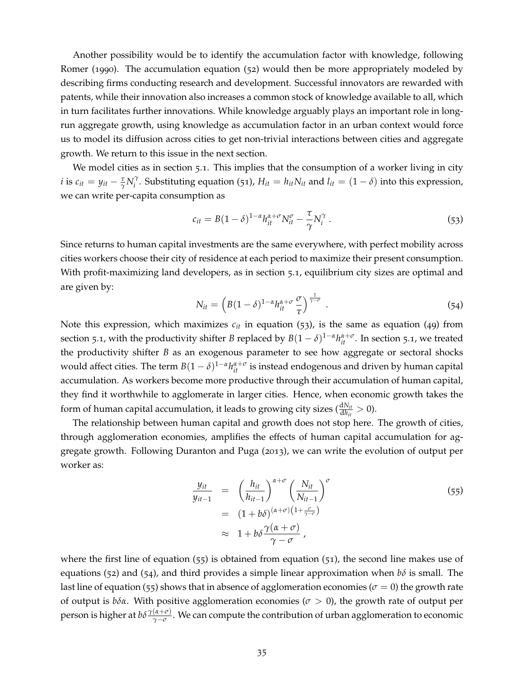Another possibility would be to identify the accumulation factor with knowledge, following [Romer](#page-66-7) ([1990](#page-66-7)). The accumulation equation ([52](#page-34-1)) would then be more appropriately modeled by describing firms conducting research and development. Successful innovators are rewarded with patents, while their innovation also increases a common stock of knowledge available to all, which in turn facilitates further innovations. While knowledge arguably plays an important role in longrun aggregate growth, using knowledge as accumulation factor in an urban context would force us to model its diffusion across cities to get non-trivial interactions between cities and aggregate growth. We return to this issue in the next section.

We model cities as in section [5](#page-22-2).1. This implies that the consumption of a worker living in city *i* is  $c_{it} = y_{it} - \frac{\tau}{\gamma} N_i^{\gamma}$ *. Substituting equation ([51](#page-34-2)),*  $H<sub>it</sub> = h<sub>it</sub>N<sub>it</sub>$  *and*  $l<sub>it</sub> = (1 − δ)$  *into this expression,* we can write per-capita consumption as

<span id="page-35-0"></span>
$$
c_{it} = B(1-\delta)^{1-\alpha}h_{it}^{\alpha+\sigma}N_{it}^{\sigma} - \frac{\tau}{\gamma}N_{i}^{\gamma}.
$$
\n
$$
(53)
$$

Since returns to human capital investments are the same everywhere, with perfect mobility across cities workers choose their city of residence at each period to maximize their present consumption. With profit-maximizing land developers, as in section [5](#page-22-2).1, equilibrium city sizes are optimal and are given by:

<span id="page-35-2"></span>
$$
N_{it} = \left(B(1-\delta)^{1-\alpha}h_{it}^{\alpha+\sigma}\frac{\sigma}{\tau}\right)^{\frac{1}{\gamma-\sigma}}.
$$
\n(54)

Note this expression, which maximizes *cit* in equation ([53](#page-35-0)), is the same as equation ([49](#page-26-5)) from section [5](#page-22-2).1, with the productivity shifter *B* replaced by  $B(1-\delta)^{1-\alpha}h_{it}^{\alpha+\sigma}$ . In section 5.1, we treated the productivity shifter *B* as an exogenous parameter to see how aggregate or sectoral shocks would affect cities. The term  $B(1-\delta)^{1-\alpha}h_{it}^{\alpha+\sigma}$  is instead endogenous and driven by human capital accumulation. As workers become more productive through their accumulation of human capital, they find it worthwhile to agglomerate in larger cities. Hence, when economic growth takes the form of human capital accumulation, it leads to growing city sizes ( $\frac{dN_{it}}{dh_{it}} > 0$ ).

The relationship between human capital and growth does not stop here. The growth of cities, through agglomeration economies, amplifies the effects of human capital accumulation for aggregate growth. Following [Duranton and Puga](#page-61-13) ([2013](#page-61-13)), we can write the evolution of output per worker as:

<span id="page-35-1"></span>
$$
\frac{y_{it}}{y_{it-1}} = \left(\frac{h_{it}}{h_{it-1}}\right)^{\alpha+\sigma} \left(\frac{N_{it}}{N_{it-1}}\right)^{\sigma}
$$
\n
$$
= (1+b\delta)^{(\alpha+\sigma)(1+\frac{\sigma}{\gamma-\sigma})}
$$
\n
$$
\approx 1+b\delta \frac{\gamma(\alpha+\sigma)}{\gamma-\sigma}, \qquad (55)
$$

where the first line of equation ([55](#page-35-1)) is obtained from equation ([51](#page-34-2)), the second line makes use of equations ([52](#page-34-1)) and ([54](#page-35-2)), and third provides a simple linear approximation when  $b\delta$  is small. The last line of equation ([55](#page-35-1)) shows that in absence of agglomeration economies ( $\sigma = 0$ ) the growth rate of output is *bδα*. With positive agglomeration economies (*σ* > 0), the growth rate of output per person is higher at *bδ γ*(*α*+*σ*) *γ*−*σ* . We can compute the contribution of urban agglomeration to economic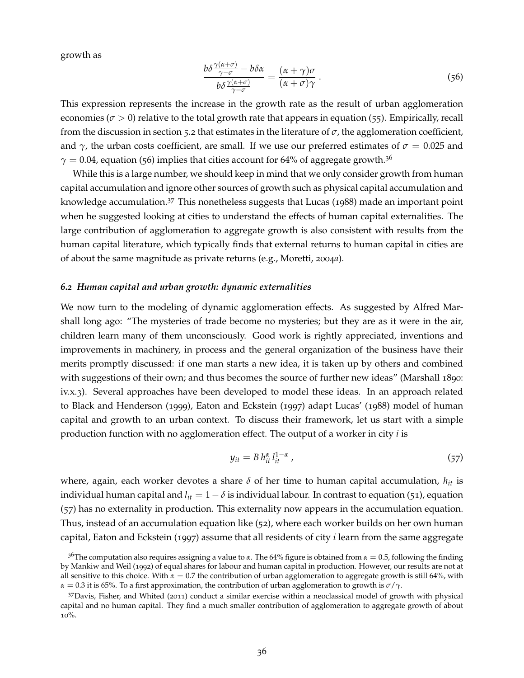growth as

<span id="page-36-0"></span>
$$
\frac{b\delta \frac{\gamma(\alpha+\sigma)}{\gamma-\sigma} - b\delta\alpha}{b\delta \frac{\gamma(\alpha+\sigma)}{\gamma-\sigma}} = \frac{(\alpha+\gamma)\sigma}{(\alpha+\sigma)\gamma} \,. \tag{56}
$$

This expression represents the increase in the growth rate as the result of urban agglomeration economies ( $\sigma > 0$ ) relative to the total growth rate that appears in equation ([55](#page-35-1)). Empirically, recall from the discussion in section [5](#page-30-0).2 that estimates in the literature of  $\sigma$ , the agglomeration coefficient, and  $\gamma$ , the urban costs coefficient, are small. If we use our preferred estimates of  $\sigma = 0.025$  and  $\gamma = 0.04$ , equation ([56](#page-36-0)) implies that cities account for 64% of aggregate growth.<sup>[36](#page-36-1)</sup>

While this is a large number, we should keep in mind that we only consider growth from human capital accumulation and ignore other sources of growth such as physical capital accumulation and knowledge accumulation.<sup>[37](#page-36-2)</sup> This nonetheless suggests that [Lucas](#page-65-2) ([1988](#page-65-2)) made an important point when he suggested looking at cities to understand the effects of human capital externalities. The large contribution of agglomeration to aggregate growth is also consistent with results from the human capital literature, which typically finds that external returns to human capital in cities are of about the same magnitude as private returns (e.g., [Moretti,](#page-65-13) [2004](#page-65-13)*a*).

## <span id="page-36-4"></span>*6.2 Human capital and urban growth: dynamic externalities*

We now turn to the modeling of dynamic agglomeration effects. As suggested by Alfred Marshall long ago: "The mysteries of trade become no mysteries; but they are as it were in the air, children learn many of them unconsciously. Good work is rightly appreciated, inventions and improvements in machinery, in process and the general organization of the business have their merits promptly discussed: if one man starts a new idea, it is taken up by others and combined with suggestions of their own; and thus becomes the source of further new ideas" [\(Marshall](#page-65-14) 1890: iv.x.3). Several approaches have been developed to model these ideas. In an approach related to [Black and Henderson](#page-59-12) ([1999](#page-59-12)), [Eaton and Eckstein](#page-61-14) ([1997](#page-61-14)) adapt [Lucas'](#page-65-2) (1988) model of human capital and growth to an urban context. To discuss their framework, let us start with a simple production function with no agglomeration effect. The output of a worker in city *i* is

<span id="page-36-3"></span>
$$
y_{it} = B h_{it}^{\alpha} l_{it}^{1-\alpha} \tag{57}
$$

where, again, each worker devotes a share  $\delta$  of her time to human capital accumulation,  $h_{it}$  is individual human capital and  $l_{it} = 1 - \delta$  is individual labour. In contrast to equation ([51](#page-34-2)), equation ([57](#page-36-3)) has no externality in production. This externality now appears in the accumulation equation. Thus, instead of an accumulation equation like ([52](#page-34-1)), where each worker builds on her own human capital, [Eaton and Eckstein](#page-61-14) ([1997](#page-61-14)) assume that all residents of city *i* learn from the same aggregate

<span id="page-36-1"></span><sup>&</sup>lt;sup>36</sup>The computation also requires assigning a value to *α*. The 64% figure is obtained from  $\alpha = 0.5$ , following the finding by [Mankiw and Weil](#page-65-15) ([1992](#page-65-15)) of equal shares for labour and human capital in production. However, our results are not at all sensitive to this choice. With  $\alpha = 0.7$  the contribution of urban agglomeration to aggregate growth is still 64%, with  $\alpha = 0.3$  it is 65%. To a first approximation, the contribution of urban agglomeration to growth is  $\sigma/\gamma$ .

<span id="page-36-2"></span><sup>37</sup>[Davis, Fisher, and Whited](#page-60-10) ([2011](#page-60-10)) conduct a similar exercise within a neoclassical model of growth with physical capital and no human capital. They find a much smaller contribution of agglomeration to aggregate growth of about 10%.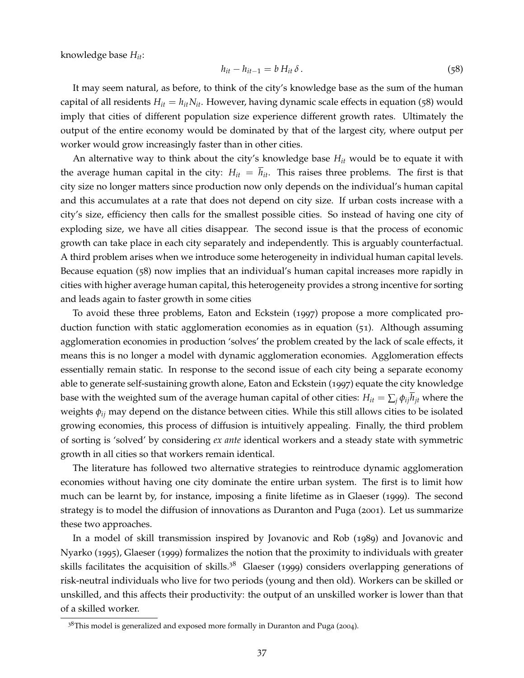knowledge base *Hit*:

<span id="page-37-0"></span>
$$
h_{it} - h_{it-1} = b H_{it} \delta. \tag{58}
$$

It may seem natural, as before, to think of the city's knowledge base as the sum of the human capital of all residents  $H_{it} = h_{it} N_{it}$ . However, having dynamic scale effects in equation ([58](#page-37-0)) would imply that cities of different population size experience different growth rates. Ultimately the output of the entire economy would be dominated by that of the largest city, where output per worker would grow increasingly faster than in other cities.

An alternative way to think about the city's knowledge base *Hit* would be to equate it with the average human capital in the city:  $H_{it} = \bar{h}_{it}$ . This raises three problems. The first is that city size no longer matters since production now only depends on the individual's human capital and this accumulates at a rate that does not depend on city size. If urban costs increase with a city's size, efficiency then calls for the smallest possible cities. So instead of having one city of exploding size, we have all cities disappear. The second issue is that the process of economic growth can take place in each city separately and independently. This is arguably counterfactual. A third problem arises when we introduce some heterogeneity in individual human capital levels. Because equation ([58](#page-37-0)) now implies that an individual's human capital increases more rapidly in cities with higher average human capital, this heterogeneity provides a strong incentive for sorting and leads again to faster growth in some cities

To avoid these three problems, [Eaton and Eckstein](#page-61-14) ([1997](#page-61-14)) propose a more complicated production function with static agglomeration economies as in equation ([51](#page-34-2)). Although assuming agglomeration economies in production 'solves' the problem created by the lack of scale effects, it means this is no longer a model with dynamic agglomeration economies. Agglomeration effects essentially remain static. In response to the second issue of each city being a separate economy able to generate self-sustaining growth alone, [Eaton and Eckstein](#page-61-14) ([1997](#page-61-14)) equate the city knowledge base with the weighted sum of the average human capital of other cities:  $H_{it} = \sum_j \phi_{ij} h_{jt}$  where the weights *φij* may depend on the distance between cities. While this still allows cities to be isolated growing economies, this process of diffusion is intuitively appealing. Finally, the third problem of sorting is 'solved' by considering *ex ante* identical workers and a steady state with symmetric growth in all cities so that workers remain identical.

The literature has followed two alternative strategies to reintroduce dynamic agglomeration economies without having one city dominate the entire urban system. The first is to limit how much can be learnt by, for instance, imposing a finite lifetime as in [Glaeser](#page-62-0) ([1999](#page-62-0)). The second strategy is to model the diffusion of innovations as [Duranton and Puga](#page-61-1) ([2001](#page-61-1)). Let us summarize these two approaches.

In a model of skill transmission inspired by [Jovanovic and Rob](#page-64-7) ([1989](#page-64-7)) and [Jovanovic and](#page-64-8) [Nyarko](#page-64-8) ([1995](#page-64-8)), [Glaeser](#page-62-0) ([1999](#page-62-0)) formalizes the notion that the proximity to individuals with greater skills facilitates the acquisition of skills.<sup>[38](#page-37-1)</sup> [Glaeser](#page-62-0) ([1999](#page-62-0)) considers overlapping generations of risk-neutral individuals who live for two periods (young and then old). Workers can be skilled or unskilled, and this affects their productivity: the output of an unskilled worker is lower than that of a skilled worker.

<span id="page-37-1"></span> $38$ This model is generalized and exposed more formally in [Duranton and Puga](#page-61-8) ([2004](#page-61-8)).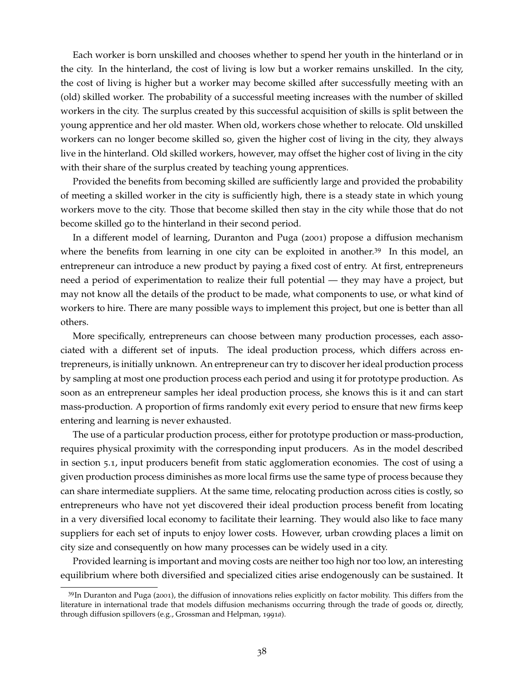Each worker is born unskilled and chooses whether to spend her youth in the hinterland or in the city. In the hinterland, the cost of living is low but a worker remains unskilled. In the city, the cost of living is higher but a worker may become skilled after successfully meeting with an (old) skilled worker. The probability of a successful meeting increases with the number of skilled workers in the city. The surplus created by this successful acquisition of skills is split between the young apprentice and her old master. When old, workers chose whether to relocate. Old unskilled workers can no longer become skilled so, given the higher cost of living in the city, they always live in the hinterland. Old skilled workers, however, may offset the higher cost of living in the city with their share of the surplus created by teaching young apprentices.

Provided the benefits from becoming skilled are sufficiently large and provided the probability of meeting a skilled worker in the city is sufficiently high, there is a steady state in which young workers move to the city. Those that become skilled then stay in the city while those that do not become skilled go to the hinterland in their second period.

In a different model of learning, [Duranton and Puga](#page-61-1) ([2001](#page-61-1)) propose a diffusion mechanism where the benefits from learning in one city can be exploited in another.<sup>[39](#page-38-0)</sup> In this model, an entrepreneur can introduce a new product by paying a fixed cost of entry. At first, entrepreneurs need a period of experimentation to realize their full potential — they may have a project, but may not know all the details of the product to be made, what components to use, or what kind of workers to hire. There are many possible ways to implement this project, but one is better than all others.

More specifically, entrepreneurs can choose between many production processes, each associated with a different set of inputs. The ideal production process, which differs across entrepreneurs, is initially unknown. An entrepreneur can try to discover her ideal production process by sampling at most one production process each period and using it for prototype production. As soon as an entrepreneur samples her ideal production process, she knows this is it and can start mass-production. A proportion of firms randomly exit every period to ensure that new firms keep entering and learning is never exhausted.

The use of a particular production process, either for prototype production or mass-production, requires physical proximity with the corresponding input producers. As in the model described in section [5](#page-22-2).1, input producers benefit from static agglomeration economies. The cost of using a given production process diminishes as more local firms use the same type of process because they can share intermediate suppliers. At the same time, relocating production across cities is costly, so entrepreneurs who have not yet discovered their ideal production process benefit from locating in a very diversified local economy to facilitate their learning. They would also like to face many suppliers for each set of inputs to enjoy lower costs. However, urban crowding places a limit on city size and consequently on how many processes can be widely used in a city.

Provided learning is important and moving costs are neither too high nor too low, an interesting equilibrium where both diversified and specialized cities arise endogenously can be sustained. It

<span id="page-38-0"></span><sup>39</sup>In [Duranton and Puga](#page-61-1) ([2001](#page-61-1)), the diffusion of innovations relies explicitly on factor mobility. This differs from the literature in international trade that models diffusion mechanisms occurring through the trade of goods or, directly, through diffusion spillovers (e.g., [Grossman and Helpman,](#page-63-13) [1991](#page-63-13)*a*).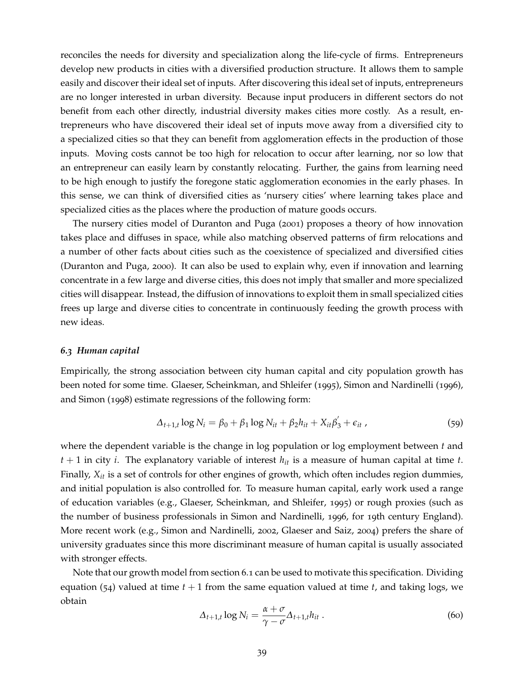reconciles the needs for diversity and specialization along the life-cycle of firms. Entrepreneurs develop new products in cities with a diversified production structure. It allows them to sample easily and discover their ideal set of inputs. After discovering this ideal set of inputs, entrepreneurs are no longer interested in urban diversity. Because input producers in different sectors do not benefit from each other directly, industrial diversity makes cities more costly. As a result, entrepreneurs who have discovered their ideal set of inputs move away from a diversified city to a specialized cities so that they can benefit from agglomeration effects in the production of those inputs. Moving costs cannot be too high for relocation to occur after learning, nor so low that an entrepreneur can easily learn by constantly relocating. Further, the gains from learning need to be high enough to justify the foregone static agglomeration economies in the early phases. In this sense, we can think of diversified cities as 'nursery cities' where learning takes place and specialized cities as the places where the production of mature goods occurs.

The nursery cities model of [Duranton and Puga](#page-61-1) ([2001](#page-61-1)) proposes a theory of how innovation takes place and diffuses in space, while also matching observed patterns of firm relocations and a number of other facts about cities such as the coexistence of specialized and diversified cities [\(Duranton and Puga,](#page-61-9) [2000](#page-61-9)). It can also be used to explain why, even if innovation and learning concentrate in a few large and diverse cities, this does not imply that smaller and more specialized cities will disappear. Instead, the diffusion of innovations to exploit them in small specialized cities frees up large and diverse cities to concentrate in continuously feeding the growth process with new ideas.

#### *6.3 Human capital*

Empirically, the strong association between city human capital and city population growth has been noted for some time. [Glaeser, Scheinkman, and Shleifer](#page-63-14) ([1995](#page-63-14)), [Simon and Nardinelli](#page-66-8) ([1996](#page-66-8)), and [Simon](#page-66-9) ([1998](#page-66-9)) estimate regressions of the following form:

<span id="page-39-1"></span>
$$
\Delta_{t+1,t} \log N_i = \beta_0 + \beta_1 \log N_{it} + \beta_2 h_{it} + X_{it} \beta_3' + \epsilon_{it} \tag{59}
$$

where the dependent variable is the change in log population or log employment between *t* and  $t + 1$  in city *i*. The explanatory variable of interest  $h_{it}$  is a measure of human capital at time *t*. Finally, *Xit* is a set of controls for other engines of growth, which often includes region dummies, and initial population is also controlled for. To measure human capital, early work used a range of education variables (e.g., [Glaeser, Scheinkman, and Shleifer,](#page-63-14) [1995](#page-63-14)) or rough proxies (such as the number of business professionals in [Simon and Nardinelli,](#page-66-8) [1996](#page-66-8), for 19th century England). More recent work (e.g., [Simon and Nardinelli,](#page-67-7) [2002](#page-67-7), [Glaeser and Saiz,](#page-63-3) [2004](#page-63-3)) prefers the share of university graduates since this more discriminant measure of human capital is usually associated with stronger effects.

Note that our growth model from section [6](#page-34-4).1 can be used to motivate this specification. Dividing equation ([54](#page-35-2)) valued at time  $t + 1$  from the same equation valued at time  $t$ , and taking logs, we obtain

<span id="page-39-0"></span>
$$
\Delta_{t+1,t} \log N_i = \frac{\alpha + \sigma}{\gamma - \sigma} \Delta_{t+1,t} h_{it} \tag{60}
$$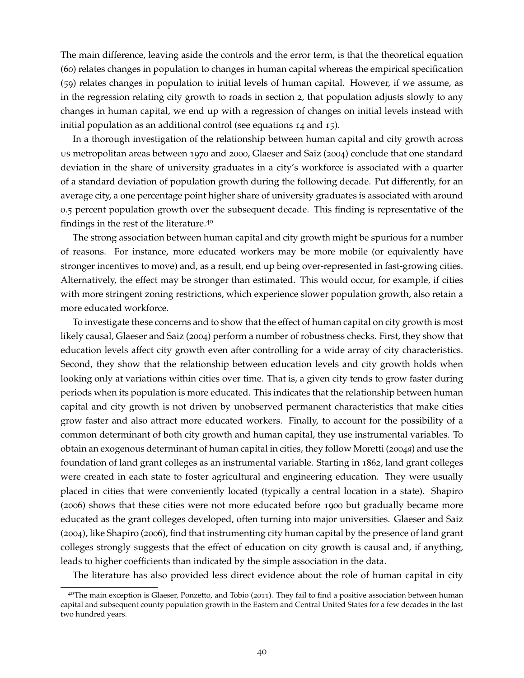The main difference, leaving aside the controls and the error term, is that the theoretical equation ([60](#page-39-0)) relates changes in population to changes in human capital whereas the empirical specification ([59](#page-39-1)) relates changes in population to initial levels of human capital. However, if we assume, as in the regression relating city growth to roads in section [2](#page-3-5), that population adjusts slowly to any changes in human capital, we end up with a regression of changes on initial levels instead with initial population as an additional control (see equations [14](#page-7-0) and [15](#page-7-2)).

In a thorough investigation of the relationship between human capital and city growth across us metropolitan areas between 1970 and 2000, [Glaeser and Saiz](#page-63-3) ([2004](#page-63-3)) conclude that one standard deviation in the share of university graduates in a city's workforce is associated with a quarter of a standard deviation of population growth during the following decade. Put differently, for an average city, a one percentage point higher share of university graduates is associated with around 0.5 percent population growth over the subsequent decade. This finding is representative of the findings in the rest of the literature.[40](#page-40-0)

The strong association between human capital and city growth might be spurious for a number of reasons. For instance, more educated workers may be more mobile (or equivalently have stronger incentives to move) and, as a result, end up being over-represented in fast-growing cities. Alternatively, the effect may be stronger than estimated. This would occur, for example, if cities with more stringent zoning restrictions, which experience slower population growth, also retain a more educated workforce.

To investigate these concerns and to show that the effect of human capital on city growth is most likely causal, [Glaeser and Saiz](#page-63-3) ([2004](#page-63-3)) perform a number of robustness checks. First, they show that education levels affect city growth even after controlling for a wide array of city characteristics. Second, they show that the relationship between education levels and city growth holds when looking only at variations within cities over time. That is, a given city tends to grow faster during periods when its population is more educated. This indicates that the relationship between human capital and city growth is not driven by unobserved permanent characteristics that make cities grow faster and also attract more educated workers. Finally, to account for the possibility of a common determinant of both city growth and human capital, they use instrumental variables. To obtain an exogenous determinant of human capital in cities, they follow [Moretti](#page-65-13) ([2004](#page-65-13)*a*) and use the foundation of land grant colleges as an instrumental variable. Starting in 1862, land grant colleges were created in each state to foster agricultural and engineering education. They were usually placed in cities that were conveniently located (typically a central location in a state). [Shapiro](#page-66-10) ([2006](#page-66-10)) shows that these cities were not more educated before 1900 but gradually became more educated as the grant colleges developed, often turning into major universities. [Glaeser and Saiz](#page-63-3) ([2004](#page-63-3)), like [Shapiro](#page-66-10) ([2006](#page-66-10)), find that instrumenting city human capital by the presence of land grant colleges strongly suggests that the effect of education on city growth is causal and, if anything, leads to higher coefficients than indicated by the simple association in the data.

The literature has also provided less direct evidence about the role of human capital in city

<span id="page-40-0"></span> $40$ The main exception is [Glaeser, Ponzetto, and Tobio](#page-63-15) ([2011](#page-63-15)). They fail to find a positive association between human capital and subsequent county population growth in the Eastern and Central United States for a few decades in the last two hundred years.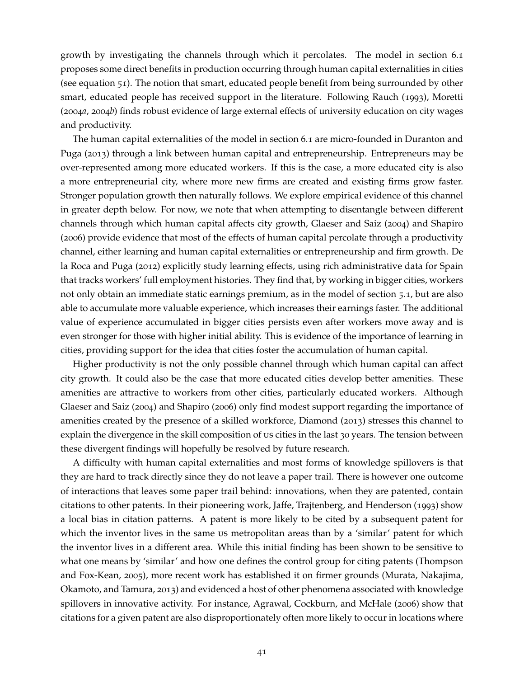growth by investigating the channels through which it percolates. The model in section [6](#page-34-4).1 proposes some direct benefits in production occurring through human capital externalities in cities (see equation [51](#page-34-2)). The notion that smart, educated people benefit from being surrounded by other smart, educated people has received support in the literature. Following [Rauch](#page-66-11) ([1993](#page-66-11)), [Moretti](#page-65-13) ([2004](#page-65-13)*a*, [2004](#page-65-16)*b*) finds robust evidence of large external effects of university education on city wages and productivity.

The human capital externalities of the model in section [6](#page-34-4).1 are micro-founded in [Duranton and](#page-61-13) [Puga](#page-61-13) ([2013](#page-61-13)) through a link between human capital and entrepreneurship. Entrepreneurs may be over-represented among more educated workers. If this is the case, a more educated city is also a more entrepreneurial city, where more new firms are created and existing firms grow faster. Stronger population growth then naturally follows. We explore empirical evidence of this channel in greater depth below. For now, we note that when attempting to disentangle between different channels through which human capital affects city growth, [Glaeser and Saiz](#page-63-3) ([2004](#page-63-3)) and [Shapiro](#page-66-10) ([2006](#page-66-10)) provide evidence that most of the effects of human capital percolate through a productivity channel, either learning and human capital externalities or entrepreneurship and firm growth. [De](#page-60-8) [la Roca and Puga](#page-60-8) ([2012](#page-60-8)) explicitly study learning effects, using rich administrative data for Spain that tracks workers' full employment histories. They find that, by working in bigger cities, workers not only obtain an immediate static earnings premium, as in the model of section [5](#page-22-2).1, but are also able to accumulate more valuable experience, which increases their earnings faster. The additional value of experience accumulated in bigger cities persists even after workers move away and is even stronger for those with higher initial ability. This is evidence of the importance of learning in cities, providing support for the idea that cities foster the accumulation of human capital.

Higher productivity is not the only possible channel through which human capital can affect city growth. It could also be the case that more educated cities develop better amenities. These amenities are attractive to workers from other cities, particularly educated workers. Although [Glaeser and Saiz](#page-63-3) ([2004](#page-63-3)) and [Shapiro](#page-66-10) ([2006](#page-66-10)) only find modest support regarding the importance of amenities created by the presence of a skilled workforce, [Diamond](#page-60-11) ([2013](#page-60-11)) stresses this channel to explain the divergence in the skill composition of us cities in the last 30 years. The tension between these divergent findings will hopefully be resolved by future research.

A difficulty with human capital externalities and most forms of knowledge spillovers is that they are hard to track directly since they do not leave a paper trail. There is however one outcome of interactions that leaves some paper trail behind: innovations, when they are patented, contain citations to other patents. In their pioneering work, [Jaffe, Trajtenberg, and Henderson](#page-64-9) ([1993](#page-64-9)) show a local bias in citation patterns. A patent is more likely to be cited by a subsequent patent for which the inventor lives in the same us metropolitan areas than by a 'similar' patent for which the inventor lives in a different area. While this initial finding has been shown to be sensitive to what one means by 'similar' and how one defines the control group for citing patents [\(Thompson](#page-67-8) [and Fox-Kean,](#page-67-8) [2005](#page-67-8)), more recent work has established it on firmer grounds [\(Murata, Nakajima,](#page-65-17) [Okamoto, and Tamura,](#page-65-17) [2013](#page-65-17)) and evidenced a host of other phenomena associated with knowledge spillovers in innovative activity. For instance, [Agrawal, Cockburn, and McHale](#page-58-14) ([2006](#page-58-14)) show that citations for a given patent are also disproportionately often more likely to occur in locations where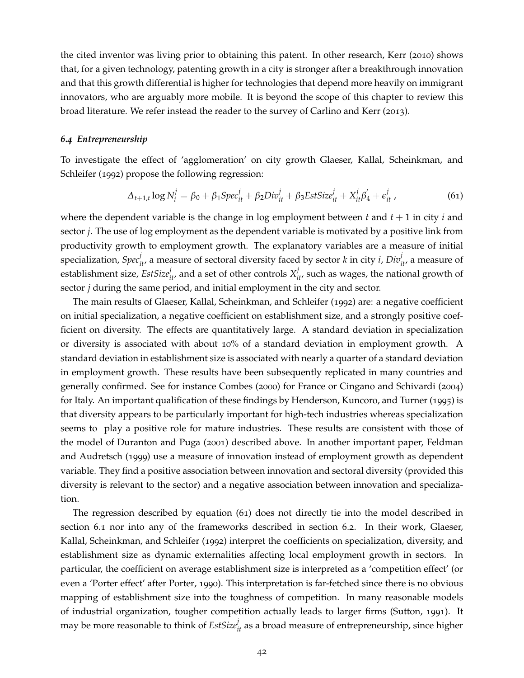the cited inventor was living prior to obtaining this patent. In other research, [Kerr](#page-64-10) ([2010](#page-64-10)) shows that, for a given technology, patenting growth in a city is stronger after a breakthrough innovation and that this growth differential is higher for technologies that depend more heavily on immigrant innovators, who are arguably more mobile. It is beyond the scope of this chapter to review this broad literature. We refer instead the reader to the survey of [Carlino and Kerr](#page-59-13) ([2013](#page-59-13)).

# <span id="page-42-0"></span>*6.4 Entrepreneurship*

To investigate the effect of 'agglomeration' on city growth [Glaeser, Kallal, Scheinkman, and](#page-62-10) [Schleifer](#page-62-10) ([1992](#page-62-10)) propose the following regression:

<span id="page-42-1"></span>
$$
\Delta_{t+1,t} \log N_i^j = \beta_0 + \beta_1 \text{Spec}_{it}^j + \beta_2 \text{Div}_{it}^j + \beta_3 \text{EstSize}_{it}^j + X_{it}^j \beta_4' + \epsilon_{it}^j \,, \tag{61}
$$

where the dependent variable is the change in log employment between  $t$  and  $t + 1$  in city  $i$  and sector *j*. The use of log employment as the dependent variable is motivated by a positive link from productivity growth to employment growth. The explanatory variables are a measure of initial specialization,  $Spec_{it}^j$ , a measure of sectoral diversity faced by sector *k* in city *i*, *Div*<sub>it</sub>, a measure of establishment size,  $EstSize_{it'}^j$  and a set of other controls  $X_{it'}^j$ , such as wages, the national growth of sector *j* during the same period, and initial employment in the city and sector.

The main results of [Glaeser, Kallal, Scheinkman, and Schleifer](#page-62-10) ([1992](#page-62-10)) are: a negative coefficient on initial specialization, a negative coefficient on establishment size, and a strongly positive coefficient on diversity. The effects are quantitatively large. A standard deviation in specialization or diversity is associated with about 10% of a standard deviation in employment growth. A standard deviation in establishment size is associated with nearly a quarter of a standard deviation in employment growth. These results have been subsequently replicated in many countries and generally confirmed. See for instance [Combes](#page-59-14) ([2000](#page-59-14)) for France or [Cingano and Schivardi](#page-59-15) ([2004](#page-59-15)) for Italy. An important qualification of these findings by [Henderson, Kuncoro, and Turner](#page-63-16) ([1995](#page-63-16)) is that diversity appears to be particularly important for high-tech industries whereas specialization seems to play a positive role for mature industries. These results are consistent with those of the model of [Duranton and Puga](#page-61-1) ([2001](#page-61-1)) described above. In another important paper, [Feldman](#page-61-15) [and Audretsch](#page-61-15) ([1999](#page-61-15)) use a measure of innovation instead of employment growth as dependent variable. They find a positive association between innovation and sectoral diversity (provided this diversity is relevant to the sector) and a negative association between innovation and specialization.

The regression described by equation ([61](#page-42-1)) does not directly tie into the model described in section [6](#page-34-4).1 nor into any of the frameworks described in section [6](#page-36-4).2. In their work, [Glaeser,](#page-62-10) [Kallal, Scheinkman, and Schleifer](#page-62-10) ([1992](#page-62-10)) interpret the coefficients on specialization, diversity, and establishment size as dynamic externalities affecting local employment growth in sectors. In particular, the coefficient on average establishment size is interpreted as a 'competition effect' (or even a 'Porter effect' after [Porter,](#page-65-18) [1990](#page-65-18)). This interpretation is far-fetched since there is no obvious mapping of establishment size into the toughness of competition. In many reasonable models of industrial organization, tougher competition actually leads to larger firms [\(Sutton,](#page-67-9) [1991](#page-67-9)). It may be more reasonable to think of  $EstSize^j_{it}$  as a broad measure of entrepreneurship, since higher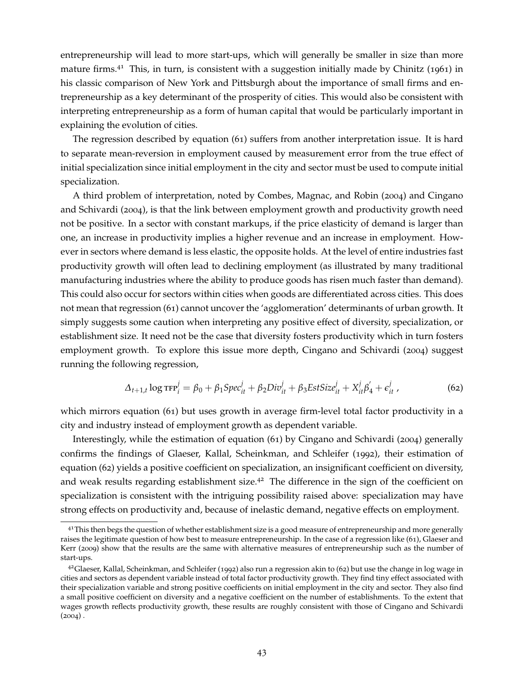entrepreneurship will lead to more start-ups, which will generally be smaller in size than more mature firms.<sup>[41](#page-43-0)</sup> This, in turn, is consistent with a suggestion initially made by [Chinitz](#page-59-16) ([1961](#page-59-16)) in his classic comparison of New York and Pittsburgh about the importance of small firms and entrepreneurship as a key determinant of the prosperity of cities. This would also be consistent with interpreting entrepreneurship as a form of human capital that would be particularly important in explaining the evolution of cities.

The regression described by equation ([61](#page-42-1)) suffers from another interpretation issue. It is hard to separate mean-reversion in employment caused by measurement error from the true effect of initial specialization since initial employment in the city and sector must be used to compute initial specialization.

A third problem of interpretation, noted by [Combes, Magnac, and Robin](#page-60-12) ([2004](#page-60-12)) and [Cingano](#page-59-15) [and Schivardi](#page-59-15) ([2004](#page-59-15)), is that the link between employment growth and productivity growth need not be positive. In a sector with constant markups, if the price elasticity of demand is larger than one, an increase in productivity implies a higher revenue and an increase in employment. However in sectors where demand is less elastic, the opposite holds. At the level of entire industries fast productivity growth will often lead to declining employment (as illustrated by many traditional manufacturing industries where the ability to produce goods has risen much faster than demand). This could also occur for sectors within cities when goods are differentiated across cities. This does not mean that regression ([61](#page-42-1)) cannot uncover the 'agglomeration' determinants of urban growth. It simply suggests some caution when interpreting any positive effect of diversity, specialization, or establishment size. It need not be the case that diversity fosters productivity which in turn fosters employment growth. To explore this issue more depth, [Cingano and Schivardi](#page-59-15) ([2004](#page-59-15)) suggest running the following regression,

<span id="page-43-1"></span>
$$
\Delta_{t+1,t} \log \text{TFP}_i^j = \beta_0 + \beta_1 \text{Spec}_{it}^j + \beta_2 \text{Div}_{it}^j + \beta_3 \text{EstSize}_{it}^j + X_{it}^j \beta_4' + \epsilon_{it}^j \,, \tag{62}
$$

which mirrors equation ([61](#page-42-1)) but uses growth in average firm-level total factor productivity in a city and industry instead of employment growth as dependent variable.

Interestingly, while the estimation of equation ([61](#page-42-1)) by [Cingano and Schivardi](#page-59-15) ([2004](#page-59-15)) generally confirms the findings of [Glaeser, Kallal, Scheinkman, and Schleifer](#page-62-10) ([1992](#page-62-10)), their estimation of equation ([62](#page-43-1)) yields a positive coefficient on specialization, an insignificant coefficient on diversity, and weak results regarding establishment size. $42$  The difference in the sign of the coefficient on specialization is consistent with the intriguing possibility raised above: specialization may have strong effects on productivity and, because of inelastic demand, negative effects on employment.

<span id="page-43-0"></span><sup>&</sup>lt;sup>41</sup>This then begs the question of whether establishment size is a good measure of entrepreneurship and more generally raises the legitimate question of how best to measure entrepreneurship. In the case of a regression like ([61](#page-42-1)), [Glaeser and](#page-62-11) [Kerr](#page-62-11) ([2009](#page-62-11)) show that the results are the same with alternative measures of entrepreneurship such as the number of start-ups.

<span id="page-43-2"></span> $42$ [Glaeser, Kallal, Scheinkman, and Schleifer](#page-62-10) ([1992](#page-62-10)) also run a regression akin to ([62](#page-43-1)) but use the change in log wage in cities and sectors as dependent variable instead of total factor productivity growth. They find tiny effect associated with their specialization variable and strong positive coefficients on initial employment in the city and sector. They also find a small positive coefficient on diversity and a negative coefficient on the number of establishments. To the extent that wages growth reflects productivity growth, these results are roughly consistent with those of [Cingano and Schivardi](#page-59-15)  $(2004)$  $(2004)$  $(2004)$ .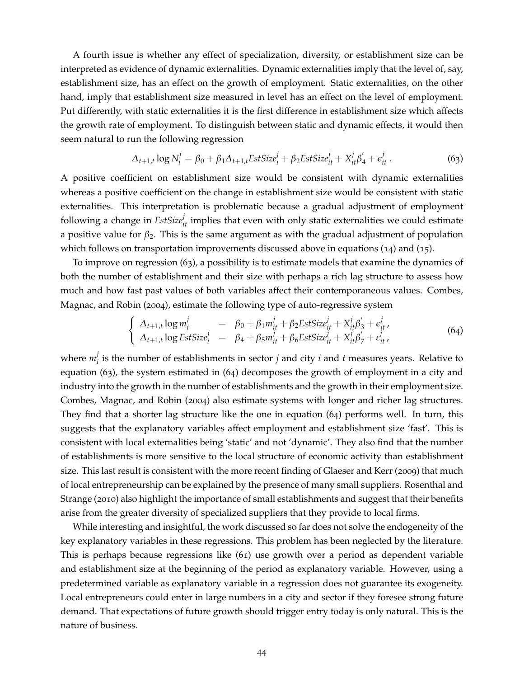A fourth issue is whether any effect of specialization, diversity, or establishment size can be interpreted as evidence of dynamic externalities. Dynamic externalities imply that the level of, say, establishment size, has an effect on the growth of employment. Static externalities, on the other hand, imply that establishment size measured in level has an effect on the level of employment. Put differently, with static externalities it is the first difference in establishment size which affects the growth rate of employment. To distinguish between static and dynamic effects, it would then seem natural to run the following regression

<span id="page-44-0"></span>
$$
\Delta_{t+1,t} \log N_i^j = \beta_0 + \beta_1 \Delta_{t+1,t} \text{EstSize}_i^j + \beta_2 \text{EstSize}_{it}^j + X_{it}^j \beta_4' + \epsilon_{it}^j \,. \tag{63}
$$

A positive coefficient on establishment size would be consistent with dynamic externalities whereas a positive coefficient on the change in establishment size would be consistent with static externalities. This interpretation is problematic because a gradual adjustment of employment following a change in  $\textit{EstSize}^j_{it}$  implies that even with only static externalities we could estimate a positive value for  $\beta_2$ . This is the same argument as with the gradual adjustment of population which follows on transportation improvements discussed above in equations ([14](#page-7-0)) and ([15](#page-7-2)).

To improve on regression ([63](#page-44-0)), a possibility is to estimate models that examine the dynamics of both the number of establishment and their size with perhaps a rich lag structure to assess how much and how fast past values of both variables affect their contemporaneous values. [Combes,](#page-60-12) [Magnac, and Robin](#page-60-12) ([2004](#page-60-12)), estimate the following type of auto-regressive system

<span id="page-44-1"></span>
$$
\begin{cases}\n\Delta_{t+1,t} \log m_i^j = \beta_0 + \beta_1 m_{it}^j + \beta_2 EstSize_{it}^j + X_{it}^j \beta'_3 + \epsilon_{it}^j, \\
\Delta_{t+1,t} \log EstSize_i^j = \beta_4 + \beta_5 m_{it}^j + \beta_6 EstSize_{it}^j + X_{it}^j \beta'_7 + \epsilon_{it}^j,\n\end{cases} (64)
$$

where  $m_i^j$ *i* is the number of establishments in sector *j* and city *i* and *t* measures years. Relative to equation  $(63)$  $(63)$  $(63)$ , the system estimated in  $(64)$  $(64)$  $(64)$  decomposes the growth of employment in a city and industry into the growth in the number of establishments and the growth in their employment size. [Combes, Magnac, and Robin](#page-60-12) ([2004](#page-60-12)) also estimate systems with longer and richer lag structures. They find that a shorter lag structure like the one in equation ([64](#page-44-1)) performs well. In turn, this suggests that the explanatory variables affect employment and establishment size 'fast'. This is consistent with local externalities being 'static' and not 'dynamic'. They also find that the number of establishments is more sensitive to the local structure of economic activity than establishment size. This last result is consistent with the more recent finding of [Glaeser and Kerr](#page-62-11) ([2009](#page-62-11)) that much of local entrepreneurship can be explained by the presence of many small suppliers. [Rosenthal and](#page-66-12) [Strange](#page-66-12) ([2010](#page-66-12)) also highlight the importance of small establishments and suggest that their benefits arise from the greater diversity of specialized suppliers that they provide to local firms.

While interesting and insightful, the work discussed so far does not solve the endogeneity of the key explanatory variables in these regressions. This problem has been neglected by the literature. This is perhaps because regressions like ([61](#page-42-1)) use growth over a period as dependent variable and establishment size at the beginning of the period as explanatory variable. However, using a predetermined variable as explanatory variable in a regression does not guarantee its exogeneity. Local entrepreneurs could enter in large numbers in a city and sector if they foresee strong future demand. That expectations of future growth should trigger entry today is only natural. This is the nature of business.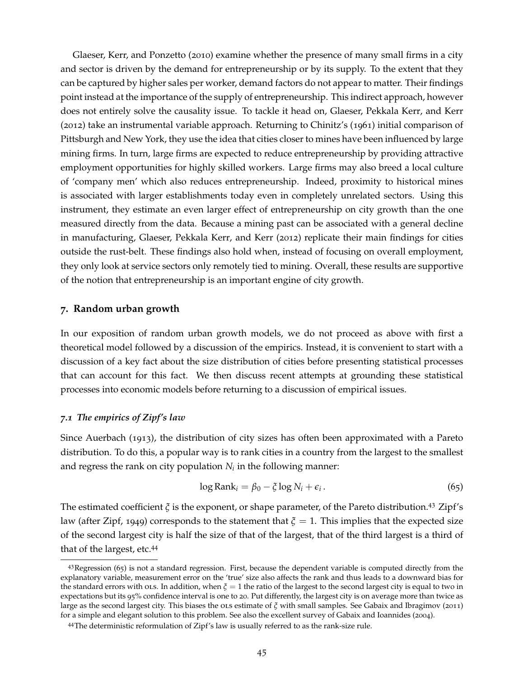[Glaeser, Kerr, and Ponzetto](#page-62-12) ([2010](#page-62-12)) examine whether the presence of many small firms in a city and sector is driven by the demand for entrepreneurship or by its supply. To the extent that they can be captured by higher sales per worker, demand factors do not appear to matter. Their findings point instead at the importance of the supply of entrepreneurship. This indirect approach, however does not entirely solve the causality issue. To tackle it head on, [Glaeser, Pekkala Kerr, and Kerr](#page-63-17) ([2012](#page-63-17)) take an instrumental variable approach. Returning to [Chinitz'](#page-59-16)s ([1961](#page-59-16)) initial comparison of Pittsburgh and New York, they use the idea that cities closer to mines have been influenced by large mining firms. In turn, large firms are expected to reduce entrepreneurship by providing attractive employment opportunities for highly skilled workers. Large firms may also breed a local culture of 'company men' which also reduces entrepreneurship. Indeed, proximity to historical mines is associated with larger establishments today even in completely unrelated sectors. Using this instrument, they estimate an even larger effect of entrepreneurship on city growth than the one measured directly from the data. Because a mining past can be associated with a general decline in manufacturing, [Glaeser, Pekkala Kerr, and Kerr](#page-63-17) ([2012](#page-63-17)) replicate their main findings for cities outside the rust-belt. These findings also hold when, instead of focusing on overall employment, they only look at service sectors only remotely tied to mining. Overall, these results are supportive of the notion that entrepreneurship is an important engine of city growth.

# **7. Random urban growth**

In our exposition of random urban growth models, we do not proceed as above with first a theoretical model followed by a discussion of the empirics. Instead, it is convenient to start with a discussion of a key fact about the size distribution of cities before presenting statistical processes that can account for this fact. We then discuss recent attempts at grounding these statistical processes into economic models before returning to a discussion of empirical issues.

# *7.1 The empirics of Zipf's law*

Since [Auerbach](#page-58-15) ([1913](#page-58-15)), the distribution of city sizes has often been approximated with a Pareto distribution. To do this, a popular way is to rank cities in a country from the largest to the smallest and regress the rank on city population  $N_i$  in the following manner:

<span id="page-45-2"></span>
$$
\log \text{Rank}_i = \beta_0 - \xi \log N_i + \epsilon_i. \tag{65}
$$

The estimated coefficient *<sup>ξ</sup>* is the exponent, or shape parameter, of the Pareto distribution.[43](#page-45-0) Zipf's law (after [Zipf,](#page-67-10) [1949](#page-67-10)) corresponds to the statement that  $\zeta = 1$ . This implies that the expected size of the second largest city is half the size of that of the largest, that of the third largest is a third of that of the largest, etc.[44](#page-45-1)

<span id="page-45-0"></span><sup>43</sup>Regression ([65](#page-45-2)) is not a standard regression. First, because the dependent variable is computed directly from the explanatory variable, measurement error on the 'true' size also affects the rank and thus leads to a downward bias for the standard errors with ols. In addition, when *ξ* = 1 the ratio of the largest to the second largest city is equal to two in expectations but its 95% confidence interval is one to 20. Put differently, the largest city is on average more than twice as large as the second largest city. This biases the ols estimate of *ξ* with small samples. See [Gabaix and Ibragimov](#page-62-13) ([2011](#page-62-13)) for a simple and elegant solution to this problem. See also the excellent survey of [Gabaix and Ioannides](#page-62-14) ([2004](#page-62-14)).

<span id="page-45-1"></span><sup>44</sup>The deterministic reformulation of Zipf's law is usually referred to as the rank-size rule.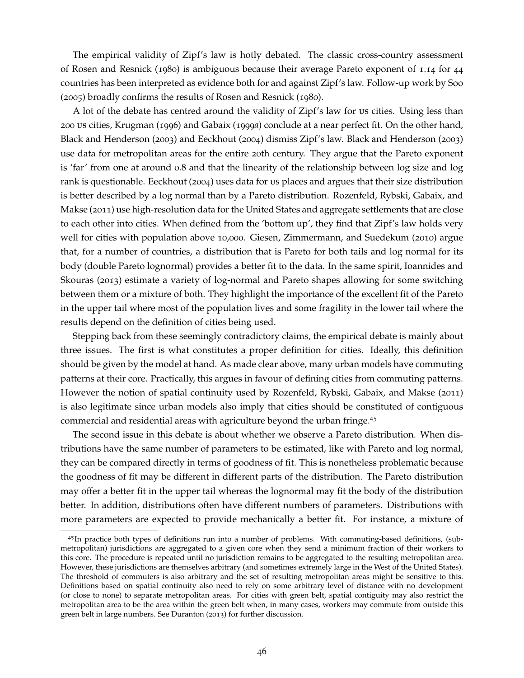The empirical validity of Zipf's law is hotly debated. The classic cross-country assessment of [Rosen and Resnick](#page-66-13) ([1980](#page-66-13)) is ambiguous because their average Pareto exponent of 1.14 for 44 countries has been interpreted as evidence both for and against Zipf's law. Follow-up work by [Soo](#page-67-11) ([2005](#page-67-11)) broadly confirms the results of [Rosen and Resnick](#page-66-13) ([1980](#page-66-13)).

A lot of the debate has centred around the validity of Zipf's law for us cities. Using less than 200 us cities, [Krugman](#page-64-11) ([1996](#page-64-11)) and [Gabaix](#page-62-1) ([1999](#page-62-1)*a*) conclude at a near perfect fit. On the other hand, [Black and Henderson](#page-59-9) ([2003](#page-59-9)) and [Eeckhout](#page-61-16) ([2004](#page-61-16)) dismiss Zipf's law. [Black and Henderson](#page-59-9) ([2003](#page-59-9)) use data for metropolitan areas for the entire 20th century. They argue that the Pareto exponent is 'far' from one at around 0.8 and that the linearity of the relationship between log size and log rank is questionable. [Eeckhout](#page-61-16) ([2004](#page-61-16)) uses data for us places and argues that their size distribution is better described by a log normal than by a Pareto distribution. [Rozenfeld, Rybski, Gabaix, and](#page-66-14) [Makse](#page-66-14) ([2011](#page-66-14)) use high-resolution data for the United States and aggregate settlements that are close to each other into cities. When defined from the 'bottom up', they find that Zipf's law holds very well for cities with population above 10,000. [Giesen, Zimmermann, and Suedekum](#page-62-15) ([2010](#page-62-15)) argue that, for a number of countries, a distribution that is Pareto for both tails and log normal for its body (double Pareto lognormal) provides a better fit to the data. In the same spirit, [Ioannides and](#page-64-12) [Skouras](#page-64-12) ([2013](#page-64-12)) estimate a variety of log-normal and Pareto shapes allowing for some switching between them or a mixture of both. They highlight the importance of the excellent fit of the Pareto in the upper tail where most of the population lives and some fragility in the lower tail where the results depend on the definition of cities being used.

Stepping back from these seemingly contradictory claims, the empirical debate is mainly about three issues. The first is what constitutes a proper definition for cities. Ideally, this definition should be given by the model at hand. As made clear above, many urban models have commuting patterns at their core. Practically, this argues in favour of defining cities from commuting patterns. However the notion of spatial continuity used by [Rozenfeld, Rybski, Gabaix, and Makse](#page-66-14) ([2011](#page-66-14)) is also legitimate since urban models also imply that cities should be constituted of contiguous commercial and residential areas with agriculture beyond the urban fringe.[45](#page-46-0)

The second issue in this debate is about whether we observe a Pareto distribution. When distributions have the same number of parameters to be estimated, like with Pareto and log normal, they can be compared directly in terms of goodness of fit. This is nonetheless problematic because the goodness of fit may be different in different parts of the distribution. The Pareto distribution may offer a better fit in the upper tail whereas the lognormal may fit the body of the distribution better. In addition, distributions often have different numbers of parameters. Distributions with more parameters are expected to provide mechanically a better fit. For instance, a mixture of

<span id="page-46-0"></span><sup>45</sup>In practice both types of definitions run into a number of problems. With commuting-based definitions, (submetropolitan) jurisdictions are aggregated to a given core when they send a minimum fraction of their workers to this core. The procedure is repeated until no jurisdiction remains to be aggregated to the resulting metropolitan area. However, these jurisdictions are themselves arbitrary (and sometimes extremely large in the West of the United States). The threshold of commuters is also arbitrary and the set of resulting metropolitan areas might be sensitive to this. Definitions based on spatial continuity also need to rely on some arbitrary level of distance with no development (or close to none) to separate metropolitan areas. For cities with green belt, spatial contiguity may also restrict the metropolitan area to be the area within the green belt when, in many cases, workers may commute from outside this green belt in large numbers. See [Duranton](#page-60-13) ([2013](#page-60-13)) for further discussion.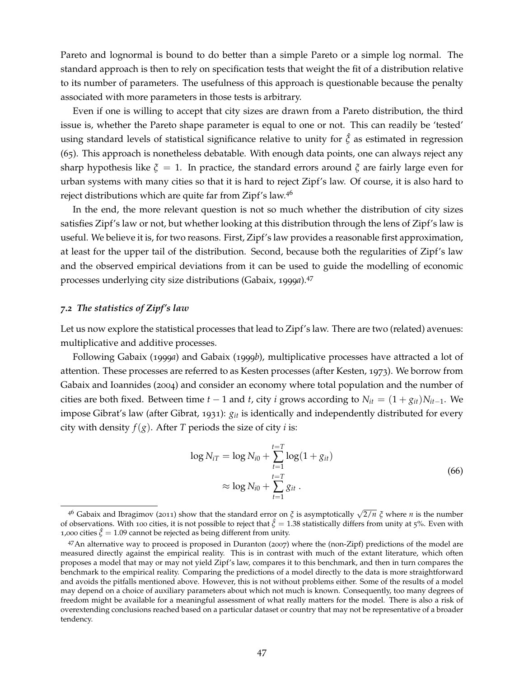Pareto and lognormal is bound to do better than a simple Pareto or a simple log normal. The standard approach is then to rely on specification tests that weight the fit of a distribution relative to its number of parameters. The usefulness of this approach is questionable because the penalty associated with more parameters in those tests is arbitrary.

Even if one is willing to accept that city sizes are drawn from a Pareto distribution, the third issue is, whether the Pareto shape parameter is equal to one or not. This can readily be 'tested' using standard levels of statistical significance relative to unity for  $\hat{\zeta}$  as estimated in regression ([65](#page-45-2)). This approach is nonetheless debatable. With enough data points, one can always reject any sharp hypothesis like  $\xi = 1$ . In practice, the standard errors around  $\xi$  are fairly large even for urban systems with many cities so that it is hard to reject Zipf's law. Of course, it is also hard to reject distributions which are quite far from Zipf's law.<sup>[46](#page-47-0)</sup>

In the end, the more relevant question is not so much whether the distribution of city sizes satisfies Zipf's law or not, but whether looking at this distribution through the lens of Zipf's law is useful. We believe it is, for two reasons. First, Zipf's law provides a reasonable first approximation, at least for the upper tail of the distribution. Second, because both the regularities of Zipf's law and the observed empirical deviations from it can be used to guide the modelling of economic processes underlying city size distributions [\(Gabaix,](#page-62-1) [1999](#page-62-1)*a*).[47](#page-47-1)

## *7.2 The statistics of Zipf's law*

Let us now explore the statistical processes that lead to Zipf's law. There are two (related) avenues: multiplicative and additive processes.

Following [Gabaix](#page-62-1) ([1999](#page-62-1)*a*) and [Gabaix](#page-62-16) ([1999](#page-62-16)*b*), multiplicative processes have attracted a lot of attention. These processes are referred to as Kesten processes (after [Kesten,](#page-64-13) [1973](#page-64-13)). We borrow from [Gabaix and Ioannides](#page-62-14) ([2004](#page-62-14)) and consider an economy where total population and the number of cities are both fixed. Between time  $t - 1$  and  $t$ , city  $i$  grows according to  $N_{it} = (1 + g_{it})N_{it-1}$ . We impose Gibrat's law (after [Gibrat,](#page-62-17) [1931](#page-62-17)): *git* is identically and independently distributed for every city with density  $f(g)$ . After *T* periods the size of city *i* is:

$$
\log N_{iT} = \log N_{i0} + \sum_{t=1}^{t=T} \log(1 + g_{it})
$$
  

$$
\approx \log N_{i0} + \sum_{t=1}^{t=T} g_{it}.
$$
 (66)

<span id="page-47-2"></span><span id="page-47-0"></span><sup>46</sup> [Gabaix and Ibragimov](#page-62-13) ([2011](#page-62-13)) show that the standard error on *<sup>ξ</sup>* is asymptotically <sup>√</sup> 2/*n ξ* where *n* is the number of observations. With 100 cities, it is not possible to reject that  $\hat{\zeta} = 1.38$  statistically differs from unity at 5%. Even with 1,000 cities  $\tilde{\zeta} = 1.09$  cannot be rejected as being different from unity.

<span id="page-47-1"></span><sup>47</sup>An alternative way to proceed is proposed in [Duranton](#page-60-14) ([2007](#page-60-14)) where the (non-Zipf) predictions of the model are measured directly against the empirical reality. This is in contrast with much of the extant literature, which often proposes a model that may or may not yield Zipf's law, compares it to this benchmark, and then in turn compares the benchmark to the empirical reality. Comparing the predictions of a model directly to the data is more straightforward and avoids the pitfalls mentioned above. However, this is not without problems either. Some of the results of a model may depend on a choice of auxiliary parameters about which not much is known. Consequently, too many degrees of freedom might be available for a meaningful assessment of what really matters for the model. There is also a risk of overextending conclusions reached based on a particular dataset or country that may not be representative of a broader tendency.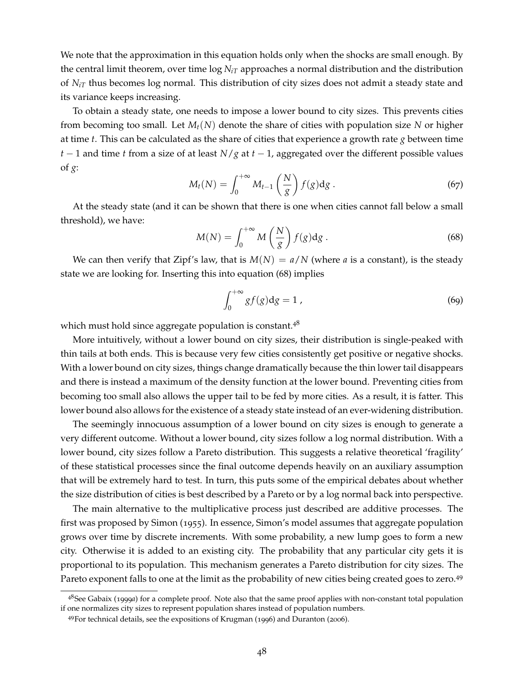We note that the approximation in this equation holds only when the shocks are small enough. By the central limit theorem, over time  $\log N_{iT}$  approaches a normal distribution and the distribution of *NiT* thus becomes log normal. This distribution of city sizes does not admit a steady state and its variance keeps increasing.

To obtain a steady state, one needs to impose a lower bound to city sizes. This prevents cities from becoming too small. Let  $M_t(N)$  denote the share of cities with population size N or higher at time *t*. This can be calculated as the share of cities that experience a growth rate *g* between time *t* − 1 and time *t* from a size of at least *N*/*g* at *t* − 1, aggregated over the different possible values of *g*:

$$
M_t(N) = \int_0^{+\infty} M_{t-1}\left(\frac{N}{g}\right) f(g) dg.
$$
 (67)

At the steady state (and it can be shown that there is one when cities cannot fall below a small threshold), we have:

<span id="page-48-0"></span>
$$
M(N) = \int_0^{+\infty} M\left(\frac{N}{g}\right) f(g) dg.
$$
 (68)

We can then verify that Zipf's law, that is  $M(N) = a/N$  (where *a* is a constant), is the steady state we are looking for. Inserting this into equation ([68](#page-48-0)) implies

$$
\int_0^{+\infty} gf(g)dg = 1,
$$
\n(69)

which must hold since aggregate population is constant.<sup>[48](#page-48-1)</sup>

More intuitively, without a lower bound on city sizes, their distribution is single-peaked with thin tails at both ends. This is because very few cities consistently get positive or negative shocks. With a lower bound on city sizes, things change dramatically because the thin lower tail disappears and there is instead a maximum of the density function at the lower bound. Preventing cities from becoming too small also allows the upper tail to be fed by more cities. As a result, it is fatter. This lower bound also allows for the existence of a steady state instead of an ever-widening distribution.

The seemingly innocuous assumption of a lower bound on city sizes is enough to generate a very different outcome. Without a lower bound, city sizes follow a log normal distribution. With a lower bound, city sizes follow a Pareto distribution. This suggests a relative theoretical 'fragility' of these statistical processes since the final outcome depends heavily on an auxiliary assumption that will be extremely hard to test. In turn, this puts some of the empirical debates about whether the size distribution of cities is best described by a Pareto or by a log normal back into perspective.

The main alternative to the multiplicative process just described are additive processes. The first was proposed by [Simon](#page-67-12) ([1955](#page-67-12)). In essence, Simon's model assumes that aggregate population grows over time by discrete increments. With some probability, a new lump goes to form a new city. Otherwise it is added to an existing city. The probability that any particular city gets it is proportional to its population. This mechanism generates a Pareto distribution for city sizes. The Pareto exponent falls to one at the limit as the probability of new cities being created goes to zero.<sup>[49](#page-48-2)</sup>

<span id="page-48-1"></span><sup>48</sup>See [Gabaix](#page-62-1) ([1999](#page-62-1)*a*) for a complete proof. Note also that the same proof applies with non-constant total population if one normalizes city sizes to represent population shares instead of population numbers.

<span id="page-48-2"></span><sup>49</sup>For technical details, see the expositions of [Krugman](#page-64-11) ([1996](#page-64-11)) and [Duranton](#page-60-15) ([2006](#page-60-15)).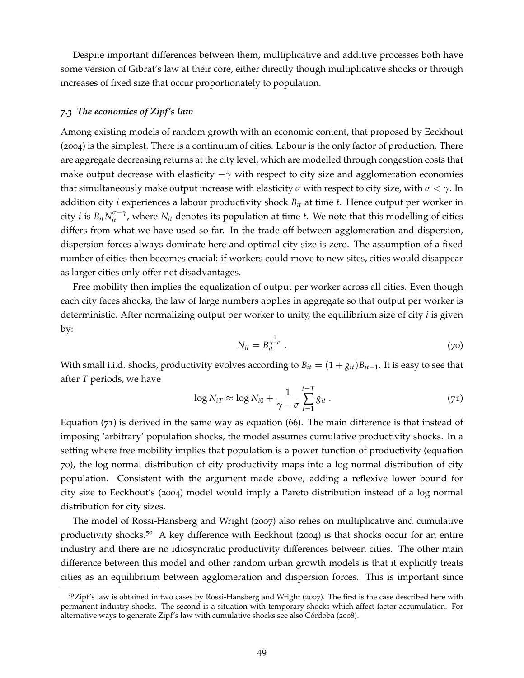Despite important differences between them, multiplicative and additive processes both have some version of Gibrat's law at their core, either directly though multiplicative shocks or through increases of fixed size that occur proportionately to population.

## *7.3 The economics of Zipf's law*

Among existing models of random growth with an economic content, that proposed by [Eeckhout](#page-61-16) ([2004](#page-61-16)) is the simplest. There is a continuum of cities. Labour is the only factor of production. There are aggregate decreasing returns at the city level, which are modelled through congestion costs that make output decrease with elasticity  $-\gamma$  with respect to city size and agglomeration economies that simultaneously make output increase with elasticity  $\sigma$  with respect to city size, with  $\sigma < \gamma$ . In addition city *i* experiences a labour productivity shock *Bit* at time *t*. Hence output per worker in city *i* is  $B_{it} N_{it}^{\sigma-\gamma}$ , where  $N_{it}$  denotes its population at time *t*. We note that this modelling of cities differs from what we have used so far. In the trade-off between agglomeration and dispersion, dispersion forces always dominate here and optimal city size is zero. The assumption of a fixed number of cities then becomes crucial: if workers could move to new sites, cities would disappear as larger cities only offer net disadvantages.

Free mobility then implies the equalization of output per worker across all cities. Even though each city faces shocks, the law of large numbers applies in aggregate so that output per worker is deterministic. After normalizing output per worker to unity, the equilibrium size of city *i* is given by:

<span id="page-49-1"></span>
$$
N_{it} = B_{it}^{\frac{1}{\gamma - \sigma}} \tag{70}
$$

With small i.i.d. shocks, productivity evolves according to  $B_{it} = (1 + g_{it})B_{it-1}$ . It is easy to see that after *T* periods, we have

<span id="page-49-0"></span>
$$
\log N_{iT} \approx \log N_{i0} + \frac{1}{\gamma - \sigma} \sum_{t=1}^{t=T} g_{it} \ . \tag{71}
$$

Equation  $(71)$  $(71)$  $(71)$  is derived in the same way as equation  $(66)$  $(66)$  $(66)$ . The main difference is that instead of imposing 'arbitrary' population shocks, the model assumes cumulative productivity shocks. In a setting where free mobility implies that population is a power function of productivity (equation [70](#page-49-1)), the log normal distribution of city productivity maps into a log normal distribution of city population. Consistent with the argument made above, adding a reflexive lower bound for city size to [Eeckhout'](#page-61-16)s ([2004](#page-61-16)) model would imply a Pareto distribution instead of a log normal distribution for city sizes.

The model of [Rossi-Hansberg and Wright](#page-66-15) ([2007](#page-66-15)) also relies on multiplicative and cumulative productivity shocks.<sup>[50](#page-49-2)</sup> A key difference with [Eeckhout](#page-61-16) ([2004](#page-61-16)) is that shocks occur for an entire industry and there are no idiosyncratic productivity differences between cities. The other main difference between this model and other random urban growth models is that it explicitly treats cities as an equilibrium between agglomeration and dispersion forces. This is important since

<span id="page-49-2"></span> $50Zipf's$  law is obtained in two cases by [Rossi-Hansberg and Wright](#page-66-15) ([2007](#page-66-15)). The first is the case described here with permanent industry shocks. The second is a situation with temporary shocks which affect factor accumulation. For alternative ways to generate Zipf's law with cumulative shocks see also [Córdoba](#page-60-16) ([2008](#page-60-16)).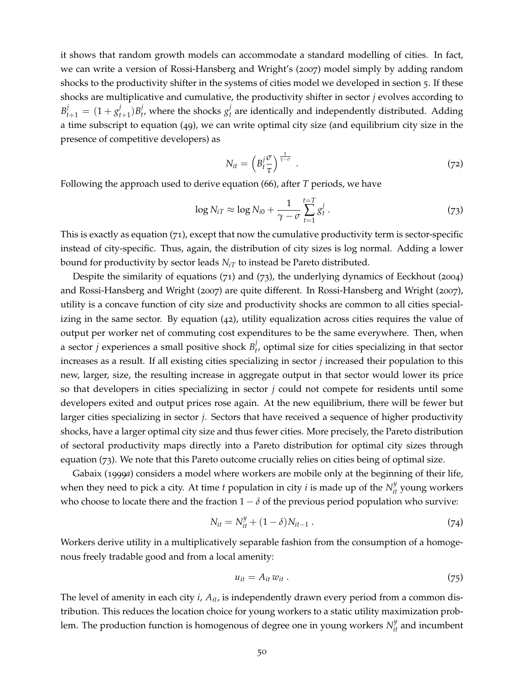it shows that random growth models can accommodate a standard modelling of cities. In fact, we can write a version of [Rossi-Hansberg and Wright'](#page-66-15)s ([2007](#page-66-15)) model simply by adding random shocks to the productivity shifter in the systems of cities model we developed in section [5](#page-21-1). If these shocks are multiplicative and cumulative, the productivity shifter in sector *j* evolves according to  $B_{t+1}^j = (1 + g_t^j)$  $(t_{t+1})B_t^j$  $\frac{d}{dt}$ , where the shocks  $g_t^j$ *t* are identically and independently distributed. Adding a time subscript to equation ([49](#page-26-5)), we can write optimal city size (and equilibrium city size in the presence of competitive developers) as

$$
N_{it} = \left(B_i^j \frac{\sigma}{\tau}\right)^{\frac{1}{\gamma - \sigma}}.
$$
\n(72)

Following the approach used to derive equation ([66](#page-47-2)), after *T* periods, we have

<span id="page-50-0"></span>
$$
\log N_{iT} \approx \log N_{i0} + \frac{1}{\gamma - \sigma} \sum_{t=1}^{t=T} g_t^j \,. \tag{73}
$$

This is exactly as equation ([71](#page-49-0)), except that now the cumulative productivity term is sector-specific instead of city-specific. Thus, again, the distribution of city sizes is log normal. Adding a lower bound for productivity by sector leads *NiT* to instead be Pareto distributed.

Despite the similarity of equations ([71](#page-49-0)) and ([73](#page-50-0)), the underlying dynamics of [Eeckhout](#page-61-16) ([2004](#page-61-16)) and [Rossi-Hansberg and Wright](#page-66-15) ([2007](#page-66-15)) are quite different. In [Rossi-Hansberg and Wright](#page-66-15) ([2007](#page-66-15)), utility is a concave function of city size and productivity shocks are common to all cities specializing in the same sector. By equation  $(42)$  $(42)$  $(42)$ , utility equalization across cities requires the value of output per worker net of commuting cost expenditures to be the same everywhere. Then, when a sector *j* experiences a small positive shock *B j t* , optimal size for cities specializing in that sector increases as a result. If all existing cities specializing in sector *j* increased their population to this new, larger, size, the resulting increase in aggregate output in that sector would lower its price so that developers in cities specializing in sector *j* could not compete for residents until some developers exited and output prices rose again. At the new equilibrium, there will be fewer but larger cities specializing in sector *j*. Sectors that have received a sequence of higher productivity shocks, have a larger optimal city size and thus fewer cities. More precisely, the Pareto distribution of sectoral productivity maps directly into a Pareto distribution for optimal city sizes through equation  $(73)$  $(73)$  $(73)$ . We note that this Pareto outcome crucially relies on cities being of optimal size.

[Gabaix](#page-62-1) ([1999](#page-62-1)*a*) considers a model where workers are mobile only at the beginning of their life, when they need to pick a city. At time *t* population in city *i* is made up of the  $N_{it}^y$  young workers who choose to locate there and the fraction  $1 - \delta$  of the previous period population who survive:

<span id="page-50-1"></span>
$$
N_{it} = N_{it}^y + (1 - \delta)N_{it-1} \tag{74}
$$

Workers derive utility in a multiplicatively separable fashion from the consumption of a homogenous freely tradable good and from a local amenity:

<span id="page-50-2"></span>
$$
u_{it} = A_{it} w_{it} \tag{75}
$$

The level of amenity in each city *i*, *Ait*, is independently drawn every period from a common distribution. This reduces the location choice for young workers to a static utility maximization problem. The production function is homogenous of degree one in young workers  $N^y_{it}$  and incumbent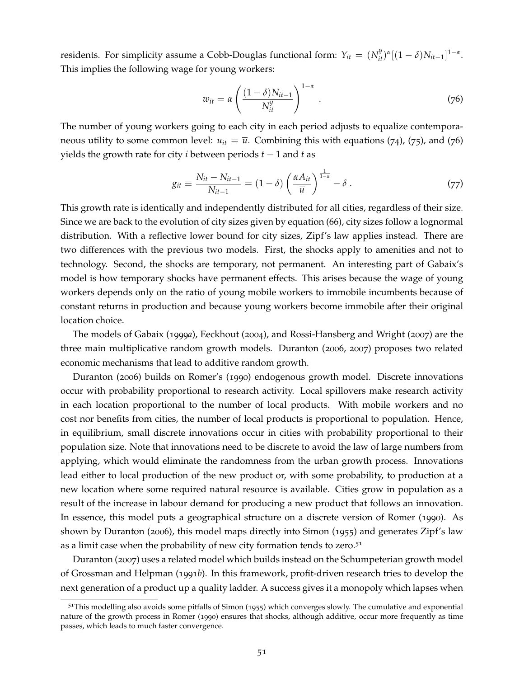residents. For simplicity assume a Cobb-Douglas functional form:  $Y_{it} = (N_{it}^y)^{\alpha}[(1 - \delta)N_{it-1}]^{1 - \alpha}$ . This implies the following wage for young workers:

<span id="page-51-0"></span>
$$
w_{it} = \alpha \left( \frac{(1-\delta)N_{it-1}}{N_{it}^y} \right)^{1-\alpha}.
$$
 (76)

The number of young workers going to each city in each period adjusts to equalize contemporaneous utility to some common level:  $u_{it} = \overline{u}$ . Combining this with equations ([74](#page-50-1)), ([75](#page-50-2)), and ([76](#page-51-0)) yields the growth rate for city *i* between periods *t* − 1 and *t* as

$$
g_{it} \equiv \frac{N_{it} - N_{it-1}}{N_{it-1}} = (1 - \delta) \left(\frac{\alpha A_{it}}{\overline{u}}\right)^{\frac{1}{1 - \alpha}} - \delta \,. \tag{77}
$$

This growth rate is identically and independently distributed for all cities, regardless of their size. Since we are back to the evolution of city sizes given by equation ([66](#page-47-2)), city sizes follow a lognormal distribution. With a reflective lower bound for city sizes, Zipf's law applies instead. There are two differences with the previous two models. First, the shocks apply to amenities and not to technology. Second, the shocks are temporary, not permanent. An interesting part of Gabaix's model is how temporary shocks have permanent effects. This arises because the wage of young workers depends only on the ratio of young mobile workers to immobile incumbents because of constant returns in production and because young workers become immobile after their original location choice.

The models of [Gabaix](#page-62-1) ([1999](#page-62-1)*a*), [Eeckhout](#page-61-16) ([2004](#page-61-16)), and [Rossi-Hansberg and Wright](#page-66-15) ([2007](#page-66-15)) are the three main multiplicative random growth models. [Duranton](#page-60-15) ([2006](#page-60-15), [2007](#page-60-14)) proposes two related economic mechanisms that lead to additive random growth.

[Duranton](#page-60-15) ([2006](#page-60-15)) builds on [Romer'](#page-66-7)s ([1990](#page-66-7)) endogenous growth model. Discrete innovations occur with probability proportional to research activity. Local spillovers make research activity in each location proportional to the number of local products. With mobile workers and no cost nor benefits from cities, the number of local products is proportional to population. Hence, in equilibrium, small discrete innovations occur in cities with probability proportional to their population size. Note that innovations need to be discrete to avoid the law of large numbers from applying, which would eliminate the randomness from the urban growth process. Innovations lead either to local production of the new product or, with some probability, to production at a new location where some required natural resource is available. Cities grow in population as a result of the increase in labour demand for producing a new product that follows an innovation. In essence, this model puts a geographical structure on a discrete version of [Romer](#page-66-7) ([1990](#page-66-7)). As shown by [Duranton](#page-60-15) ([2006](#page-60-15)), this model maps directly into [Simon](#page-67-12) ([1955](#page-67-12)) and generates Zipf's law as a limit case when the probability of new city formation tends to zero.<sup>[51](#page-51-1)</sup>

[Duranton](#page-60-14) ([2007](#page-60-14)) uses a related model which builds instead on the Schumpeterian growth model of [Grossman and Helpman](#page-63-18) ([1991](#page-63-18)*b*). In this framework, profit-driven research tries to develop the next generation of a product up a quality ladder. A success gives it a monopoly which lapses when

<span id="page-51-1"></span><sup>51</sup>This modelling also avoids some pitfalls of [Simon](#page-67-12) ([1955](#page-67-12)) which converges slowly. The cumulative and exponential nature of the growth process in [Romer](#page-66-7) ([1990](#page-66-7)) ensures that shocks, although additive, occur more frequently as time passes, which leads to much faster convergence.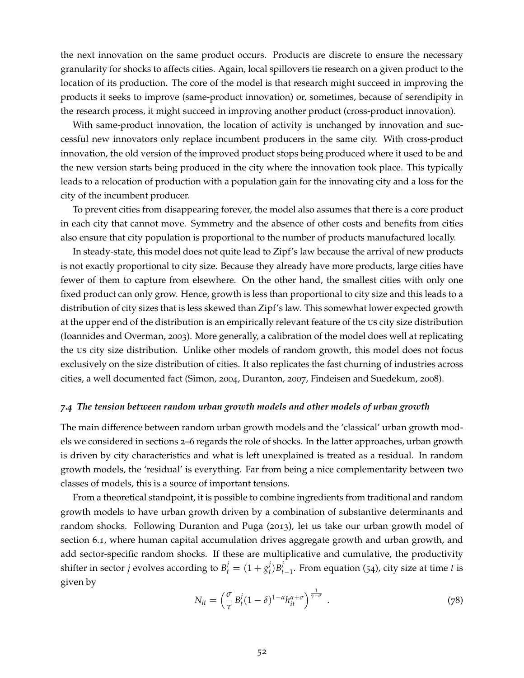the next innovation on the same product occurs. Products are discrete to ensure the necessary granularity for shocks to affects cities. Again, local spillovers tie research on a given product to the location of its production. The core of the model is that research might succeed in improving the products it seeks to improve (same-product innovation) or, sometimes, because of serendipity in the research process, it might succeed in improving another product (cross-product innovation).

With same-product innovation, the location of activity is unchanged by innovation and successful new innovators only replace incumbent producers in the same city. With cross-product innovation, the old version of the improved product stops being produced where it used to be and the new version starts being produced in the city where the innovation took place. This typically leads to a relocation of production with a population gain for the innovating city and a loss for the city of the incumbent producer.

To prevent cities from disappearing forever, the model also assumes that there is a core product in each city that cannot move. Symmetry and the absence of other costs and benefits from cities also ensure that city population is proportional to the number of products manufactured locally.

In steady-state, this model does not quite lead to Zipf's law because the arrival of new products is not exactly proportional to city size. Because they already have more products, large cities have fewer of them to capture from elsewhere. On the other hand, the smallest cities with only one fixed product can only grow. Hence, growth is less than proportional to city size and this leads to a distribution of city sizes that is less skewed than Zipf's law. This somewhat lower expected growth at the upper end of the distribution is an empirically relevant feature of the us city size distribution [\(Ioannides and Overman,](#page-64-14) [2003](#page-64-14)). More generally, a calibration of the model does well at replicating the us city size distribution. Unlike other models of random growth, this model does not focus exclusively on the size distribution of cities. It also replicates the fast churning of industries across cities, a well documented fact [\(Simon,](#page-66-16) [2004](#page-66-16), [Duranton,](#page-60-14) [2007](#page-60-14), [Findeisen and Suedekum,](#page-61-17) [2008](#page-61-17)).

## *7.4 The tension between random urban growth models and other models of urban growth*

The main difference between random urban growth models and the 'classical' urban growth models we considered in sections [2](#page-3-5)–[6](#page-33-1) regards the role of shocks. In the latter approaches, urban growth is driven by city characteristics and what is left unexplained is treated as a residual. In random growth models, the 'residual' is everything. Far from being a nice complementarity between two classes of models, this is a source of important tensions.

From a theoretical standpoint, it is possible to combine ingredients from traditional and random growth models to have urban growth driven by a combination of substantive determinants and random shocks. Following [Duranton and Puga](#page-61-13) ([2013](#page-61-13)), let us take our urban growth model of section [6](#page-34-4).1, where human capital accumulation drives aggregate growth and urban growth, and add sector-specific random shocks. If these are multiplicative and cumulative, the productivity shifter in sector *j* evolves according to  $B_t^j = (1 + g_t^j)$  $\binom{j}{t} B_t^j$ *t*−1 . From equation ([54](#page-35-2)), city size at time *t* is given by

$$
N_{it} = \left(\frac{\sigma}{\tau} B_t^j (1 - \delta)^{1 - \alpha} h_{it}^{\alpha + \sigma}\right)^{\frac{1}{\gamma - \sigma}}.
$$
\n(78)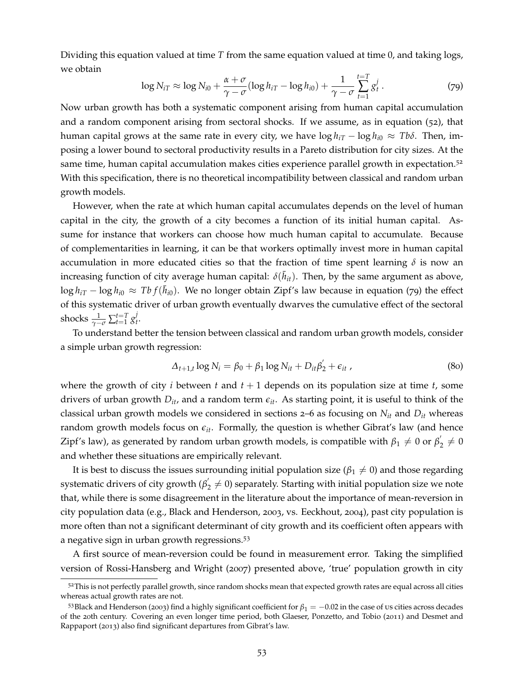Dividing this equation valued at time *T* from the same equation valued at time 0, and taking logs, we obtain

<span id="page-53-1"></span>
$$
\log N_{iT} \approx \log N_{i0} + \frac{\alpha + \sigma}{\gamma - \sigma} (\log h_{iT} - \log h_{i0}) + \frac{1}{\gamma - \sigma} \sum_{t=1}^{t=T} g_t^j.
$$
 (79)

Now urban growth has both a systematic component arising from human capital accumulation and a random component arising from sectoral shocks. If we assume, as in equation ([52](#page-34-1)), that human capital grows at the same rate in every city, we have  $\log h_{iT} - \log h_{i0} \approx Tb\delta$ . Then, imposing a lower bound to sectoral productivity results in a Pareto distribution for city sizes. At the same time, human capital accumulation makes cities experience parallel growth in expectation.<sup>[52](#page-53-0)</sup> With this specification, there is no theoretical incompatibility between classical and random urban growth models.

However, when the rate at which human capital accumulates depends on the level of human capital in the city, the growth of a city becomes a function of its initial human capital. Assume for instance that workers can choose how much human capital to accumulate. Because of complementarities in learning, it can be that workers optimally invest more in human capital accumulation in more educated cities so that the fraction of time spent learning  $\delta$  is now an increasing function of city average human capital:  $\delta(\bar{h}_{it})$ . Then, by the same argument as above,  $\log h_{iT}$  −  $\log h_{i0}$  ≈ *Tb*  $f(\bar{h}_{i0})$ . We no longer obtain Zipf's law because in equation ([79](#page-53-1)) the effect of this systematic driver of urban growth eventually dwarves the cumulative effect of the sectoral shocks  $\frac{1}{\gamma - \sigma} \sum_{t=1}^{t=T} g_t^j$ *t* .

To understand better the tension between classical and random urban growth models, consider a simple urban growth regression:

<span id="page-53-3"></span>
$$
\Delta_{t+1,t} \log N_i = \beta_0 + \beta_1 \log N_{it} + D_{it} \beta_2' + \epsilon_{it} \tag{80}
$$

where the growth of city *i* between *t* and  $t + 1$  depends on its population size at time *t*, some drivers of urban growth  $D_{it}$ , and a random term  $\epsilon_{it}$ . As starting point, it is useful to think of the classical urban growth models we considered in sections [2](#page-3-5)–[6](#page-33-1) as focusing on *Nit* and *Dit* whereas random growth models focus on  $\epsilon_{it}$ . Formally, the question is whether Gibrat's law (and hence Zipf's law), as generated by random urban growth models, is compatible with  $\beta_1 \neq 0$  or  $\beta_2^{'} \neq 0$ and whether these situations are empirically relevant.

It is best to discuss the issues surrounding initial population size ( $\beta_1 \neq 0$ ) and those regarding systematic drivers of city growth ( $\beta_{2}^{'} \neq 0$ ) separately. Starting with initial population size we note that, while there is some disagreement in the literature about the importance of mean-reversion in city population data (e.g., [Black and Henderson,](#page-59-9) [2003](#page-59-9), vs. [Eeckhout,](#page-61-16) [2004](#page-61-16)), past city population is more often than not a significant determinant of city growth and its coefficient often appears with a negative sign in urban growth regressions.[53](#page-53-2)

A first source of mean-reversion could be found in measurement error. Taking the simplified version of [Rossi-Hansberg and Wright](#page-66-15) ([2007](#page-66-15)) presented above, 'true' population growth in city

<span id="page-53-0"></span><sup>&</sup>lt;sup>52</sup>This is not perfectly parallel growth, since random shocks mean that expected growth rates are equal across all cities whereas actual growth rates are not.

<span id="page-53-2"></span><sup>&</sup>lt;sup>53</sup>[Black and Henderson](#page-59-9) ([2003](#page-59-9)) find a highly significant coefficient for  $β_1 = -0.02$  in the case of us cities across decades of the 20th century. Covering an even longer time period, both [Glaeser, Ponzetto, and Tobio](#page-63-15) ([2011](#page-63-15)) and [Desmet and](#page-60-17) [Rappaport](#page-60-17) ([2013](#page-60-17)) also find significant departures from Gibrat's law.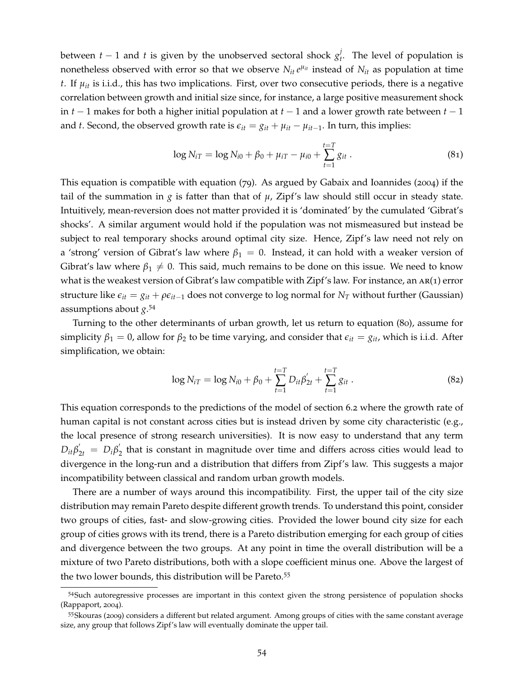between  $t-1$  and  $t$  is given by the unobserved sectoral shock  $g_t^j$ *t* . The level of population is nonetheless observed with error so that we observe  $N_{it}$   $e^{\mu_{it}}$  instead of  $N_{it}$  as population at time *t*. If  $\mu_{it}$  is i.i.d., this has two implications. First, over two consecutive periods, there is a negative correlation between growth and initial size since, for instance, a large positive measurement shock in *t* − 1 makes for both a higher initial population at *t* − 1 and a lower growth rate between *t* − 1 and *t*. Second, the observed growth rate is  $\epsilon_{it} = g_{it} + \mu_{it} - \mu_{it-1}$ . In turn, this implies:

$$
\log N_{iT} = \log N_{i0} + \beta_0 + \mu_{iT} - \mu_{i0} + \sum_{t=1}^{t=T} g_{it} \,. \tag{81}
$$

This equation is compatible with equation ([79](#page-53-1)). As argued by [Gabaix and Ioannides](#page-62-14) ([2004](#page-62-14)) if the tail of the summation in  $g$  is fatter than that of  $\mu$ , Zipf's law should still occur in steady state. Intuitively, mean-reversion does not matter provided it is 'dominated' by the cumulated 'Gibrat's shocks'. A similar argument would hold if the population was not mismeasured but instead be subject to real temporary shocks around optimal city size. Hence, Zipf's law need not rely on a 'strong' version of Gibrat's law where  $\beta_1 = 0$ . Instead, it can hold with a weaker version of Gibrat's law where  $\beta_1 \neq 0$ . This said, much remains to be done on this issue. We need to know what is the weakest version of Gibrat's law compatible with Zipf's law. For instance, an AR(1) error structure like  $\varepsilon_{it} = g_{it} + \rho \varepsilon_{it-1}$  does not converge to log normal for  $N_T$  without further (Gaussian) assumptions about *g*. [54](#page-54-0)

Turning to the other determinants of urban growth, let us return to equation ([80](#page-53-3)), assume for simplicity  $\beta_1 = 0$ , allow for  $\beta_2$  to be time varying, and consider that  $\epsilon_{it} = g_{it}$ , which is i.i.d. After simplification, we obtain:

$$
\log N_{iT} = \log N_{i0} + \beta_0 + \sum_{t=1}^{t=T} D_{it} \beta'_{2t} + \sum_{t=1}^{t=T} g_{it} . \tag{82}
$$

This equation corresponds to the predictions of the model of section [6](#page-36-4).2 where the growth rate of human capital is not constant across cities but is instead driven by some city characteristic (e.g., the local presence of strong research universities). It is now easy to understand that any term  $D_{it}\beta'_{2t} = D_i\beta'_2$  that is constant in magnitude over time and differs across cities would lead to divergence in the long-run and a distribution that differs from Zipf's law. This suggests a major incompatibility between classical and random urban growth models.

There are a number of ways around this incompatibility. First, the upper tail of the city size distribution may remain Pareto despite different growth trends. To understand this point, consider two groups of cities, fast- and slow-growing cities. Provided the lower bound city size for each group of cities grows with its trend, there is a Pareto distribution emerging for each group of cities and divergence between the two groups. At any point in time the overall distribution will be a mixture of two Pareto distributions, both with a slope coefficient minus one. Above the largest of the two lower bounds, this distribution will be Pareto.[55](#page-54-1)

<span id="page-54-0"></span><sup>&</sup>lt;sup>54</sup>Such autoregressive processes are important in this context given the strong persistence of population shocks [\(Rappaport,](#page-65-19) [2004](#page-65-19)).

<span id="page-54-1"></span><sup>55</sup>[Skouras](#page-67-13) ([2009](#page-67-13)) considers a different but related argument. Among groups of cities with the same constant average size, any group that follows Zipf's law will eventually dominate the upper tail.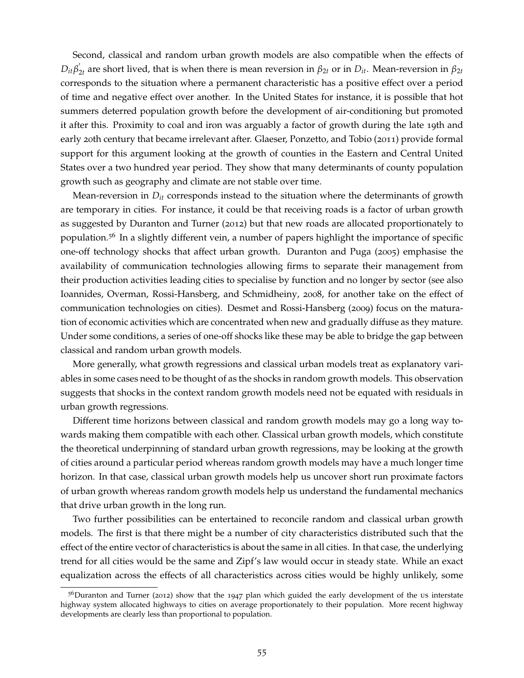Second, classical and random urban growth models are also compatible when the effects of  $D_{it}$ β<sup>'</sup><sub>2*t*</sub></sub> are short lived, that is when there is mean reversion in β<sub>2*t*</sub> or in  $D_{it}$ . Mean-reversion in β<sub>2*t*</sub> corresponds to the situation where a permanent characteristic has a positive effect over a period of time and negative effect over another. In the United States for instance, it is possible that hot summers deterred population growth before the development of air-conditioning but promoted it after this. Proximity to coal and iron was arguably a factor of growth during the late 19th and early 20th century that became irrelevant after. [Glaeser, Ponzetto, and Tobio](#page-63-15) ([2011](#page-63-15)) provide formal support for this argument looking at the growth of counties in the Eastern and Central United States over a two hundred year period. They show that many determinants of county population growth such as geography and climate are not stable over time.

Mean-reversion in *Dit* corresponds instead to the situation where the determinants of growth are temporary in cities. For instance, it could be that receiving roads is a factor of urban growth as suggested by [Duranton and Turner](#page-61-4) ([2012](#page-61-4)) but that new roads are allocated proportionately to population.[56](#page-55-0) In a slightly different vein, a number of papers highlight the importance of specific one-off technology shocks that affect urban growth. [Duranton and Puga](#page-61-11) ([2005](#page-61-11)) emphasise the availability of communication technologies allowing firms to separate their management from their production activities leading cities to specialise by function and no longer by sector (see also [Ioannides, Overman, Rossi-Hansberg, and Schmidheiny,](#page-64-15) [2008](#page-64-15), for another take on the effect of communication technologies on cities). [Desmet and Rossi-Hansberg](#page-60-18) ([2009](#page-60-18)) focus on the maturation of economic activities which are concentrated when new and gradually diffuse as they mature. Under some conditions, a series of one-off shocks like these may be able to bridge the gap between classical and random urban growth models.

More generally, what growth regressions and classical urban models treat as explanatory variables in some cases need to be thought of as the shocks in random growth models. This observation suggests that shocks in the context random growth models need not be equated with residuals in urban growth regressions.

Different time horizons between classical and random growth models may go a long way towards making them compatible with each other. Classical urban growth models, which constitute the theoretical underpinning of standard urban growth regressions, may be looking at the growth of cities around a particular period whereas random growth models may have a much longer time horizon. In that case, classical urban growth models help us uncover short run proximate factors of urban growth whereas random growth models help us understand the fundamental mechanics that drive urban growth in the long run.

Two further possibilities can be entertained to reconcile random and classical urban growth models. The first is that there might be a number of city characteristics distributed such that the effect of the entire vector of characteristics is about the same in all cities. In that case, the underlying trend for all cities would be the same and Zipf's law would occur in steady state. While an exact equalization across the effects of all characteristics across cities would be highly unlikely, some

<span id="page-55-0"></span><sup>&</sup>lt;sup>56</sup>[Duranton and Turner](#page-61-4) ([2012](#page-61-4)) show that the 1947 plan which guided the early development of the us interstate highway system allocated highways to cities on average proportionately to their population. More recent highway developments are clearly less than proportional to population.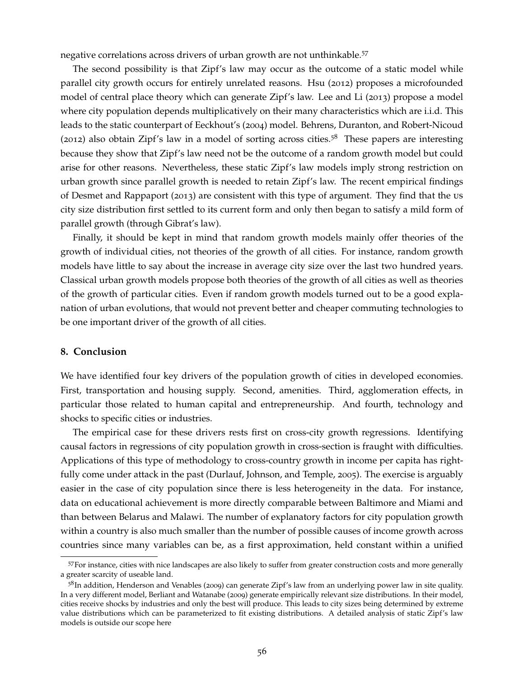negative correlations across drivers of urban growth are not unthinkable.<sup>[57](#page-56-0)</sup>

The second possibility is that Zipf's law may occur as the outcome of a static model while parallel city growth occurs for entirely unrelated reasons. [Hsu](#page-64-16) ([2012](#page-64-16)) proposes a microfounded model of central place theory which can generate Zipf's law. [Lee and Li](#page-64-17) ([2013](#page-64-17)) propose a model where city population depends multiplicatively on their many characteristics which are i.i.d. This leads to the static counterpart of [Eeckhout'](#page-61-16)s (2004) model. [Behrens, Duranton, and Robert-Nicoud](#page-59-17) ([2012](#page-59-17)) also obtain Zipf's law in a model of sorting across cities.<sup>[58](#page-56-1)</sup> These papers are interesting because they show that Zipf's law need not be the outcome of a random growth model but could arise for other reasons. Nevertheless, these static Zipf's law models imply strong restriction on urban growth since parallel growth is needed to retain Zipf's law. The recent empirical findings of [Desmet and Rappaport](#page-60-17) ([2013](#page-60-17)) are consistent with this type of argument. They find that the us city size distribution first settled to its current form and only then began to satisfy a mild form of parallel growth (through Gibrat's law).

Finally, it should be kept in mind that random growth models mainly offer theories of the growth of individual cities, not theories of the growth of all cities. For instance, random growth models have little to say about the increase in average city size over the last two hundred years. Classical urban growth models propose both theories of the growth of all cities as well as theories of the growth of particular cities. Even if random growth models turned out to be a good explanation of urban evolutions, that would not prevent better and cheaper commuting technologies to be one important driver of the growth of all cities.

# **8. Conclusion**

We have identified four key drivers of the population growth of cities in developed economies. First, transportation and housing supply. Second, amenities. Third, agglomeration effects, in particular those related to human capital and entrepreneurship. And fourth, technology and shocks to specific cities or industries.

The empirical case for these drivers rests first on cross-city growth regressions. Identifying causal factors in regressions of city population growth in cross-section is fraught with difficulties. Applications of this type of methodology to cross-country growth in income per capita has rightfully come under attack in the past [\(Durlauf, Johnson, and Temple,](#page-61-2) [2005](#page-61-2)). The exercise is arguably easier in the case of city population since there is less heterogeneity in the data. For instance, data on educational achievement is more directly comparable between Baltimore and Miami and than between Belarus and Malawi. The number of explanatory factors for city population growth within a country is also much smaller than the number of possible causes of income growth across countries since many variables can be, as a first approximation, held constant within a unified

<span id="page-56-0"></span><sup>57</sup>For instance, cities with nice landscapes are also likely to suffer from greater construction costs and more generally a greater scarcity of useable land.

<span id="page-56-1"></span> $58$ In addition, [Henderson and Venables](#page-64-5) ([2009](#page-64-5)) can generate Zipf's law from an underlying power law in site quality. In a very different model, [Berliant and Watanabe](#page-59-18) ([2009](#page-59-18)) generate empirically relevant size distributions. In their model, cities receive shocks by industries and only the best will produce. This leads to city sizes being determined by extreme value distributions which can be parameterized to fit existing distributions. A detailed analysis of static Zipf's law models is outside our scope here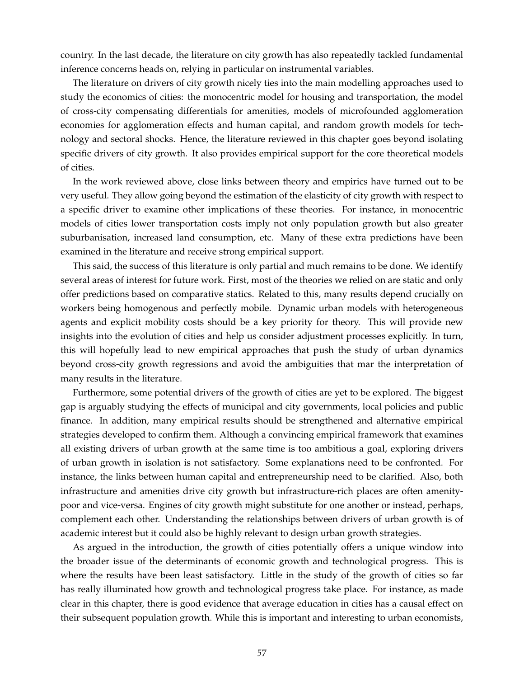country. In the last decade, the literature on city growth has also repeatedly tackled fundamental inference concerns heads on, relying in particular on instrumental variables.

The literature on drivers of city growth nicely ties into the main modelling approaches used to study the economics of cities: the monocentric model for housing and transportation, the model of cross-city compensating differentials for amenities, models of microfounded agglomeration economies for agglomeration effects and human capital, and random growth models for technology and sectoral shocks. Hence, the literature reviewed in this chapter goes beyond isolating specific drivers of city growth. It also provides empirical support for the core theoretical models of cities.

In the work reviewed above, close links between theory and empirics have turned out to be very useful. They allow going beyond the estimation of the elasticity of city growth with respect to a specific driver to examine other implications of these theories. For instance, in monocentric models of cities lower transportation costs imply not only population growth but also greater suburbanisation, increased land consumption, etc. Many of these extra predictions have been examined in the literature and receive strong empirical support.

This said, the success of this literature is only partial and much remains to be done. We identify several areas of interest for future work. First, most of the theories we relied on are static and only offer predictions based on comparative statics. Related to this, many results depend crucially on workers being homogenous and perfectly mobile. Dynamic urban models with heterogeneous agents and explicit mobility costs should be a key priority for theory. This will provide new insights into the evolution of cities and help us consider adjustment processes explicitly. In turn, this will hopefully lead to new empirical approaches that push the study of urban dynamics beyond cross-city growth regressions and avoid the ambiguities that mar the interpretation of many results in the literature.

Furthermore, some potential drivers of the growth of cities are yet to be explored. The biggest gap is arguably studying the effects of municipal and city governments, local policies and public finance. In addition, many empirical results should be strengthened and alternative empirical strategies developed to confirm them. Although a convincing empirical framework that examines all existing drivers of urban growth at the same time is too ambitious a goal, exploring drivers of urban growth in isolation is not satisfactory. Some explanations need to be confronted. For instance, the links between human capital and entrepreneurship need to be clarified. Also, both infrastructure and amenities drive city growth but infrastructure-rich places are often amenitypoor and vice-versa. Engines of city growth might substitute for one another or instead, perhaps, complement each other. Understanding the relationships between drivers of urban growth is of academic interest but it could also be highly relevant to design urban growth strategies.

As argued in the introduction, the growth of cities potentially offers a unique window into the broader issue of the determinants of economic growth and technological progress. This is where the results have been least satisfactory. Little in the study of the growth of cities so far has really illuminated how growth and technological progress take place. For instance, as made clear in this chapter, there is good evidence that average education in cities has a causal effect on their subsequent population growth. While this is important and interesting to urban economists,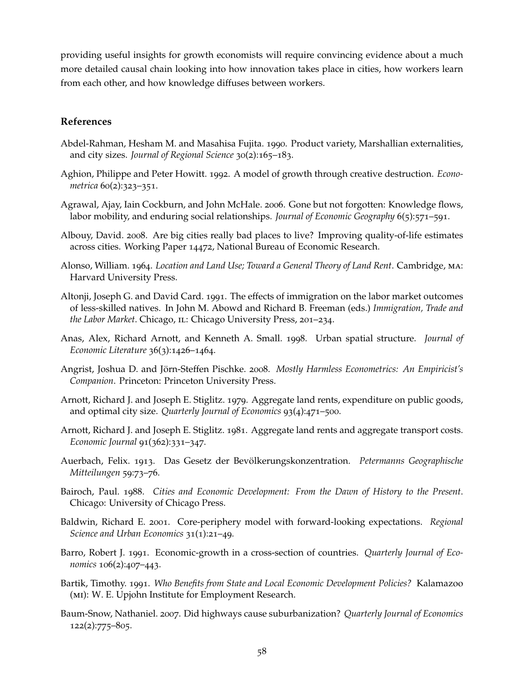providing useful insights for growth economists will require convincing evidence about a much more detailed causal chain looking into how innovation takes place in cities, how workers learn from each other, and how knowledge diffuses between workers.

# **References**

- <span id="page-58-11"></span>Abdel-Rahman, Hesham M. and Masahisa Fujita. 1990. Product variety, Marshallian externalities, and city sizes. *Journal of Regional Science* 30(2):165–183.
- <span id="page-58-13"></span>Aghion, Philippe and Peter Howitt. 1992. A model of growth through creative destruction. *Econometrica* 60(2):323–351.
- <span id="page-58-14"></span>Agrawal, Ajay, Iain Cockburn, and John McHale. 2006. Gone but not forgotten: Knowledge flows, labor mobility, and enduring social relationships. *Journal of Economic Geography* 6(5):571–591.
- <span id="page-58-10"></span>Albouy, David. 2008. Are big cities really bad places to live? Improving quality-of-life estimates across cities. Working Paper 14472, National Bureau of Economic Research.
- <span id="page-58-0"></span>Alonso, William. 1964. *Location and Land Use; Toward a General Theory of Land Rent*. Cambridge, ma: Harvard University Press.
- <span id="page-58-9"></span>Altonji, Joseph G. and David Card. 1991. The effects of immigration on the labor market outcomes of less-skilled natives. In John M. Abowd and Richard B. Freeman (eds.) *Immigration, Trade and* the Labor Market. Chicago, IL: Chicago University Press, 201-234.
- <span id="page-58-3"></span>Anas, Alex, Richard Arnott, and Kenneth A. Small. 1998. Urban spatial structure. *Journal of Economic Literature* 36(3):1426–1464.
- <span id="page-58-6"></span>Angrist, Joshua D. and Jörn-Steffen Pischke. 2008. *Mostly Harmless Econometrics: An Empiricist's Companion*. Princeton: Princeton University Press.
- <span id="page-58-12"></span>Arnott, Richard J. and Joseph E. Stiglitz. 1979. Aggregate land rents, expenditure on public goods, and optimal city size. *Quarterly Journal of Economics* 93(4):471–500.
- <span id="page-58-4"></span>Arnott, Richard J. and Joseph E. Stiglitz. 1981. Aggregate land rents and aggregate transport costs. *Economic Journal* 91(362):331–347.
- <span id="page-58-15"></span>Auerbach, Felix. 1913. Das Gesetz der Bevölkerungskonzentration. *Petermanns Geographische Mitteilungen* 59:73–76.
- <span id="page-58-2"></span>Bairoch, Paul. 1988. *Cities and Economic Development: From the Dawn of History to the Present*. Chicago: University of Chicago Press.
- <span id="page-58-5"></span>Baldwin, Richard E. 2001. Core-periphery model with forward-looking expectations. *Regional Science and Urban Economics* 31(1):21–49.
- <span id="page-58-1"></span>Barro, Robert J. 1991. Economic-growth in a cross-section of countries. *Quarterly Journal of Economics* 106(2):407–443.
- <span id="page-58-8"></span>Bartik, Timothy. 1991. *Who Benefits from State and Local Economic Development Policies?* Kalamazoo (mi): W. E. Upjohn Institute for Employment Research.
- <span id="page-58-7"></span>Baum-Snow, Nathaniel. 2007. Did highways cause suburbanization? *Quarterly Journal of Economics* 122(2):775–805.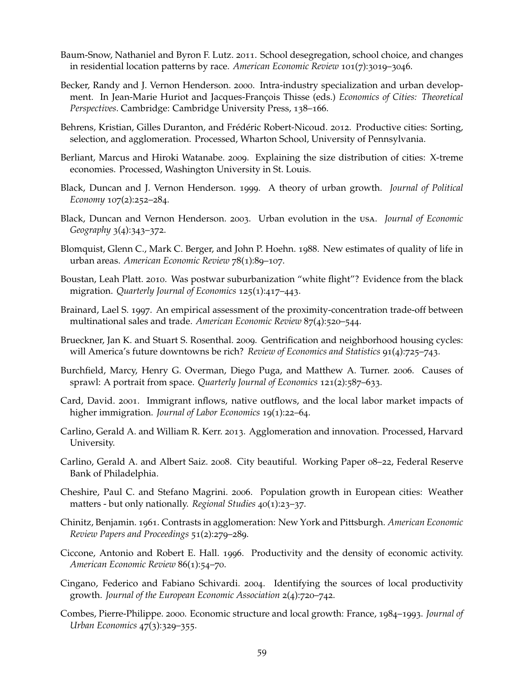- <span id="page-59-2"></span>Baum-Snow, Nathaniel and Byron F. Lutz. 2011. School desegregation, school choice, and changes in residential location patterns by race. *American Economic Review* 101(7):3019–3046.
- <span id="page-59-8"></span>Becker, Randy and J. Vernon Henderson. 2000. Intra-industry specialization and urban development. In Jean-Marie Huriot and Jacques-François Thisse (eds.) *Economics of Cities: Theoretical Perspectives*. Cambridge: Cambridge University Press, 138–166.
- <span id="page-59-17"></span>Behrens, Kristian, Gilles Duranton, and Frédéric Robert-Nicoud. 2012. Productive cities: Sorting, selection, and agglomeration. Processed, Wharton School, University of Pennsylvania.
- <span id="page-59-18"></span>Berliant, Marcus and Hiroki Watanabe. 2009. Explaining the size distribution of cities: X-treme economies. Processed, Washington University in St. Louis.
- <span id="page-59-12"></span>Black, Duncan and J. Vernon Henderson. 1999. A theory of urban growth. *Journal of Political Economy* 107(2):252–284.
- <span id="page-59-9"></span>Black, Duncan and Vernon Henderson. 2003. Urban evolution in the usa. *Journal of Economic Geography* 3(4):343–372.
- <span id="page-59-4"></span>Blomquist, Glenn C., Mark C. Berger, and John P. Hoehn. 1988. New estimates of quality of life in urban areas. *American Economic Review* 78(1):89–107.
- <span id="page-59-1"></span>Boustan, Leah Platt. 2010. Was postwar suburbanization "white flight"? Evidence from the black migration. *Quarterly Journal of Economics* 125(1):417–443.
- <span id="page-59-10"></span>Brainard, Lael S. 1997. An empirical assessment of the proximity-concentration trade-off between multinational sales and trade. *American Economic Review* 87(4):520–544.
- <span id="page-59-0"></span>Brueckner, Jan K. and Stuart S. Rosenthal. 2009. Gentrification and neighborhood housing cycles: will America's future downtowns be rich? *Review of Economics and Statistics* 91(4):725–743.
- <span id="page-59-3"></span>Burchfield, Marcy, Henry G. Overman, Diego Puga, and Matthew A. Turner. 2006. Causes of sprawl: A portrait from space. *Quarterly Journal of Economics* 121(2):587–633.
- <span id="page-59-5"></span>Card, David. 2001. Immigrant inflows, native outflows, and the local labor market impacts of higher immigration. *Journal of Labor Economics* 19(1):22–64.
- <span id="page-59-13"></span>Carlino, Gerald A. and William R. Kerr. 2013. Agglomeration and innovation. Processed, Harvard University.
- <span id="page-59-7"></span>Carlino, Gerald A. and Albert Saiz. 2008. City beautiful. Working Paper 08–22, Federal Reserve Bank of Philadelphia.
- <span id="page-59-6"></span>Cheshire, Paul C. and Stefano Magrini. 2006. Population growth in European cities: Weather matters - but only nationally. *Regional Studies* 40(1):23–37.
- <span id="page-59-16"></span>Chinitz, Benjamin. 1961. Contrasts in agglomeration: New York and Pittsburgh. *American Economic Review Papers and Proceedings* 51(2):279–289.
- <span id="page-59-11"></span>Ciccone, Antonio and Robert E. Hall. 1996. Productivity and the density of economic activity. *American Economic Review* 86(1):54–70.
- <span id="page-59-15"></span>Cingano, Federico and Fabiano Schivardi. 2004. Identifying the sources of local productivity growth. *Journal of the European Economic Association* 2(4):720–742.
- <span id="page-59-14"></span>Combes, Pierre-Philippe. 2000. Economic structure and local growth: France, 1984–1993. *Journal of Urban Economics* 47(3):329–355.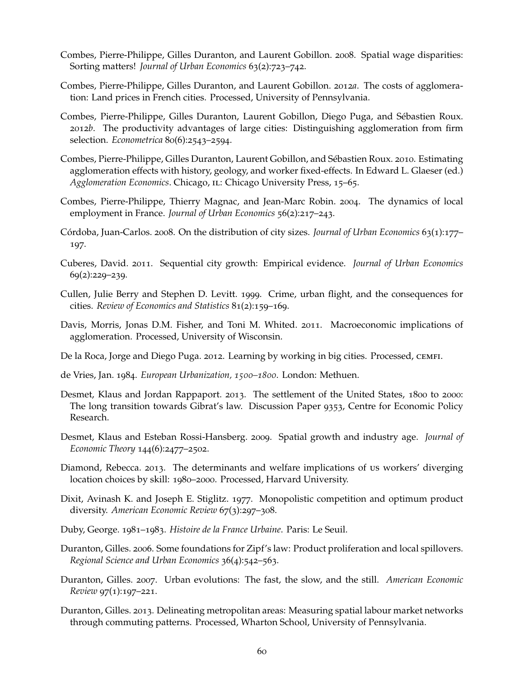- <span id="page-60-7"></span>Combes, Pierre-Philippe, Gilles Duranton, and Laurent Gobillon. 2008. Spatial wage disparities: Sorting matters! *Journal of Urban Economics* 63(2):723–742.
- <span id="page-60-9"></span>Combes, Pierre-Philippe, Gilles Duranton, and Laurent Gobillon. 2012*a*. The costs of agglomeration: Land prices in French cities. Processed, University of Pennsylvania.
- <span id="page-60-6"></span>Combes, Pierre-Philippe, Gilles Duranton, Laurent Gobillon, Diego Puga, and Sébastien Roux. 2012*b*. The productivity advantages of large cities: Distinguishing agglomeration from firm selection. *Econometrica* 80(6):2543–2594.
- <span id="page-60-5"></span>Combes, Pierre-Philippe, Gilles Duranton, Laurent Gobillon, and Sébastien Roux. 2010. Estimating agglomeration effects with history, geology, and worker fixed-effects. In Edward L. Glaeser (ed.) *Agglomeration Economics*. Chicago, il: Chicago University Press, 15–65.
- <span id="page-60-12"></span>Combes, Pierre-Philippe, Thierry Magnac, and Jean-Marc Robin. 2004. The dynamics of local employment in France. *Journal of Urban Economics* 56(2):217–243.
- <span id="page-60-16"></span>Córdoba, Juan-Carlos. 2008. On the distribution of city sizes. *Journal of Urban Economics* 63(1):177– 197.
- <span id="page-60-4"></span>Cuberes, David. 2011. Sequential city growth: Empirical evidence. *Journal of Urban Economics* 69(2):229–239.
- <span id="page-60-2"></span>Cullen, Julie Berry and Stephen D. Levitt. 1999. Crime, urban flight, and the consequences for cities. *Review of Economics and Statistics* 81(2):159–169.
- <span id="page-60-10"></span>Davis, Morris, Jonas D.M. Fisher, and Toni M. Whited. 2011. Macroeconomic implications of agglomeration. Processed, University of Wisconsin.
- <span id="page-60-8"></span>De la Roca, Jorge and Diego Puga. 2012. Learning by working in big cities. Processed, cemfi.
- <span id="page-60-1"></span>de Vries, Jan. 1984. *European Urbanization, 1500–1800*. London: Methuen.
- <span id="page-60-17"></span>Desmet, Klaus and Jordan Rappaport. 2013. The settlement of the United States, 1800 to 2000: The long transition towards Gibrat's law. Discussion Paper 9353, Centre for Economic Policy Research.
- <span id="page-60-18"></span>Desmet, Klaus and Esteban Rossi-Hansberg. 2009. Spatial growth and industry age. *Journal of Economic Theory* 144(6):2477–2502.
- <span id="page-60-11"></span>Diamond, Rebecca. 2013. The determinants and welfare implications of us workers' diverging location choices by skill: 1980–2000. Processed, Harvard University.
- <span id="page-60-3"></span>Dixit, Avinash K. and Joseph E. Stiglitz. 1977. Monopolistic competition and optimum product diversity. *American Economic Review* 67(3):297–308.
- <span id="page-60-0"></span>Duby, George. 1981–1983. *Histoire de la France Urbaine*. Paris: Le Seuil.
- <span id="page-60-15"></span>Duranton, Gilles. 2006. Some foundations for Zipf's law: Product proliferation and local spillovers. *Regional Science and Urban Economics* 36(4):542–563.
- <span id="page-60-14"></span>Duranton, Gilles. 2007. Urban evolutions: The fast, the slow, and the still. *American Economic Review* 97(1):197–221.
- <span id="page-60-13"></span>Duranton, Gilles. 2013. Delineating metropolitan areas: Measuring spatial labour market networks through commuting patterns. Processed, Wharton School, University of Pennsylvania.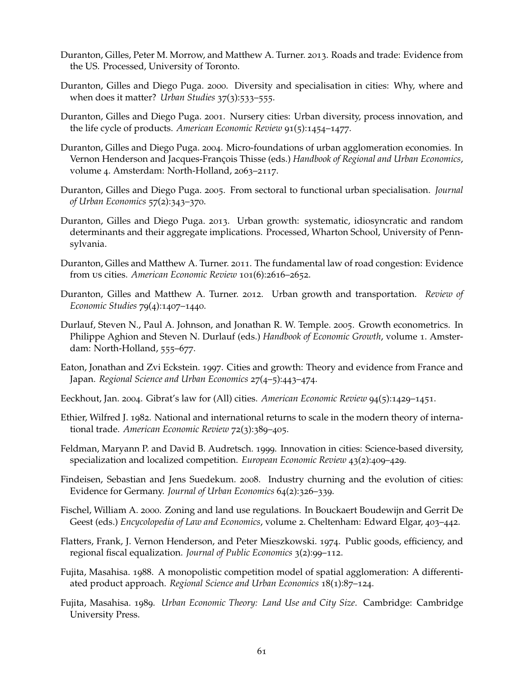- <span id="page-61-12"></span>Duranton, Gilles, Peter M. Morrow, and Matthew A. Turner. 2013. Roads and trade: Evidence from the US. Processed, University of Toronto.
- <span id="page-61-9"></span>Duranton, Gilles and Diego Puga. 2000. Diversity and specialisation in cities: Why, where and when does it matter? *Urban Studies* 37(3):533–555.
- <span id="page-61-1"></span>Duranton, Gilles and Diego Puga. 2001. Nursery cities: Urban diversity, process innovation, and the life cycle of products. *American Economic Review* 91(5):1454–1477.
- <span id="page-61-8"></span>Duranton, Gilles and Diego Puga. 2004. Micro-foundations of urban agglomeration economies. In Vernon Henderson and Jacques-François Thisse (eds.) *Handbook of Regional and Urban Economics*, volume 4. Amsterdam: North-Holland, 2063-2117.
- <span id="page-61-11"></span>Duranton, Gilles and Diego Puga. 2005. From sectoral to functional urban specialisation. *Journal of Urban Economics* 57(2):343–370.
- <span id="page-61-13"></span>Duranton, Gilles and Diego Puga. 2013. Urban growth: systematic, idiosyncratic and random determinants and their aggregate implications. Processed, Wharton School, University of Pennsylvania.
- <span id="page-61-5"></span>Duranton, Gilles and Matthew A. Turner. 2011. The fundamental law of road congestion: Evidence from us cities. *American Economic Review* 101(6):2616–2652.
- <span id="page-61-4"></span>Duranton, Gilles and Matthew A. Turner. 2012. Urban growth and transportation. *Review of Economic Studies* 79(4):1407–1440.
- <span id="page-61-2"></span>Durlauf, Steven N., Paul A. Johnson, and Jonathan R. W. Temple. 2005. Growth econometrics. In Philippe Aghion and Steven N. Durlauf (eds.) *Handbook of Economic Growth*, volume 1. Amsterdam: North-Holland, 555–677.
- <span id="page-61-14"></span>Eaton, Jonathan and Zvi Eckstein. 1997. Cities and growth: Theory and evidence from France and Japan. *Regional Science and Urban Economics* 27(4–5):443–474.
- <span id="page-61-16"></span>Eeckhout, Jan. 2004. Gibrat's law for (All) cities. *American Economic Review* 94(5):1429–1451.
- <span id="page-61-7"></span>Ethier, Wilfred J. 1982. National and international returns to scale in the modern theory of international trade. *American Economic Review* 72(3):389–405.
- <span id="page-61-15"></span>Feldman, Maryann P. and David B. Audretsch. 1999. Innovation in cities: Science-based diversity, specialization and localized competition. *European Economic Review* 43(2):409–429.
- <span id="page-61-17"></span>Findeisen, Sebastian and Jens Suedekum. 2008. Industry churning and the evolution of cities: Evidence for Germany. *Journal of Urban Economics* 64(2):326–339.
- <span id="page-61-6"></span>Fischel, William A. 2000. Zoning and land use regulations. In Bouckaert Boudewijn and Gerrit De Geest (eds.) *Encycolopedia of Law and Economics*, volume 2. Cheltenham: Edward Elgar, 403–442.
- <span id="page-61-10"></span>Flatters, Frank, J. Vernon Henderson, and Peter Mieszkowski. 1974. Public goods, efficiency, and regional fiscal equalization. *Journal of Public Economics* 3(2):99–112.
- <span id="page-61-0"></span>Fujita, Masahisa. 1988. A monopolistic competition model of spatial agglomeration: A differentiated product approach. *Regional Science and Urban Economics* 18(1):87–124.
- <span id="page-61-3"></span>Fujita, Masahisa. 1989. *Urban Economic Theory: Land Use and City Size*. Cambridge: Cambridge University Press.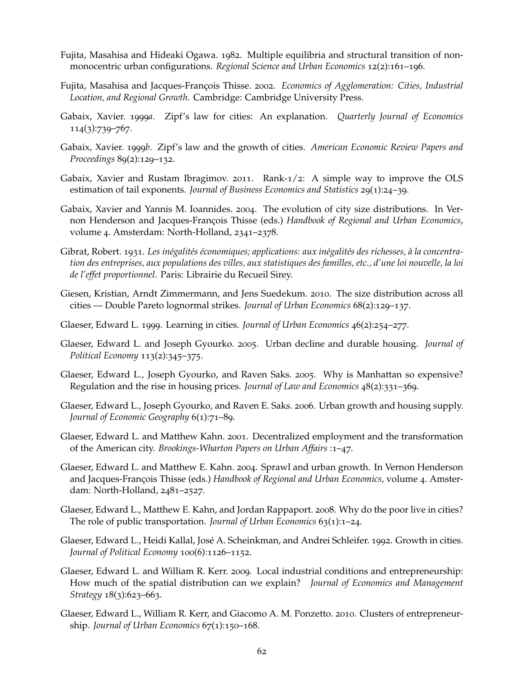- <span id="page-62-5"></span>Fujita, Masahisa and Hideaki Ogawa. 1982. Multiple equilibria and structural transition of nonmonocentric urban configurations. *Regional Science and Urban Economics* 12(2):161–196.
- <span id="page-62-9"></span>Fujita, Masahisa and Jacques-François Thisse. 2002. *Economics of Agglomeration: Cities, Industrial Location, and Regional Growth*. Cambridge: Cambridge University Press.
- <span id="page-62-1"></span>Gabaix, Xavier. 1999*a*. Zipf's law for cities: An explanation. *Quarterly Journal of Economics* 114(3):739–767.
- <span id="page-62-16"></span>Gabaix, Xavier. 1999*b*. Zipf's law and the growth of cities. *American Economic Review Papers and Proceedings* 89(2):129–132.
- <span id="page-62-13"></span>Gabaix, Xavier and Rustam Ibragimov. 2011. Rank-1/2: A simple way to improve the OLS estimation of tail exponents. *Journal of Business Economics and Statistics* 29(1):24–39.
- <span id="page-62-14"></span>Gabaix, Xavier and Yannis M. Ioannides. 2004. The evolution of city size distributions. In Vernon Henderson and Jacques-François Thisse (eds.) *Handbook of Regional and Urban Economics*, volume 4. Amsterdam: North-Holland, 2341–2378.
- <span id="page-62-17"></span>Gibrat, Robert. 1931. *Les inégalités économiques; applications: aux inégalités des richesses, à la concentration des entreprises, aux populations des villes, aux statistiques des familles, etc., d'une loi nouvelle, la loi de l'effet proportionnel*. Paris: Librairie du Recueil Sirey.
- <span id="page-62-15"></span>Giesen, Kristian, Arndt Zimmermann, and Jens Suedekum. 2010. The size distribution across all cities — Double Pareto lognormal strikes. *Journal of Urban Economics* 68(2):129–137.
- <span id="page-62-0"></span>Glaeser, Edward L. 1999. Learning in cities. *Journal of Urban Economics* 46(2):254–277.
- <span id="page-62-8"></span>Glaeser, Edward L. and Joseph Gyourko. 2005. Urban decline and durable housing. *Journal of Political Economy* 113(2):345–375.
- <span id="page-62-7"></span>Glaeser, Edward L., Joseph Gyourko, and Raven Saks. 2005. Why is Manhattan so expensive? Regulation and the rise in housing prices. *Journal of Law and Economics* 48(2):331–369.
- <span id="page-62-6"></span>Glaeser, Edward L., Joseph Gyourko, and Raven E. Saks. 2006. Urban growth and housing supply. *Journal of Economic Geography* 6(1):71–89.
- <span id="page-62-4"></span>Glaeser, Edward L. and Matthew Kahn. 2001. Decentralized employment and the transformation of the American city. *Brookings-Wharton Papers on Urban Affairs* :1–47.
- <span id="page-62-2"></span>Glaeser, Edward L. and Matthew E. Kahn. 2004. Sprawl and urban growth. In Vernon Henderson and Jacques-François Thisse (eds.) *Handbook of Regional and Urban Economics*, volume 4. Amsterdam: North-Holland, 2481–2527.
- <span id="page-62-3"></span>Glaeser, Edward L., Matthew E. Kahn, and Jordan Rappaport. 2008. Why do the poor live in cities? The role of public transportation. *Journal of Urban Economics* 63(1):1–24.
- <span id="page-62-10"></span>Glaeser, Edward L., Heidi Kallal, José A. Scheinkman, and Andrei Schleifer. 1992. Growth in cities. *Journal of Political Economy* 100(6):1126–1152.
- <span id="page-62-11"></span>Glaeser, Edward L. and William R. Kerr. 2009. Local industrial conditions and entrepreneurship: How much of the spatial distribution can we explain? *Journal of Economics and Management Strategy* 18(3):623–663.
- <span id="page-62-12"></span>Glaeser, Edward L., William R. Kerr, and Giacomo A. M. Ponzetto. 2010. Clusters of entrepreneurship. *Journal of Urban Economics* 67(1):150–168.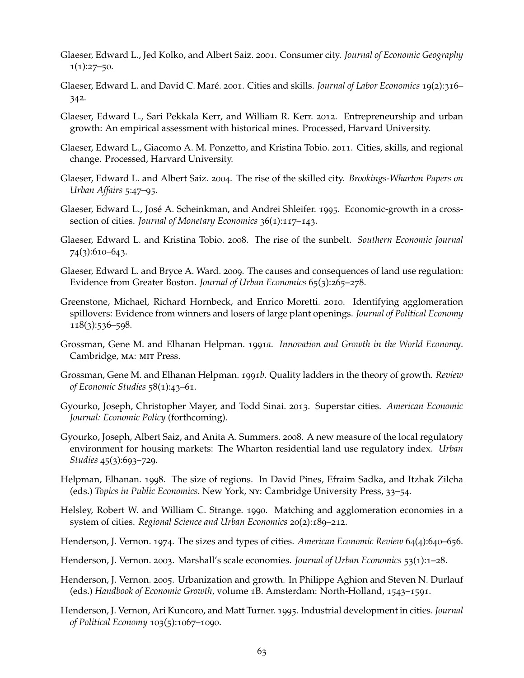- <span id="page-63-7"></span>Glaeser, Edward L., Jed Kolko, and Albert Saiz. 2001. Consumer city. *Journal of Economic Geography*  $1(1):27-50.$
- <span id="page-63-12"></span>Glaeser, Edward L. and David C. Maré. 2001. Cities and skills. *Journal of Labor Economics* 19(2):316– 342.
- <span id="page-63-17"></span>Glaeser, Edward L., Sari Pekkala Kerr, and William R. Kerr. 2012. Entrepreneurship and urban growth: An empirical assessment with historical mines. Processed, Harvard University.
- <span id="page-63-15"></span>Glaeser, Edward L., Giacomo A. M. Ponzetto, and Kristina Tobio. 2011. Cities, skills, and regional change. Processed, Harvard University.
- <span id="page-63-3"></span>Glaeser, Edward L. and Albert Saiz. 2004. The rise of the skilled city. *Brookings-Wharton Papers on Urban Affairs* 5:47–95.
- <span id="page-63-14"></span>Glaeser, Edward L., José A. Scheinkman, and Andrei Shleifer. 1995. Economic-growth in a crosssection of cities. *Journal of Monetary Economics* 36(1):117–143.
- <span id="page-63-8"></span>Glaeser, Edward L. and Kristina Tobio. 2008. The rise of the sunbelt. *Southern Economic Journal* 74(3):610–643.
- <span id="page-63-5"></span>Glaeser, Edward L. and Bryce A. Ward. 2009. The causes and consequences of land use regulation: Evidence from Greater Boston. *Journal of Urban Economics* 65(3):265–278.
- <span id="page-63-4"></span>Greenstone, Michael, Richard Hornbeck, and Enrico Moretti. 2010. Identifying agglomeration spillovers: Evidence from winners and losers of large plant openings. *Journal of Political Economy* 118(3):536–598.
- <span id="page-63-13"></span>Grossman, Gene M. and Elhanan Helpman. 1991*a*. *Innovation and Growth in the World Economy*. Cambridge, ma: mit Press.
- <span id="page-63-18"></span>Grossman, Gene M. and Elhanan Helpman. 1991*b*. Quality ladders in the theory of growth. *Review of Economic Studies* 58(1):43–61.
- <span id="page-63-9"></span>Gyourko, Joseph, Christopher Mayer, and Todd Sinai. 2013. Superstar cities. *American Economic Journal: Economic Policy* (forthcoming).
- <span id="page-63-6"></span>Gyourko, Joseph, Albert Saiz, and Anita A. Summers. 2008. A new measure of the local regulatory environment for housing markets: The Wharton residential land use regulatory index. *Urban Studies* 45(3):693–729.
- <span id="page-63-10"></span>Helpman, Elhanan. 1998. The size of regions. In David Pines, Efraim Sadka, and Itzhak Zilcha (eds.) *Topics in Public Economics*. New York, ny: Cambridge University Press, 33–54.
- <span id="page-63-0"></span>Helsley, Robert W. and William C. Strange. 1990. Matching and agglomeration economies in a system of cities. *Regional Science and Urban Economics* 20(2):189–212.
- <span id="page-63-1"></span>Henderson, J. Vernon. 1974. The sizes and types of cities. *American Economic Review* 64(4):640–656.
- <span id="page-63-11"></span>Henderson, J. Vernon. 2003. Marshall's scale economies. *Journal of Urban Economics* 53(1):1–28.
- <span id="page-63-2"></span>Henderson, J. Vernon. 2005. Urbanization and growth. In Philippe Aghion and Steven N. Durlauf (eds.) *Handbook of Economic Growth*, volume 1B. Amsterdam: North-Holland, 1543–1591.
- <span id="page-63-16"></span>Henderson, J. Vernon, Ari Kuncoro, and Matt Turner. 1995. Industrial development in cities. *Journal of Political Economy* 103(5):1067–1090.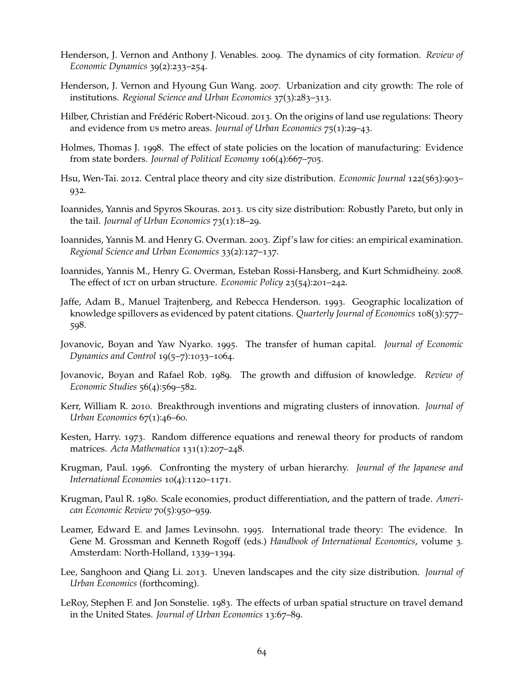- <span id="page-64-5"></span>Henderson, J. Vernon and Anthony J. Venables. 2009. The dynamics of city formation. *Review of Economic Dynamics* 39(2):233–254.
- <span id="page-64-4"></span>Henderson, J. Vernon and Hyoung Gun Wang. 2007. Urbanization and city growth: The role of institutions. *Regional Science and Urban Economics* 37(3):283–313.
- <span id="page-64-3"></span>Hilber, Christian and Frédéric Robert-Nicoud. 2013. On the origins of land use regulations: Theory and evidence from us metro areas. *Journal of Urban Economics* 75(1):29–43.
- <span id="page-64-2"></span>Holmes, Thomas J. 1998. The effect of state policies on the location of manufacturing: Evidence from state borders. *Journal of Political Economy* 106(4):667–705.
- <span id="page-64-16"></span>Hsu, Wen-Tai. 2012. Central place theory and city size distribution. *Economic Journal* 122(563):903– 932.
- <span id="page-64-12"></span>Ioannides, Yannis and Spyros Skouras. 2013. us city size distribution: Robustly Pareto, but only in the tail. *Journal of Urban Economics* 73(1):18–29.
- <span id="page-64-14"></span>Ioannides, Yannis M. and Henry G. Overman. 2003. Zipf's law for cities: an empirical examination. *Regional Science and Urban Economics* 33(2):127–137.
- <span id="page-64-15"></span>Ioannides, Yannis M., Henry G. Overman, Esteban Rossi-Hansberg, and Kurt Schmidheiny. 2008. The effect of ICT on urban structure. *Economic Policy* 23(54):201–242.
- <span id="page-64-9"></span>Jaffe, Adam B., Manuel Trajtenberg, and Rebecca Henderson. 1993. Geographic localization of knowledge spillovers as evidenced by patent citations. *Quarterly Journal of Economics* 108(3):577– 598.
- <span id="page-64-8"></span>Jovanovic, Boyan and Yaw Nyarko. 1995. The transfer of human capital. *Journal of Economic Dynamics and Control* 19(5–7):1033–1064.
- <span id="page-64-7"></span>Jovanovic, Boyan and Rafael Rob. 1989. The growth and diffusion of knowledge. *Review of Economic Studies* 56(4):569–582.
- <span id="page-64-10"></span>Kerr, William R. 2010. Breakthrough inventions and migrating clusters of innovation. *Journal of Urban Economics* 67(1):46–60.
- <span id="page-64-13"></span>Kesten, Harry. 1973. Random difference equations and renewal theory for products of random matrices. *Acta Mathematica* 131(1):207–248.
- <span id="page-64-11"></span>Krugman, Paul. 1996. Confronting the mystery of urban hierarchy. *Journal of the Japanese and International Economies* 10(4):1120–1171.
- <span id="page-64-6"></span>Krugman, Paul R. 1980. Scale economies, product differentiation, and the pattern of trade. *American Economic Review* 70(5):950–959.
- <span id="page-64-1"></span>Leamer, Edward E. and James Levinsohn. 1995. International trade theory: The evidence. In Gene M. Grossman and Kenneth Rogoff (eds.) *Handbook of International Economics*, volume 3. Amsterdam: North-Holland, 1339–1394.
- <span id="page-64-17"></span>Lee, Sanghoon and Qiang Li. 2013. Uneven landscapes and the city size distribution. *Journal of Urban Economics* (forthcoming).
- <span id="page-64-0"></span>LeRoy, Stephen F. and Jon Sonstelie. 1983. The effects of urban spatial structure on travel demand in the United States. *Journal of Urban Economics* 13:67–89.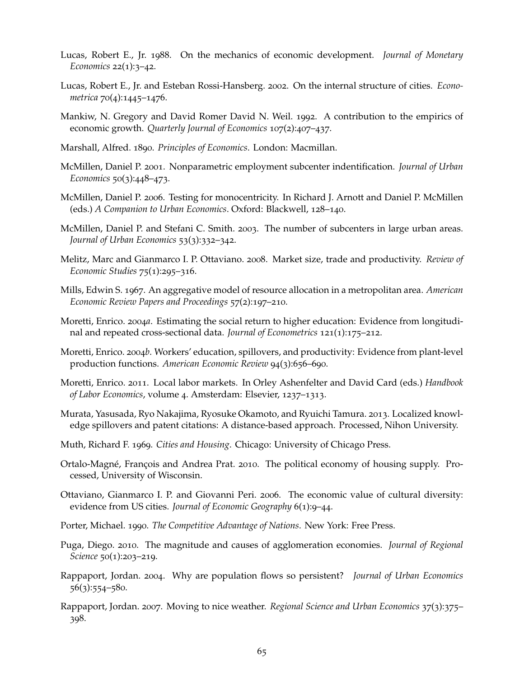- <span id="page-65-2"></span>Lucas, Robert E., Jr. 1988. On the mechanics of economic development. *Journal of Monetary Economics* 22(1):3–42.
- <span id="page-65-4"></span>Lucas, Robert E., Jr. and Esteban Rossi-Hansberg. 2002. On the internal structure of cities. *Econometrica* 70(4):1445–1476.
- <span id="page-65-15"></span>Mankiw, N. Gregory and David Romer David N. Weil. 1992. A contribution to the empirics of economic growth. *Quarterly Journal of Economics* 107(2):407–437.
- <span id="page-65-14"></span>Marshall, Alfred. 1890. *Principles of Economics*. London: Macmillan.
- <span id="page-65-3"></span>McMillen, Daniel P. 2001. Nonparametric employment subcenter indentification. *Journal of Urban Economics* 50(3):448–473.
- <span id="page-65-6"></span>McMillen, Daniel P. 2006. Testing for monocentricity. In Richard J. Arnott and Daniel P. McMillen (eds.) *A Companion to Urban Economics*. Oxford: Blackwell, 128–140.
- <span id="page-65-5"></span>McMillen, Daniel P. and Stefani C. Smith. 2003. The number of subcenters in large urban areas. *Journal of Urban Economics* 53(3):332–342.
- <span id="page-65-12"></span>Melitz, Marc and Gianmarco I. P. Ottaviano. 2008. Market size, trade and productivity. *Review of Economic Studies* 75(1):295–316.
- <span id="page-65-0"></span>Mills, Edwin S. 1967. An aggregative model of resource allocation in a metropolitan area. *American Economic Review Papers and Proceedings* 57(2):197–210.
- <span id="page-65-13"></span>Moretti, Enrico. 2004*a*. Estimating the social return to higher education: Evidence from longitudinal and repeated cross-sectional data. *Journal of Econometrics* 121(1):175–212.
- <span id="page-65-16"></span>Moretti, Enrico. 2004*b*. Workers' education, spillovers, and productivity: Evidence from plant-level production functions. *American Economic Review* 94(3):656–690.
- <span id="page-65-10"></span>Moretti, Enrico. 2011. Local labor markets. In Orley Ashenfelter and David Card (eds.) *Handbook of Labor Economics*, volume 4. Amsterdam: Elsevier, 1237–1313.
- <span id="page-65-17"></span>Murata, Yasusada, Ryo Nakajima, Ryosuke Okamoto, and Ryuichi Tamura. 2013. Localized knowledge spillovers and patent citations: A distance-based approach. Processed, Nihon University.
- <span id="page-65-1"></span>Muth, Richard F. 1969. *Cities and Housing*. Chicago: University of Chicago Press.
- <span id="page-65-8"></span>Ortalo-Magné, François and Andrea Prat. 2010. The political economy of housing supply. Processed, University of Wisconsin.
- <span id="page-65-9"></span>Ottaviano, Gianmarco I. P. and Giovanni Peri. 2006. The economic value of cultural diversity: evidence from US cities. *Journal of Economic Geography* 6(1):9–44.
- <span id="page-65-18"></span>Porter, Michael. 1990. *The Competitive Advantage of Nations*. New York: Free Press.
- <span id="page-65-11"></span>Puga, Diego. 2010. The magnitude and causes of agglomeration economies. *Journal of Regional Science* 50(1):203–219.
- <span id="page-65-19"></span>Rappaport, Jordan. 2004. Why are population flows so persistent? *Journal of Urban Economics* 56(3):554–580.
- <span id="page-65-7"></span>Rappaport, Jordan. 2007. Moving to nice weather. *Regional Science and Urban Economics* 37(3):375– 398.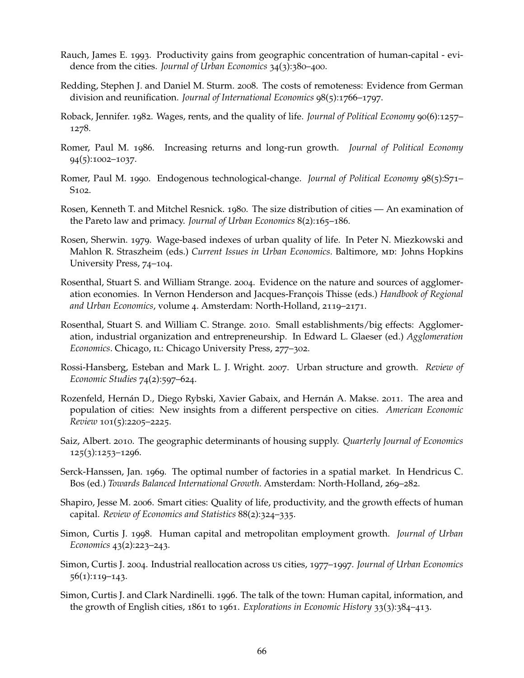- <span id="page-66-11"></span>Rauch, James E. 1993. Productivity gains from geographic concentration of human-capital - evidence from the cities. *Journal of Urban Economics* 34(3):380–400.
- <span id="page-66-5"></span>Redding, Stephen J. and Daniel M. Sturm. 2008. The costs of remoteness: Evidence from German division and reunification. *Journal of International Economics* 98(5):1766–1797.
- <span id="page-66-1"></span>Roback, Jennifer. 1982. Wages, rents, and the quality of life. *Journal of Political Economy* 90(6):1257– 1278.
- <span id="page-66-6"></span>Romer, Paul M. 1986. Increasing returns and long-run growth. *Journal of Political Economy* 94(5):1002–1037.
- <span id="page-66-7"></span>Romer, Paul M. 1990. Endogenous technological-change. *Journal of Political Economy* 98(5):S71– S102.
- <span id="page-66-13"></span>Rosen, Kenneth T. and Mitchel Resnick. 1980. The size distribution of cities — An examination of the Pareto law and primacy. *Journal of Urban Economics* 8(2):165–186.
- <span id="page-66-0"></span>Rosen, Sherwin. 1979. Wage-based indexes of urban quality of life. In Peter N. Miezkowski and Mahlon R. Straszheim (eds.) *Current Issues in Urban Economics*. Baltimore, MD: Johns Hopkins University Press, 74–104.
- <span id="page-66-3"></span>Rosenthal, Stuart S. and William Strange. 2004. Evidence on the nature and sources of agglomeration economies. In Vernon Henderson and Jacques-François Thisse (eds.) *Handbook of Regional and Urban Economics*, volume 4. Amsterdam: North-Holland, 2119–2171.
- <span id="page-66-12"></span>Rosenthal, Stuart S. and William C. Strange. 2010. Small establishments/big effects: Agglomeration, industrial organization and entrepreneurship. In Edward L. Glaeser (ed.) *Agglomeration* Economics. Chicago, IL: Chicago University Press, 277-302.
- <span id="page-66-15"></span>Rossi-Hansberg, Esteban and Mark L. J. Wright. 2007. Urban structure and growth. *Review of Economic Studies* 74(2):597–624.
- <span id="page-66-14"></span>Rozenfeld, Hernán D., Diego Rybski, Xavier Gabaix, and Hernán A. Makse. 2011. The area and population of cities: New insights from a different perspective on cities. *American Economic Review* 101(5):2205–2225.
- <span id="page-66-2"></span>Saiz, Albert. 2010. The geographic determinants of housing supply. *Quarterly Journal of Economics* 125(3):1253–1296.
- <span id="page-66-4"></span>Serck-Hanssen, Jan. 1969. The optimal number of factories in a spatial market. In Hendricus C. Bos (ed.) *Towards Balanced International Growth*. Amsterdam: North-Holland, 269–282.
- <span id="page-66-10"></span>Shapiro, Jesse M. 2006. Smart cities: Quality of life, productivity, and the growth effects of human capital. *Review of Economics and Statistics* 88(2):324–335.
- <span id="page-66-9"></span>Simon, Curtis J. 1998. Human capital and metropolitan employment growth. *Journal of Urban Economics* 43(2):223–243.
- <span id="page-66-16"></span>Simon, Curtis J. 2004. Industrial reallocation across us cities, 1977–1997. *Journal of Urban Economics* 56(1):119–143.
- <span id="page-66-8"></span>Simon, Curtis J. and Clark Nardinelli. 1996. The talk of the town: Human capital, information, and the growth of English cities, 1861 to 1961. *Explorations in Economic History* 33(3):384–413.